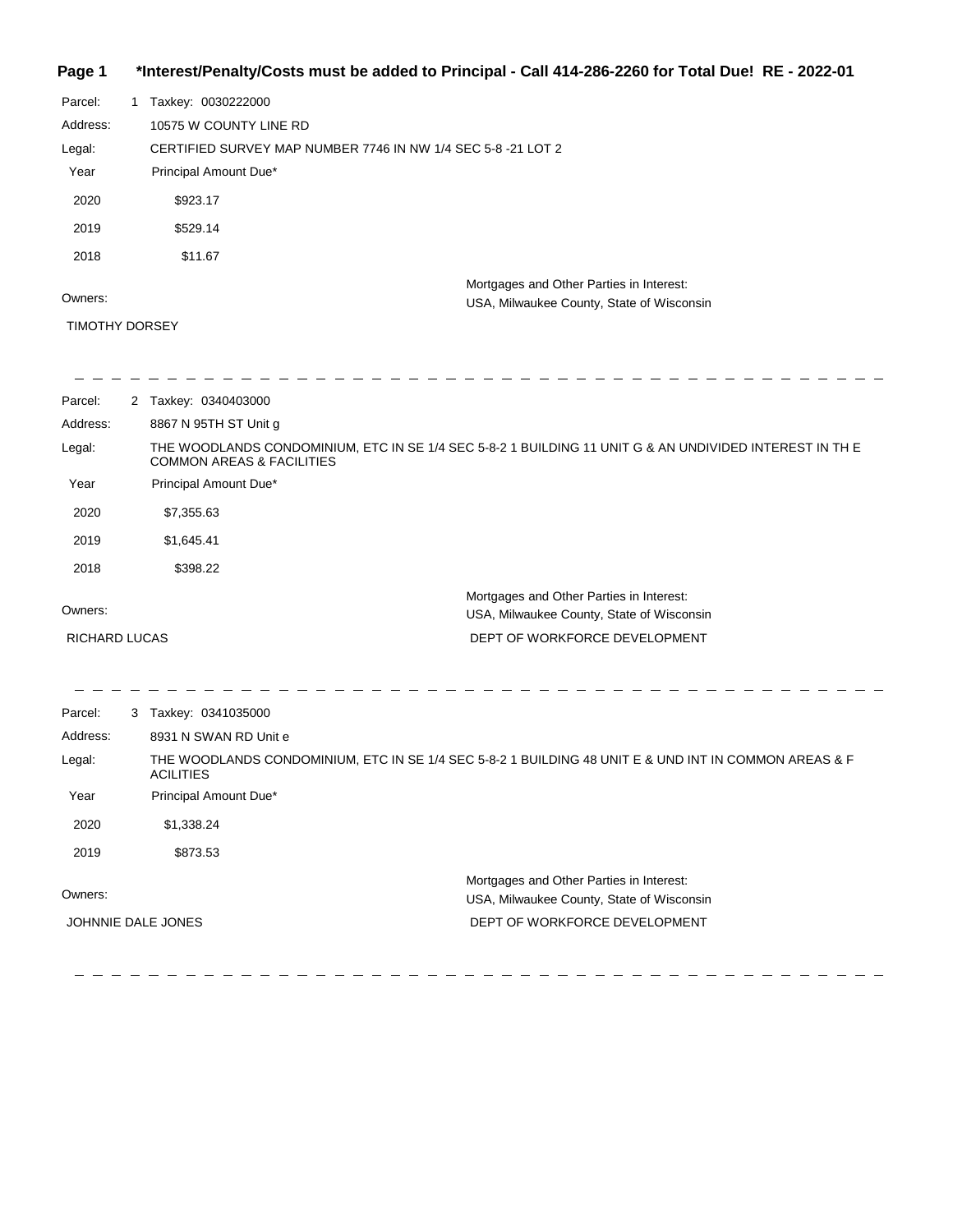## **Page 1 \*Interest/Penalty/Costs must be added to Principal - Call 414-286-2260 for Total Due! RE - 2022-01**

| Parcel:  | Taxkey: 0030222000                                          |
|----------|-------------------------------------------------------------|
| Address: | 10575 W COUNTY LINE RD                                      |
| Legal:   | CERTIFIED SURVEY MAP NUMBER 7746 IN NW 1/4 SEC 5-8-21 LOT 2 |
| Year     | Principal Amount Due*                                       |
| 2020     | \$923.17                                                    |
| 2019     | \$529.14                                                    |
| 2018     | \$11.67                                                     |
|          | Mortgages and Other Parties in Interest:                    |
| Owners:  | USA, Milwaukee County, State of Wisconsin                   |

#### TIMOTHY DORSEY

| Parcel:              | 2 Taxkey: 0340403000                                                                                                                           |
|----------------------|------------------------------------------------------------------------------------------------------------------------------------------------|
| Address:             | 8867 N 95TH ST Unit g                                                                                                                          |
| Legal:               | THE WOODLANDS CONDOMINIUM, ETC IN SE 1/4 SEC 5-8-2 1 BUILDING 11 UNIT G & AN UNDIVIDED INTEREST IN THE<br><b>COMMON AREAS &amp; FACILITIES</b> |
| Year                 | Principal Amount Due*                                                                                                                          |
| 2020                 | \$7,355.63                                                                                                                                     |
| 2019                 | \$1,645.41                                                                                                                                     |
| 2018                 | \$398.22                                                                                                                                       |
|                      | Mortgages and Other Parties in Interest:                                                                                                       |
| Owners:              | USA, Milwaukee County, State of Wisconsin                                                                                                      |
| <b>RICHARD LUCAS</b> | DEPT OF WORKFORCE DEVELOPMENT                                                                                                                  |
|                      |                                                                                                                                                |
| Parcel:              | 3 Taxkey: 0341035000                                                                                                                           |
| Address:             | 8931 N SWAN RD Unit e                                                                                                                          |
| Legal:               | THE WOODLANDS CONDOMINIUM, ETC IN SE 1/4 SEC 5-8-2 1 BUILDING 48 UNIT E & UND INT IN COMMON AREAS & F<br><b>ACILITIES</b>                      |
| Year                 | Principal Amount Due*                                                                                                                          |
| 2020                 | \$1,338.24                                                                                                                                     |
| 2019                 | \$873.53                                                                                                                                       |
| Owners:              | Mortgages and Other Parties in Interest:<br>USA, Milwaukee County, State of Wisconsin                                                          |
|                      | JOHNNIE DALE JONES<br>DEPT OF WORKFORCE DEVELOPMENT                                                                                            |
|                      |                                                                                                                                                |

 $\equiv$  $\hspace{0.1cm} \rule{0.7cm}{0.1cm} \hspace{0.1cm} \rule{0.7cm}{0.1cm}$ 

 $\frac{1}{2}$ 

 $\equiv$ 

 $\sim$ 

 $\frac{1}{2}$  $\equiv$  $\equiv$  $\qquad \qquad - \ - \ \equiv$  $\frac{1}{2}$  $\equiv$  $\equiv$  $=$   $=$   $\equiv$  $\equiv$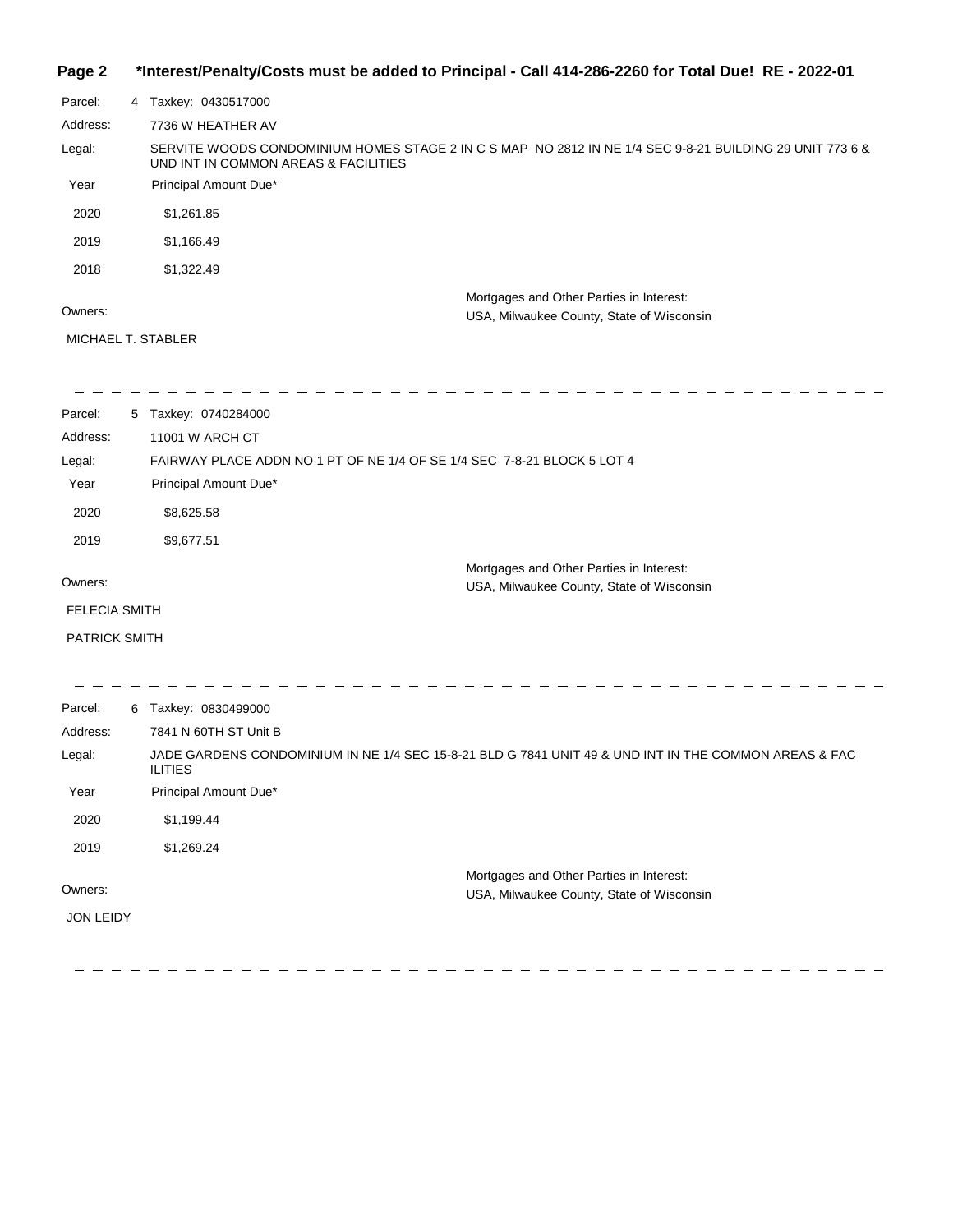#### **Page 2 \*Interest/Penalty/Costs must be added to Principal - Call 414-286-2260 for Total Due! RE - 2022-01**

| Parcel:  | 4 Taxkey: 0430517000                                                                                                                             |
|----------|--------------------------------------------------------------------------------------------------------------------------------------------------|
| Address: | 7736 W HEATHER AV                                                                                                                                |
| Legal:   | SERVITE WOODS CONDOMINIUM HOMES STAGE 2 IN C S MAP NO 2812 IN NE 1/4 SEC 9-8-21 BUILDING 29 UNIT 773 6 &<br>UND INT IN COMMON AREAS & FACILITIES |
| Year     | Principal Amount Due*                                                                                                                            |
| 2020     | \$1.261.85                                                                                                                                       |
| 2019     | \$1.166.49                                                                                                                                       |
| 2018     | \$1,322.49                                                                                                                                       |
|          | Mortgages and Other Parties in Interest:                                                                                                         |
| Owners:  | USA, Milwaukee County, State of Wisconsin                                                                                                        |

MICHAEL T. STABLER

---------------------------------- - - - - - -Parcel: 5 Taxkey: 0740284000 Address: 11001 W ARCH CT Legal: FAIRWAY PLACE ADDN NO 1 PT OF NE 1/4 OF SE 1/4 SEC 7-8-21 BLOCK 5 LOT 4 Year Principal Amount Due\* 2020 \$8,625.58 2019 \$9,677.51 Mortgages and Other Parties in Interest: Owners: USA, Milwaukee County, State of Wisconsin FELECIA SMITH PATRICK SMITH

| Parcel:          | 6 | Taxkey: 0830499000                                                                                                      |
|------------------|---|-------------------------------------------------------------------------------------------------------------------------|
| Address:         |   | 7841 N 60TH ST Unit B                                                                                                   |
| Legal:           |   | JADE GARDENS CONDOMINIUM IN NE 1/4 SEC 15-8-21 BLD G 7841 UNIT 49 & UND INT IN THE COMMON AREAS & FAC<br><b>ILITIES</b> |
| Year             |   | Principal Amount Due*                                                                                                   |
| 2020             |   | \$1,199.44                                                                                                              |
| 2019             |   | \$1,269.24                                                                                                              |
|                  |   | Mortgages and Other Parties in Interest:                                                                                |
| Owners:          |   | USA, Milwaukee County, State of Wisconsin                                                                               |
| <b>JON LEIDY</b> |   |                                                                                                                         |
|                  |   |                                                                                                                         |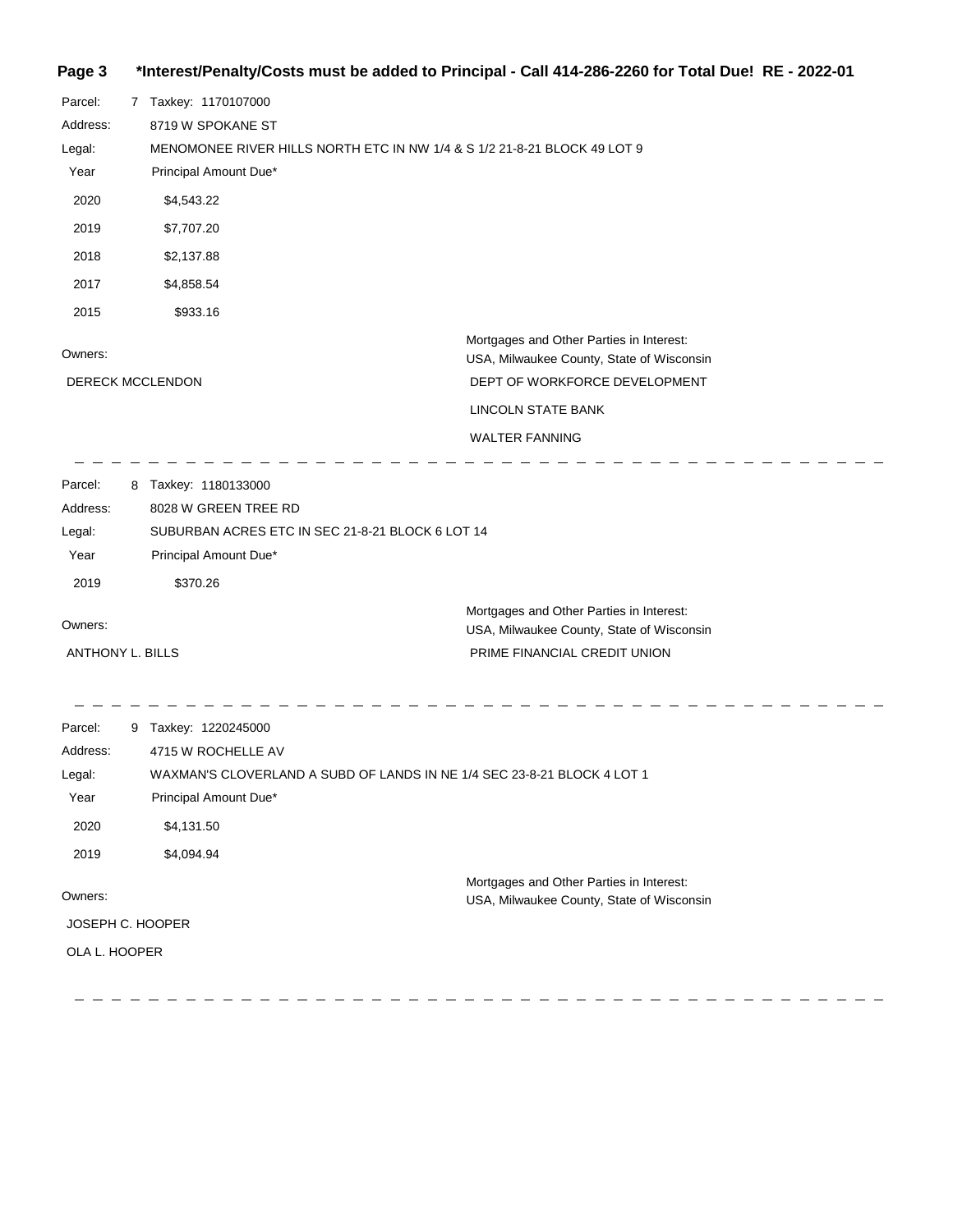# **Page 3 \*Interest/Penalty/Costs must be added to Principal - Call 414-286-2260 for Total Due! RE - 2022-01**

| Parcel:<br>Address:<br>Legal:<br>Year<br>2020<br>2019<br>2018<br>2017 | 7 Taxkey: 1170107000<br>8719 W SPOKANE ST<br>MENOMONEE RIVER HILLS NORTH ETC IN NW 1/4 & S 1/2 21-8-21 BLOCK 49 LOT 9<br>Principal Amount Due*<br>\$4,543.22<br>\$7,707.20<br>\$2,137.88<br>\$4,858.54 |                                                                                                                                                                       |
|-----------------------------------------------------------------------|--------------------------------------------------------------------------------------------------------------------------------------------------------------------------------------------------------|-----------------------------------------------------------------------------------------------------------------------------------------------------------------------|
| 2015                                                                  | \$933.16                                                                                                                                                                                               |                                                                                                                                                                       |
| Owners:                                                               | <b>DERECK MCCLENDON</b>                                                                                                                                                                                | Mortgages and Other Parties in Interest:<br>USA, Milwaukee County, State of Wisconsin<br>DEPT OF WORKFORCE DEVELOPMENT<br>LINCOLN STATE BANK<br><b>WALTER FANNING</b> |
| Parcel:<br>Address:<br>Legal:<br>Year<br>2019                         | 8 Taxkey: 1180133000<br>8028 W GREEN TREE RD<br>SUBURBAN ACRES ETC IN SEC 21-8-21 BLOCK 6 LOT 14<br>Principal Amount Due*<br>\$370.26                                                                  |                                                                                                                                                                       |
| Owners:<br><b>ANTHONY L. BILLS</b>                                    |                                                                                                                                                                                                        | Mortgages and Other Parties in Interest:<br>USA, Milwaukee County, State of Wisconsin<br>PRIME FINANCIAL CREDIT UNION                                                 |

 $\overline{\phantom{0}}$ 

 $\sim$ 

| Parcel:<br>Address: | 9 | Taxkey: 1220245000<br>4715 W ROCHELLE AV                                              |
|---------------------|---|---------------------------------------------------------------------------------------|
| Legal:              |   | WAXMAN'S CLOVERLAND A SUBD OF LANDS IN NE 1/4 SEC 23-8-21 BLOCK 4 LOT 1               |
| Year                |   | Principal Amount Due*                                                                 |
| 2020                |   | \$4,131.50                                                                            |
| 2019                |   | \$4,094.94                                                                            |
| Owners:             |   | Mortgages and Other Parties in Interest:<br>USA, Milwaukee County, State of Wisconsin |
| JOSEPH C. HOOPER    |   |                                                                                       |
| OLA L. HOOPER       |   |                                                                                       |
|                     |   |                                                                                       |

 $\overline{\phantom{a}}$ 

ست ست

 $=$   $=$ 

 $\sim$  $\equiv$   $\equiv$  $\sim$  $\sim$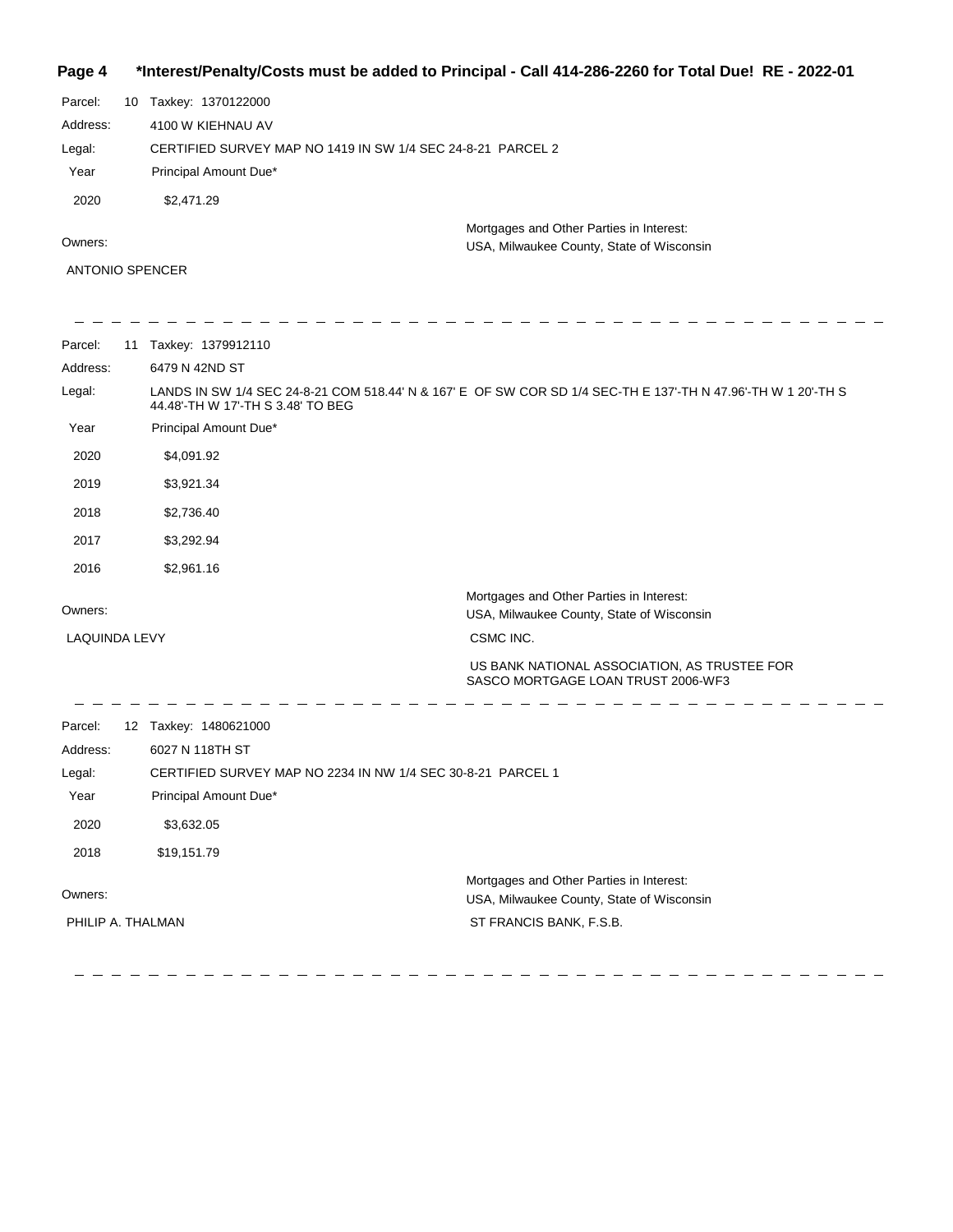**Page 4 \*Interest/Penalty/Costs must be added to Principal - Call 414-286-2260 for Total Due! RE - 2022-01**

| Parcel:  | 10 Taxkey: 1370122000                                       |
|----------|-------------------------------------------------------------|
| Address: | 4100 W KIEHNAU AV                                           |
| Legal:   | CERTIFIED SURVEY MAP NO 1419 IN SW 1/4 SEC 24-8-21 PARCEL 2 |
| Year     | Principal Amount Due*                                       |
| 2020     | \$2,471.29                                                  |
|          | Mortgages and Other Parties in Interest:                    |
| Owners:  | USA, Milwaukee County, State of Wisconsin.                  |

USA, Milwaukee County, State of Wisconsin

ANTONIO SPENCER

| Parcel:           | 11 Taxkey: 1379912110                                       |                                                                                                               |
|-------------------|-------------------------------------------------------------|---------------------------------------------------------------------------------------------------------------|
| Address:          | 6479 N 42ND ST                                              |                                                                                                               |
| Legal:            | 44.48'-TH W 17'-TH S 3.48' TO BEG                           | LANDS IN SW 1/4 SEC 24-8-21 COM 518.44' N & 167' E OF SW COR SD 1/4 SEC-TH E 137'-TH N 47.96'-TH W 1 20'-TH S |
| Year              | Principal Amount Due*                                       |                                                                                                               |
| 2020              | \$4,091.92                                                  |                                                                                                               |
| 2019              | \$3,921.34                                                  |                                                                                                               |
| 2018              | \$2,736.40                                                  |                                                                                                               |
| 2017              | \$3,292.94                                                  |                                                                                                               |
| 2016              | \$2,961.16                                                  |                                                                                                               |
| Owners:           |                                                             | Mortgages and Other Parties in Interest:<br>USA, Milwaukee County, State of Wisconsin                         |
| LAQUINDA LEVY     |                                                             | CSMC INC.                                                                                                     |
|                   |                                                             | US BANK NATIONAL ASSOCIATION, AS TRUSTEE FOR<br>SASCO MORTGAGE LOAN TRUST 2006-WF3                            |
| Parcel:           | 12 Taxkey: 1480621000                                       |                                                                                                               |
| Address:          | 6027 N 118TH ST                                             |                                                                                                               |
| Legal:            | CERTIFIED SURVEY MAP NO 2234 IN NW 1/4 SEC 30-8-21 PARCEL 1 |                                                                                                               |
| Year              | Principal Amount Due*                                       |                                                                                                               |
| 2020              | \$3,632.05                                                  |                                                                                                               |
| 2018              | \$19,151.79                                                 |                                                                                                               |
| Owners:           |                                                             | Mortgages and Other Parties in Interest:<br>USA, Milwaukee County, State of Wisconsin                         |
| PHILIP A. THALMAN |                                                             | ST FRANCIS BANK, F.S.B.                                                                                       |

 $\equiv$  $\hspace{0.1cm} \rule{0.7cm}{0.1cm} \hspace{0.1cm} \ldots$ 

 $\frac{1}{2}$  $\overline{\phantom{a}}$  $\frac{1}{2}$ 

 $\overline{\phantom{0}}$ 

 $\frac{1}{2} \frac{1}{2} \frac{1}{2} \frac{1}{2} \frac{1}{2} \frac{1}{2} \frac{1}{2} \frac{1}{2} \frac{1}{2} \frac{1}{2} \frac{1}{2} \frac{1}{2} \frac{1}{2} \frac{1}{2} \frac{1}{2} \frac{1}{2} \frac{1}{2} \frac{1}{2} \frac{1}{2} \frac{1}{2} \frac{1}{2} \frac{1}{2} \frac{1}{2} \frac{1}{2} \frac{1}{2} \frac{1}{2} \frac{1}{2} \frac{1}{2} \frac{1}{2} \frac{1}{2} \frac{1}{2} \frac{$ 

 $\equiv$  $\equiv$  $\equiv$  $\equiv$ 

 $\overline{\phantom{a}}$ 

 $\overline{\phantom{a}}$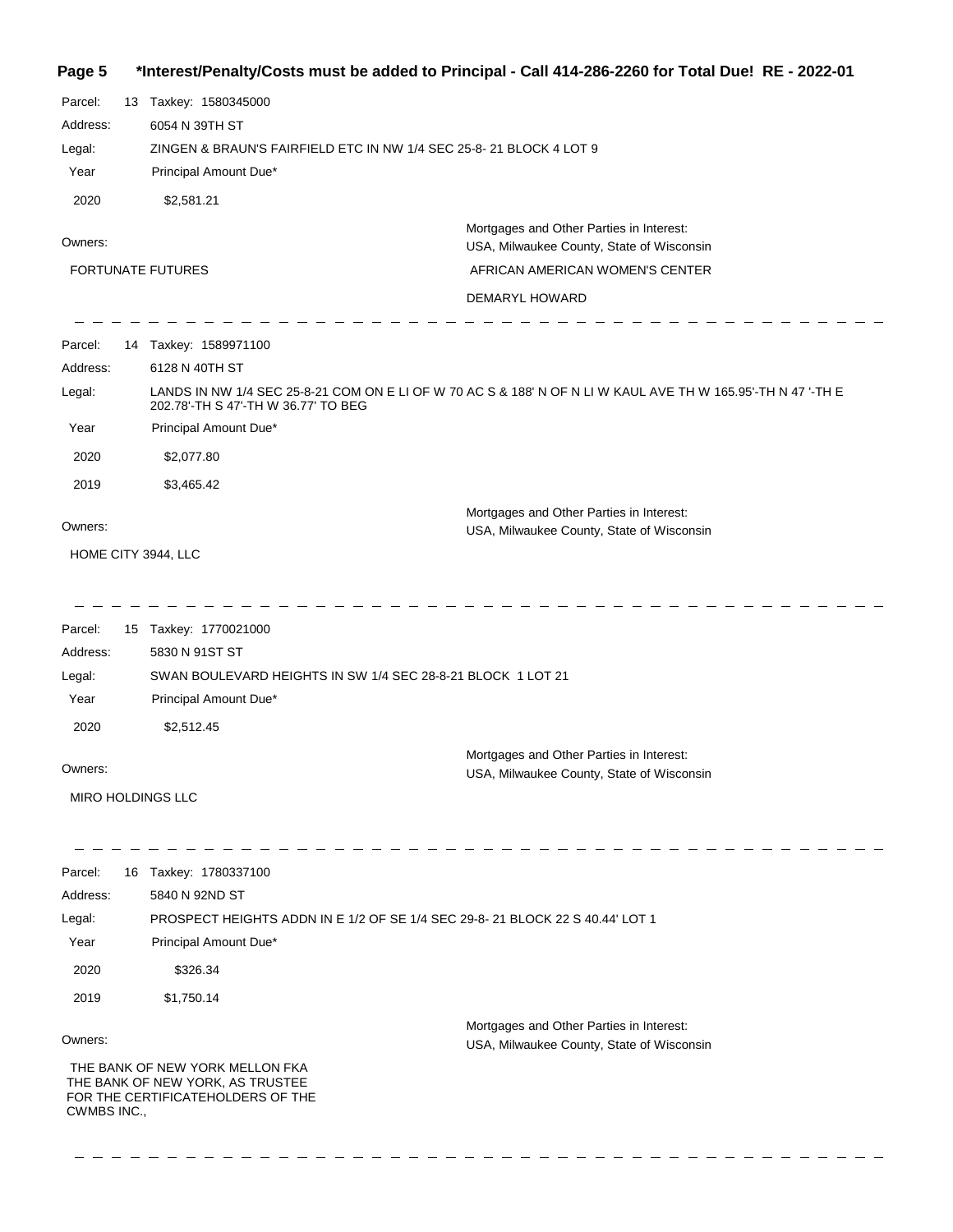**Page 5 \*Interest/Penalty/Costs must be added to Principal - Call 414-286-2260 for Total Due! RE - 2022-01**

Parcel: 13 Taxkey: 1580345000 6054 N 39TH ST Address: ZINGEN & BRAUN'S FAIRFIELD ETC IN NW 1/4 SEC 25-8- 21 BLOCK 4 LOT 9 Legal: Year Principal Amount Due\* 2020 \$2,581.21 Mortgages and Other Parties in Interest: Owners: USA, Milwaukee County, State of Wisconsin AFRICAN AMERICAN WOMEN'S CENTER FORTUNATE FUTURES DEMARYL HOWARD - - - - -Parcel: 14 Taxkey: 1589971100 6128 N 40TH ST Address: LANDS IN NW 1/4 SEC 25-8-21 COM ON E LI OF W 70 AC S & 188' N OF N LI W KAUL AVE TH W 165.95'-TH N 47 '-TH E Legal: 202.78'-TH S 47'-TH W 36.77' TO BEG Year Principal Amount Due\* 2020 \$2,077.80 2019 \$3,465.42 Mortgages and Other Parties in Interest: Owners: USA, Milwaukee County, State of Wisconsin HOME CITY 3944, LLC  $\frac{1}{2}$  = = = = = = = = = = = = Parcel: 15 Taxkey: 1770021000 Address: 5830 N 91ST ST SWAN BOULEVARD HEIGHTS IN SW 1/4 SEC 28-8-21 BLOCK 1 LOT 21 Legal: Year Principal Amount Due\* 2020 \$2,512.45 Mortgages and Other Parties in Interest: Owners: USA, Milwaukee County, State of Wisconsin MIRO HOLDINGS LLC  $=$   $=$   $=$ - - - - -Parcel: 16 Taxkey: 1780337100 Address: 5840 N 92ND ST Legal: PROSPECT HEIGHTS ADDN IN E 1/2 OF SE 1/4 SEC 29-8- 21 BLOCK 22 S 40.44' LOT 1 Year Principal Amount Due\* 2020 \$326.34 2019 \$1,750.14 Mortgages and Other Parties in Interest: Owners: USA, Milwaukee County, State of Wisconsin THE BANK OF NEW YORK MELLON FKA THE BANK OF NEW YORK, AS TRUSTEE FOR THE CERTIFICATEHOLDERS OF THE CWMBS INC.,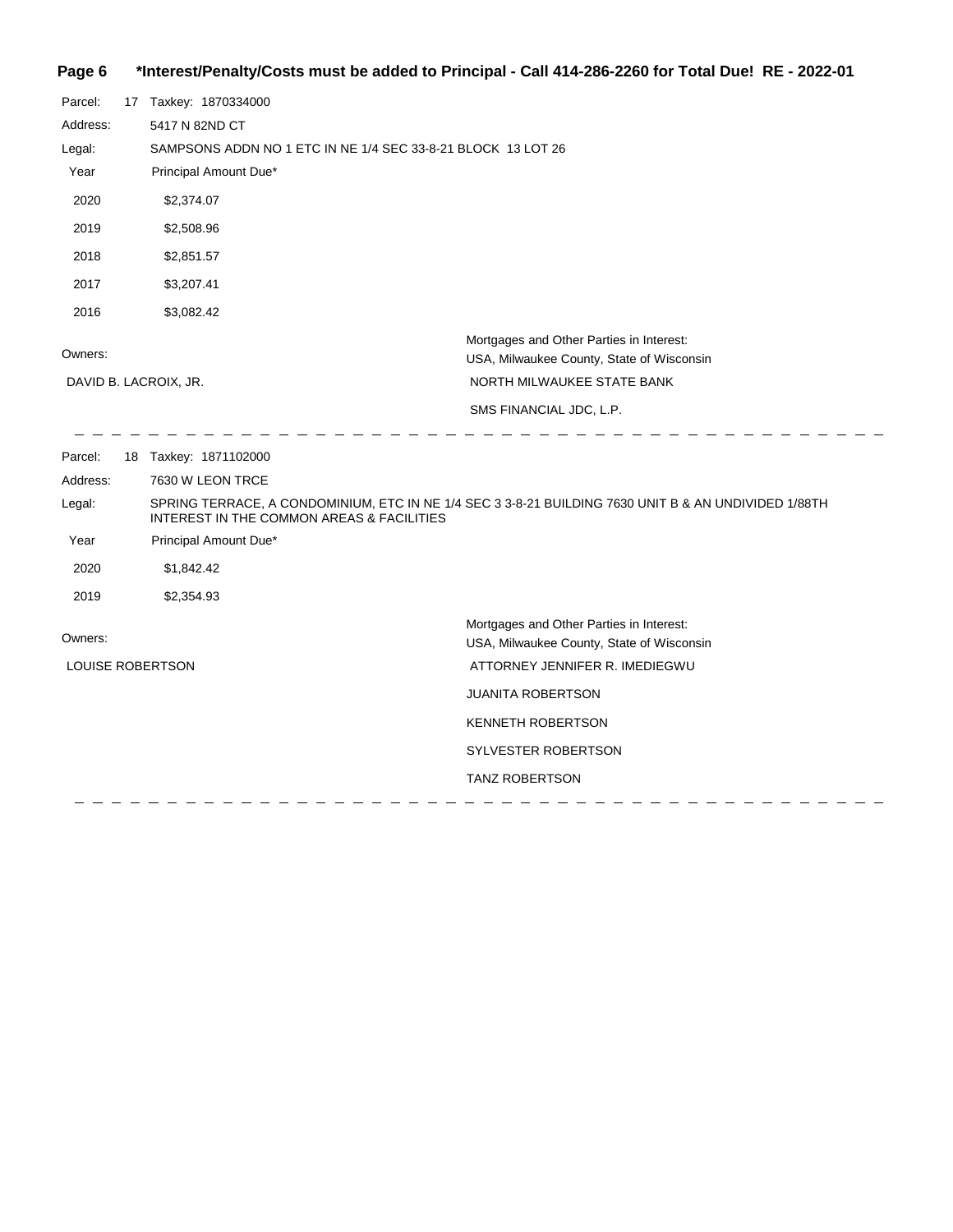# **Page 6 \*Interest/Penalty/Costs must be added to Principal - Call 414-286-2260 for Total Due! RE - 2022-01**

| Parcel:          | 17 Taxkey: 1870334000                                        |                                                                                                      |
|------------------|--------------------------------------------------------------|------------------------------------------------------------------------------------------------------|
| Address:         | 5417 N 82ND CT                                               |                                                                                                      |
| Legal:           | SAMPSONS ADDN NO 1 ETC IN NE 1/4 SEC 33-8-21 BLOCK 13 LOT 26 |                                                                                                      |
| Year             | Principal Amount Due*                                        |                                                                                                      |
| 2020             | \$2,374.07                                                   |                                                                                                      |
| 2019             | \$2,508.96                                                   |                                                                                                      |
| 2018             | \$2,851.57                                                   |                                                                                                      |
| 2017             | \$3,207.41                                                   |                                                                                                      |
| 2016             | \$3,082.42                                                   |                                                                                                      |
| Owners:          |                                                              | Mortgages and Other Parties in Interest:<br>USA, Milwaukee County, State of Wisconsin                |
|                  | DAVID B. LACROIX, JR.                                        | NORTH MILWAUKEE STATE BANK                                                                           |
|                  |                                                              | SMS FINANCIAL JDC, L.P.                                                                              |
| Parcel:          | 18 Taxkey: 1871102000                                        |                                                                                                      |
| Address:         | 7630 W LEON TRCE                                             |                                                                                                      |
| Legal:           | INTEREST IN THE COMMON AREAS & FACILITIES                    | SPRING TERRACE, A CONDOMINIUM, ETC IN NE 1/4 SEC 3 3-8-21 BUILDING 7630 UNIT B & AN UNDIVIDED 1/88TH |
| Year             | Principal Amount Due*                                        |                                                                                                      |
| 2020             | \$1,842.42                                                   |                                                                                                      |
| 2019             | \$2,354.93                                                   |                                                                                                      |
| Owners:          |                                                              | Mortgages and Other Parties in Interest:<br>USA, Milwaukee County, State of Wisconsin                |
| LOUISE ROBERTSON |                                                              | ATTORNEY JENNIFER R. IMEDIEGWU                                                                       |
|                  |                                                              | <b>JUANITA ROBERTSON</b>                                                                             |
|                  |                                                              | <b>KENNETH ROBERTSON</b>                                                                             |
|                  |                                                              | <b>SYLVESTER ROBERTSON</b>                                                                           |
|                  |                                                              |                                                                                                      |
|                  |                                                              | <b>TANZ ROBERTSON</b>                                                                                |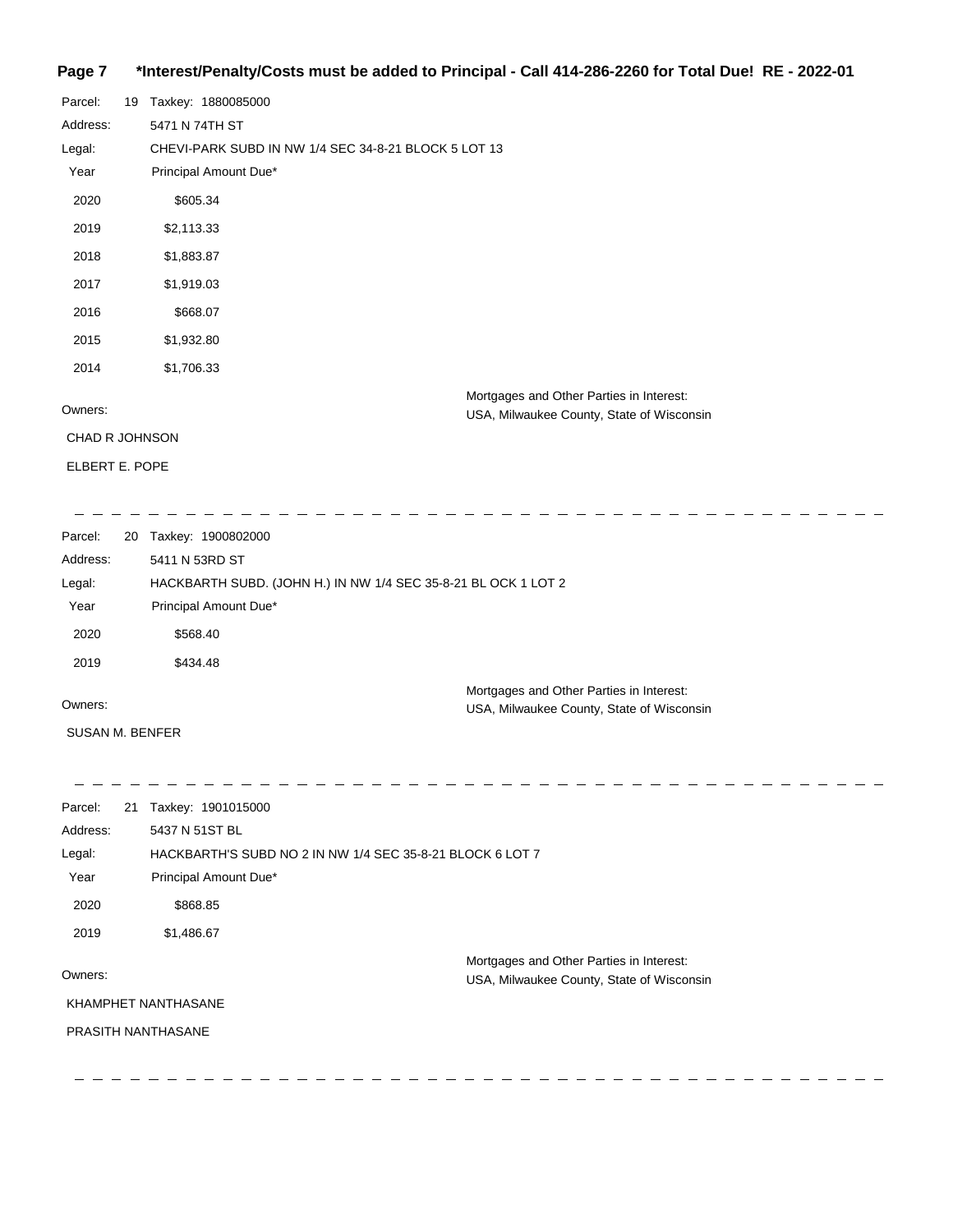### **Page 7 \*Interest/Penalty/Costs must be added to Principal - Call 414-286-2260 for Total Due! RE - 2022-01**

| Parcel:               | 19 | Taxkey: 1880085000                                                                    |
|-----------------------|----|---------------------------------------------------------------------------------------|
| Address:              |    | 5471 N 74TH ST                                                                        |
| Legal:                |    | CHEVI-PARK SUBD IN NW 1/4 SEC 34-8-21 BLOCK 5 LOT 13                                  |
| Year                  |    | Principal Amount Due*                                                                 |
| 2020                  |    | \$605.34                                                                              |
| 2019                  |    | \$2,113.33                                                                            |
| 2018                  |    | \$1,883.87                                                                            |
| 2017                  |    | \$1,919.03                                                                            |
| 2016                  |    | \$668.07                                                                              |
| 2015                  |    | \$1,932.80                                                                            |
| 2014                  |    | \$1,706.33                                                                            |
| Owners:               |    | Mortgages and Other Parties in Interest:<br>USA, Milwaukee County, State of Wisconsin |
| <b>CHAD R JOHNSON</b> |    |                                                                                       |

ELBERT E. POPE

| Parcel:  | 20 | Taxkey: 1900802000                                             |
|----------|----|----------------------------------------------------------------|
| Address: |    | 5411 N 53RD ST                                                 |
| Legal:   |    | HACKBARTH SUBD. (JOHN H.) IN NW 1/4 SEC 35-8-21 BL OCK 1 LOT 2 |
| Year     |    | Principal Amount Due*                                          |
| 2020     |    | \$568.40                                                       |
| 2019     |    | \$434.48                                                       |
|          |    | Mortgages and Other Parties in Interest:                       |
| Owners:  |    | USA, Milwaukee County, State of Wisconsin                      |

SUSAN M. BENFER

| Parcel:            | 21 Taxkey: 1901015000                                     |                                                                                       |
|--------------------|-----------------------------------------------------------|---------------------------------------------------------------------------------------|
| Address:           | 5437 N 51ST BL                                            |                                                                                       |
| Legal:             | HACKBARTH'S SUBD NO 2 IN NW 1/4 SEC 35-8-21 BLOCK 6 LOT 7 |                                                                                       |
| Year               | Principal Amount Due*                                     |                                                                                       |
| 2020               | \$868.85                                                  |                                                                                       |
| 2019               | \$1,486.67                                                |                                                                                       |
| Owners:            |                                                           | Mortgages and Other Parties in Interest:<br>USA, Milwaukee County, State of Wisconsin |
|                    | KHAMPHET NANTHASANE                                       |                                                                                       |
| PRASITH NANTHASANE |                                                           |                                                                                       |
|                    |                                                           |                                                                                       |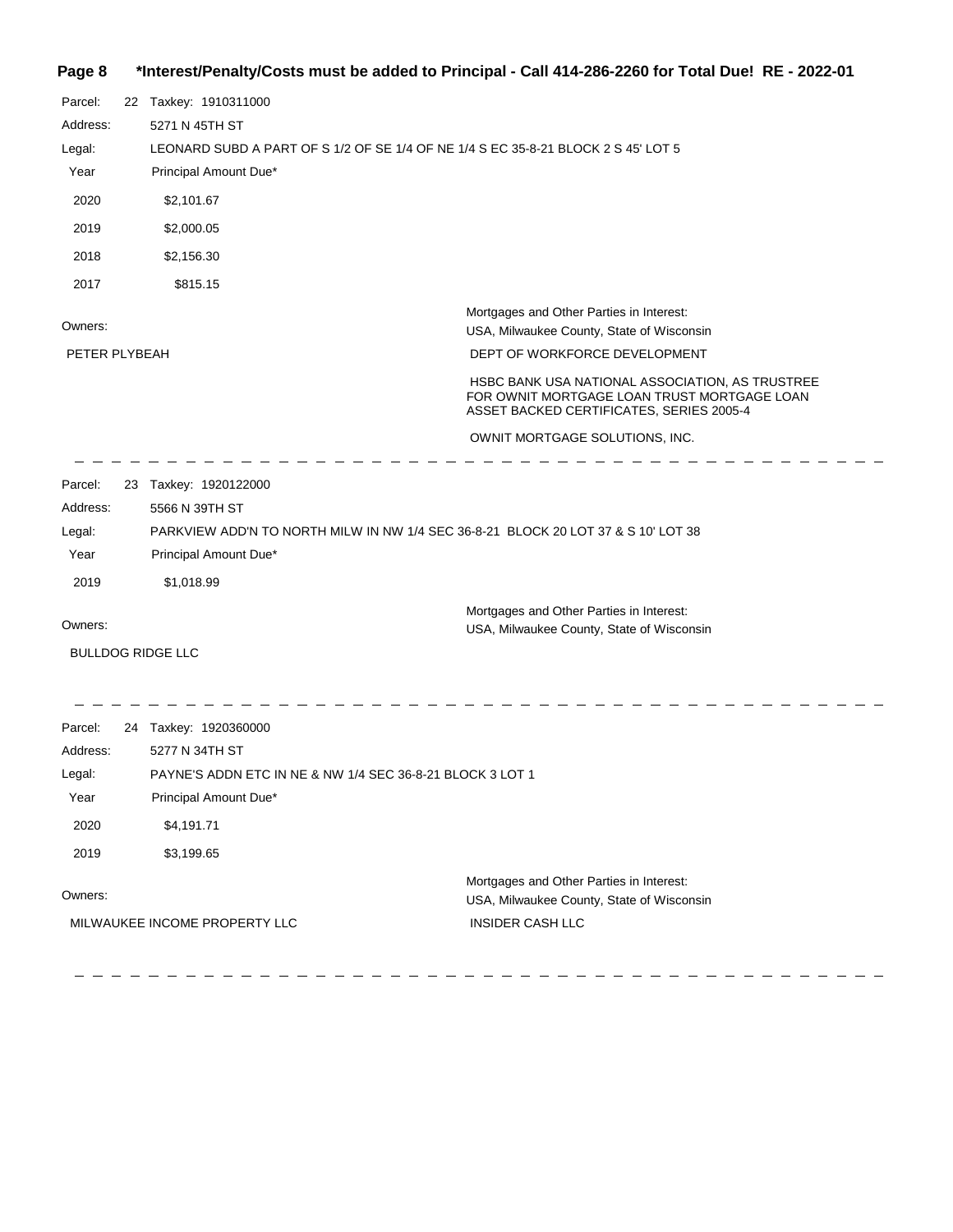# **Page 8 \*Interest/Penalty/Costs must be added to Principal - Call 414-286-2260 for Total Due! RE - 2022-01**

| Parcel:                  | 22 Taxkey: 1910311000    |                                                                                                                                            |
|--------------------------|--------------------------|--------------------------------------------------------------------------------------------------------------------------------------------|
| Address:                 | 5271 N 45TH ST           |                                                                                                                                            |
| Legal:                   |                          | LEONARD SUBD A PART OF S 1/2 OF SE 1/4 OF NE 1/4 S EC 35-8-21 BLOCK 2 S 45' LOT 5                                                          |
| Year                     | Principal Amount Due*    |                                                                                                                                            |
| 2020                     | \$2,101.67               |                                                                                                                                            |
| 2019                     | \$2,000.05               |                                                                                                                                            |
| 2018                     | \$2,156.30               |                                                                                                                                            |
| 2017                     | \$815.15                 |                                                                                                                                            |
| Owners:<br>PETER PLYBEAH |                          | Mortgages and Other Parties in Interest:<br>USA, Milwaukee County, State of Wisconsin<br>DEPT OF WORKFORCE DEVELOPMENT                     |
|                          |                          | HSBC BANK USA NATIONAL ASSOCIATION, AS TRUSTREE<br>FOR OWNIT MORTGAGE LOAN TRUST MORTGAGE LOAN<br>ASSET BACKED CERTIFICATES, SERIES 2005-4 |
|                          |                          | OWNIT MORTGAGE SOLUTIONS, INC.                                                                                                             |
| Parcel:                  | 23 Taxkey: 1920122000    |                                                                                                                                            |
| Address:                 | 5566 N 39TH ST           |                                                                                                                                            |
| Legal:                   |                          | PARKVIEW ADD'N TO NORTH MILW IN NW 1/4 SEC 36-8-21 BLOCK 20 LOT 37 & S 10' LOT 38                                                          |
| Year                     | Principal Amount Due*    |                                                                                                                                            |
| 2019                     | \$1,018.99               |                                                                                                                                            |
| Owners:                  |                          | Mortgages and Other Parties in Interest:<br>USA, Milwaukee County, State of Wisconsin                                                      |
|                          | <b>BULLDOG RIDGE LLC</b> |                                                                                                                                            |
|                          |                          |                                                                                                                                            |
| Parcel:                  | 24 Taxkey: 1920360000    |                                                                                                                                            |
| Address.                 | 5277 N 34TH ST           |                                                                                                                                            |

| Address: | 5277 N 34TH ST                                            |                                                                                       |
|----------|-----------------------------------------------------------|---------------------------------------------------------------------------------------|
| Legal:   | PAYNE'S ADDN ETC IN NE & NW 1/4 SEC 36-8-21 BLOCK 3 LOT 1 |                                                                                       |
| Year     | Principal Amount Due*                                     |                                                                                       |
| 2020     | \$4,191.71                                                |                                                                                       |
| 2019     | \$3,199.65                                                |                                                                                       |
| Owners:  |                                                           | Mortgages and Other Parties in Interest:<br>USA, Milwaukee County, State of Wisconsin |
|          | MILWAUKEE INCOME PROPERTY LLC                             | INSIDER CASH LLC                                                                      |

 $\equiv$  $\hspace{0.1cm} \rule{0.7cm}{0.1cm} \hspace{0.1cm} \rule{0.7cm}{0.1cm}$ 

 $\hspace{0.1cm} \rule{0.7cm}{0.1cm} \hspace{0.1cm} \hspace{0.1cm} \hspace{0.1cm} \hspace{0.1cm} \hspace{0.1cm} \hspace{0.1cm} \hspace{0.1cm} \hspace{0.1cm} \hspace{0.1cm}$ 

 $\frac{1}{2} \frac{1}{2} \frac{1}{2} \frac{1}{2} \frac{1}{2} \frac{1}{2} \frac{1}{2} \frac{1}{2} \frac{1}{2} \frac{1}{2} \frac{1}{2} \frac{1}{2} \frac{1}{2} \frac{1}{2} \frac{1}{2} \frac{1}{2} \frac{1}{2} \frac{1}{2} \frac{1}{2} \frac{1}{2} \frac{1}{2} \frac{1}{2} \frac{1}{2} \frac{1}{2} \frac{1}{2} \frac{1}{2} \frac{1}{2} \frac{1}{2} \frac{1}{2} \frac{1}{2} \frac{1}{2} \frac{$ 

 $\equiv$  $\equiv$  $\equiv$ 

 $\hspace{0.1cm} - \hspace{0.1cm} - \hspace{0.1cm}$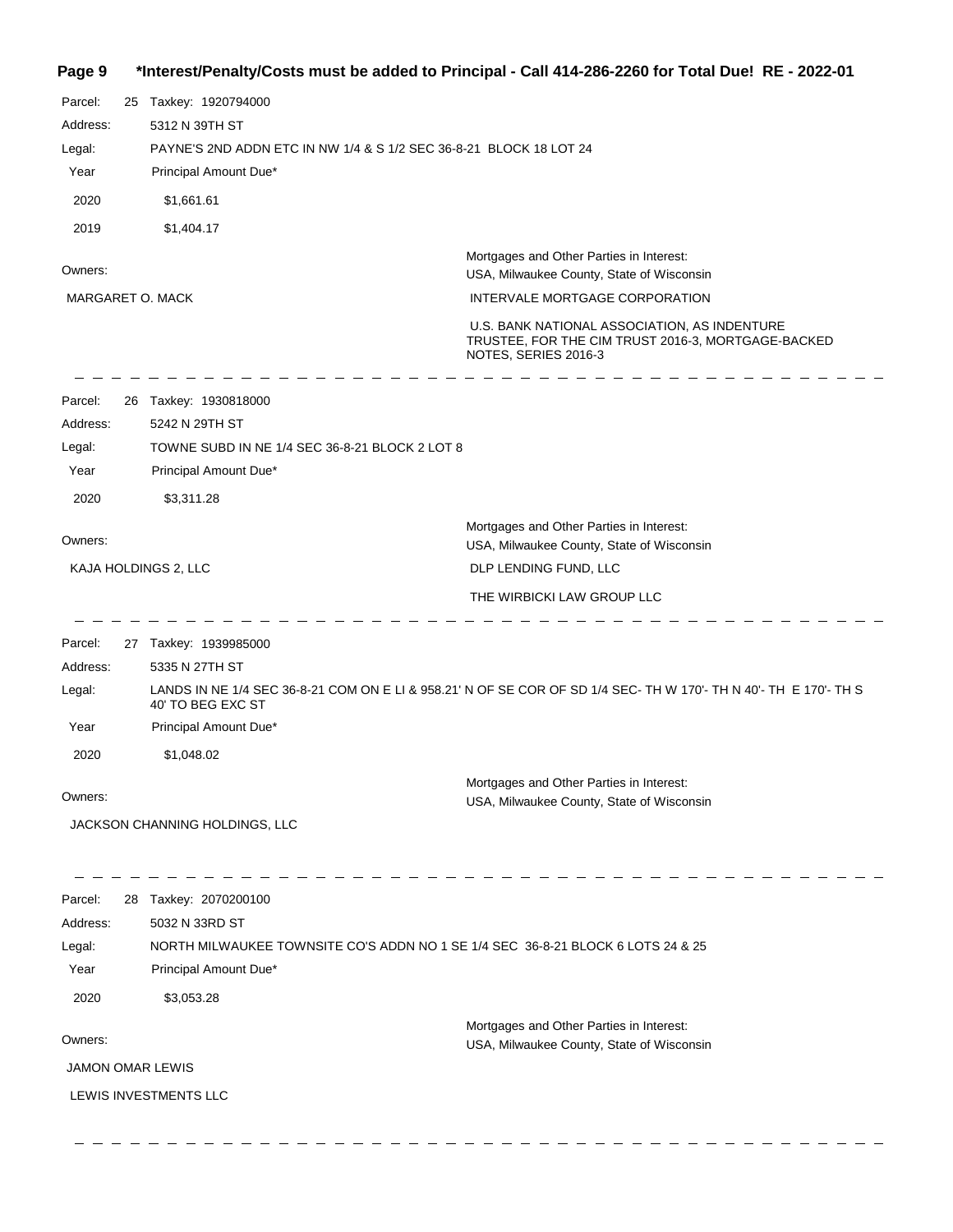# **Page 9 \*Interest/Penalty/Costs must be added to Principal - Call 414-286-2260 for Total Due! RE - 2022-01**

| Parcel:<br>Address:     | 25 Taxkey: 1920794000<br>5312 N 39TH ST        |                                                                                                                            |
|-------------------------|------------------------------------------------|----------------------------------------------------------------------------------------------------------------------------|
| Legal:                  |                                                | PAYNE'S 2ND ADDN ETC IN NW 1/4 & S 1/2 SEC 36-8-21 BLOCK 18 LOT 24                                                         |
| Year                    | Principal Amount Due*                          |                                                                                                                            |
| 2020                    | \$1,661.61                                     |                                                                                                                            |
| 2019                    | \$1,404.17                                     |                                                                                                                            |
|                         |                                                | Mortgages and Other Parties in Interest:                                                                                   |
| Owners:                 |                                                | USA, Milwaukee County, State of Wisconsin                                                                                  |
| MARGARET O. MACK        |                                                | INTERVALE MORTGAGE CORPORATION                                                                                             |
|                         |                                                | U.S. BANK NATIONAL ASSOCIATION, AS INDENTURE<br>TRUSTEE, FOR THE CIM TRUST 2016-3, MORTGAGE-BACKED<br>NOTES, SERIES 2016-3 |
| Parcel:                 | 26 Taxkey: 1930818000                          |                                                                                                                            |
| Address:                | 5242 N 29TH ST                                 |                                                                                                                            |
| Legal:                  | TOWNE SUBD IN NE 1/4 SEC 36-8-21 BLOCK 2 LOT 8 |                                                                                                                            |
| Year                    | Principal Amount Due*                          |                                                                                                                            |
| 2020                    | \$3,311.28                                     |                                                                                                                            |
| Owners:                 |                                                | Mortgages and Other Parties in Interest:<br>USA, Milwaukee County, State of Wisconsin                                      |
| KAJA HOLDINGS 2, LLC    |                                                | DLP LENDING FUND, LLC                                                                                                      |
|                         |                                                | THE WIRBICKI LAW GROUP LLC                                                                                                 |
| Parcel:                 | 27 Taxkey: 1939985000                          |                                                                                                                            |
| Address:                | 5335 N 27TH ST                                 |                                                                                                                            |
| Legal:                  | 40' TO BEG EXC ST                              | LANDS IN NE 1/4 SEC 36-8-21 COM ON E LI & 958.21' N OF SE COR OF SD 1/4 SEC- TH W 170'- TH N 40'- TH E 170'- TH S          |
| Year                    | Principal Amount Due*                          |                                                                                                                            |
| 2020                    | \$1,048.02                                     |                                                                                                                            |
| Owners:                 |                                                | Mortgages and Other Parties in Interest:                                                                                   |
|                         |                                                | USA, Milwaukee County, State of Wisconsin                                                                                  |
|                         | JACKSON CHANNING HOLDINGS, LLC                 |                                                                                                                            |
| Parcel:                 | 28 Taxkey: 2070200100                          |                                                                                                                            |
| Address:                | 5032 N 33RD ST                                 |                                                                                                                            |
| Legal:                  |                                                | NORTH MILWAUKEE TOWNSITE CO'S ADDN NO 1 SE 1/4 SEC 36-8-21 BLOCK 6 LOTS 24 & 25                                            |
| Year                    | Principal Amount Due*                          |                                                                                                                            |
| 2020                    | \$3,053.28                                     |                                                                                                                            |
|                         |                                                | Mortgages and Other Parties in Interest:                                                                                   |
| Owners:                 |                                                | USA, Milwaukee County, State of Wisconsin                                                                                  |
| <b>JAMON OMAR LEWIS</b> |                                                |                                                                                                                            |
|                         | LEWIS INVESTMENTS LLC                          |                                                                                                                            |
|                         |                                                |                                                                                                                            |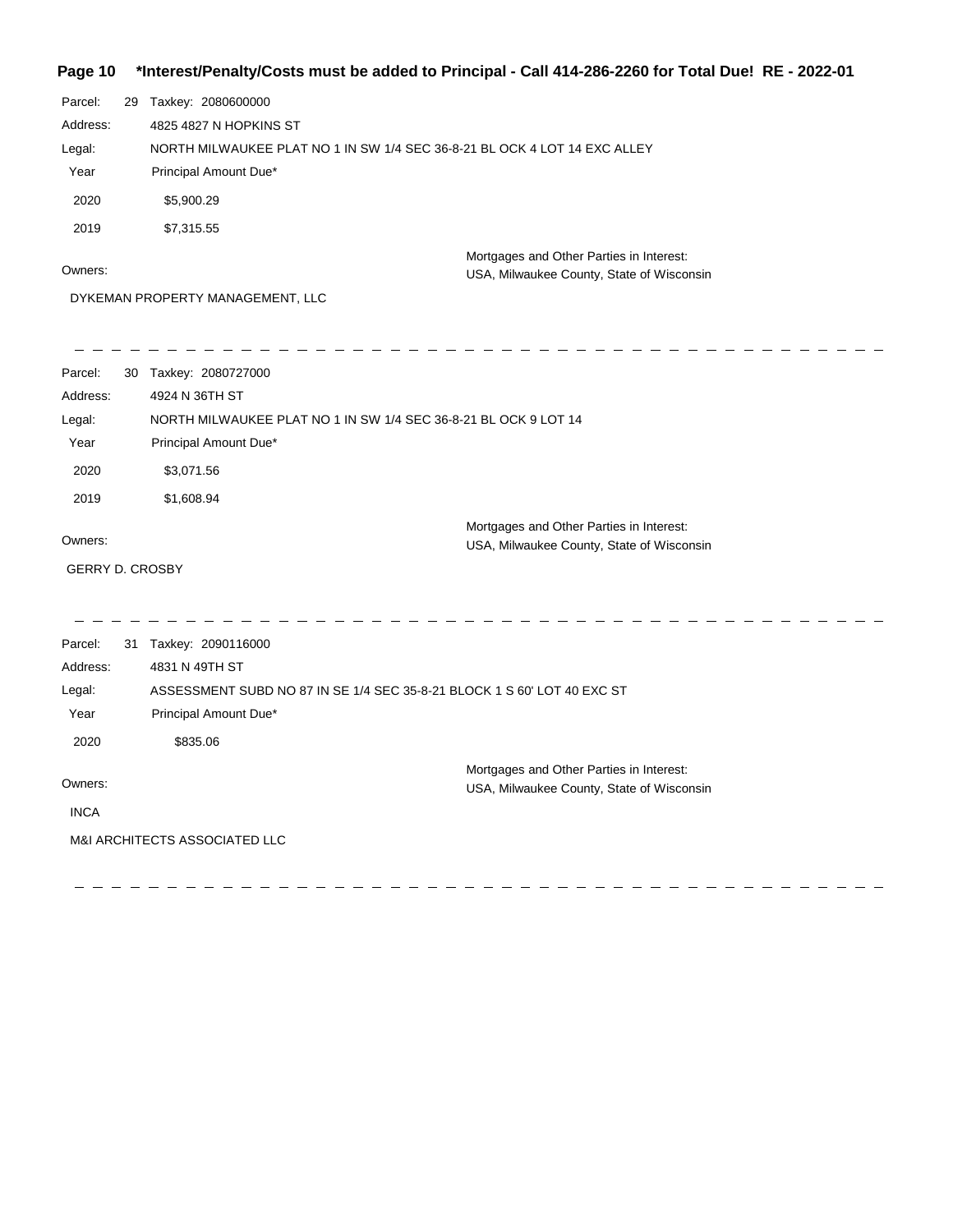**Page 10 \*Interest/Penalty/Costs must be added to Principal - Call 414-286-2260 for Total Due! RE - 2022-01**

| Parcel:<br>Address:<br>Legal:<br>Year<br>2020<br>2019<br>Owners: | 29 Taxkey: 2080600000<br>4825 4827 N HOPKINS ST<br>NORTH MILWAUKEE PLAT NO 1 IN SW 1/4 SEC 36-8-21 BL OCK 4 LOT 14 EXC ALLEY<br>Principal Amount Due*<br>\$5,900.29<br>\$7,315.55<br>DYKEMAN PROPERTY MANAGEMENT, LLC | Mortgages and Other Parties in Interest:<br>USA, Milwaukee County, State of Wisconsin |
|------------------------------------------------------------------|-----------------------------------------------------------------------------------------------------------------------------------------------------------------------------------------------------------------------|---------------------------------------------------------------------------------------|
| Parcel:                                                          | 30 Taxkey: 2080727000                                                                                                                                                                                                 |                                                                                       |
| Address:                                                         | 4924 N 36TH ST                                                                                                                                                                                                        |                                                                                       |
| Legal:                                                           | NORTH MILWAUKEE PLAT NO 1 IN SW 1/4 SEC 36-8-21 BL OCK 9 LOT 14                                                                                                                                                       |                                                                                       |
| Year                                                             | Principal Amount Due*                                                                                                                                                                                                 |                                                                                       |
| 2020                                                             | \$3,071.56                                                                                                                                                                                                            |                                                                                       |
| 2019                                                             | \$1,608.94                                                                                                                                                                                                            |                                                                                       |
|                                                                  |                                                                                                                                                                                                                       | Mortgages and Other Parties in Interest:                                              |
| Owners:                                                          |                                                                                                                                                                                                                       | USA, Milwaukee County, State of Wisconsin                                             |
|                                                                  | <b>GERRY D. CROSBY</b>                                                                                                                                                                                                |                                                                                       |
|                                                                  |                                                                                                                                                                                                                       |                                                                                       |
| Parcel:                                                          | 31 Taxkey: 2090116000                                                                                                                                                                                                 |                                                                                       |
| Address:                                                         | 4831 N 49TH ST                                                                                                                                                                                                        |                                                                                       |
| Legal:                                                           | ASSESSMENT SUBD NO 87 IN SE 1/4 SEC 35-8-21 BLOCK 1 S 60' LOT 40 EXC ST                                                                                                                                               |                                                                                       |
| Year                                                             | Principal Amount Due*                                                                                                                                                                                                 |                                                                                       |
| 2020                                                             | \$835.06                                                                                                                                                                                                              |                                                                                       |
| Owners:                                                          |                                                                                                                                                                                                                       | Mortgages and Other Parties in Interest:<br>USA, Milwaukee County, State of Wisconsin |
| <b>INCA</b>                                                      |                                                                                                                                                                                                                       |                                                                                       |
|                                                                  | <b>M&amp;I ARCHITECTS ASSOCIATED LLC</b>                                                                                                                                                                              |                                                                                       |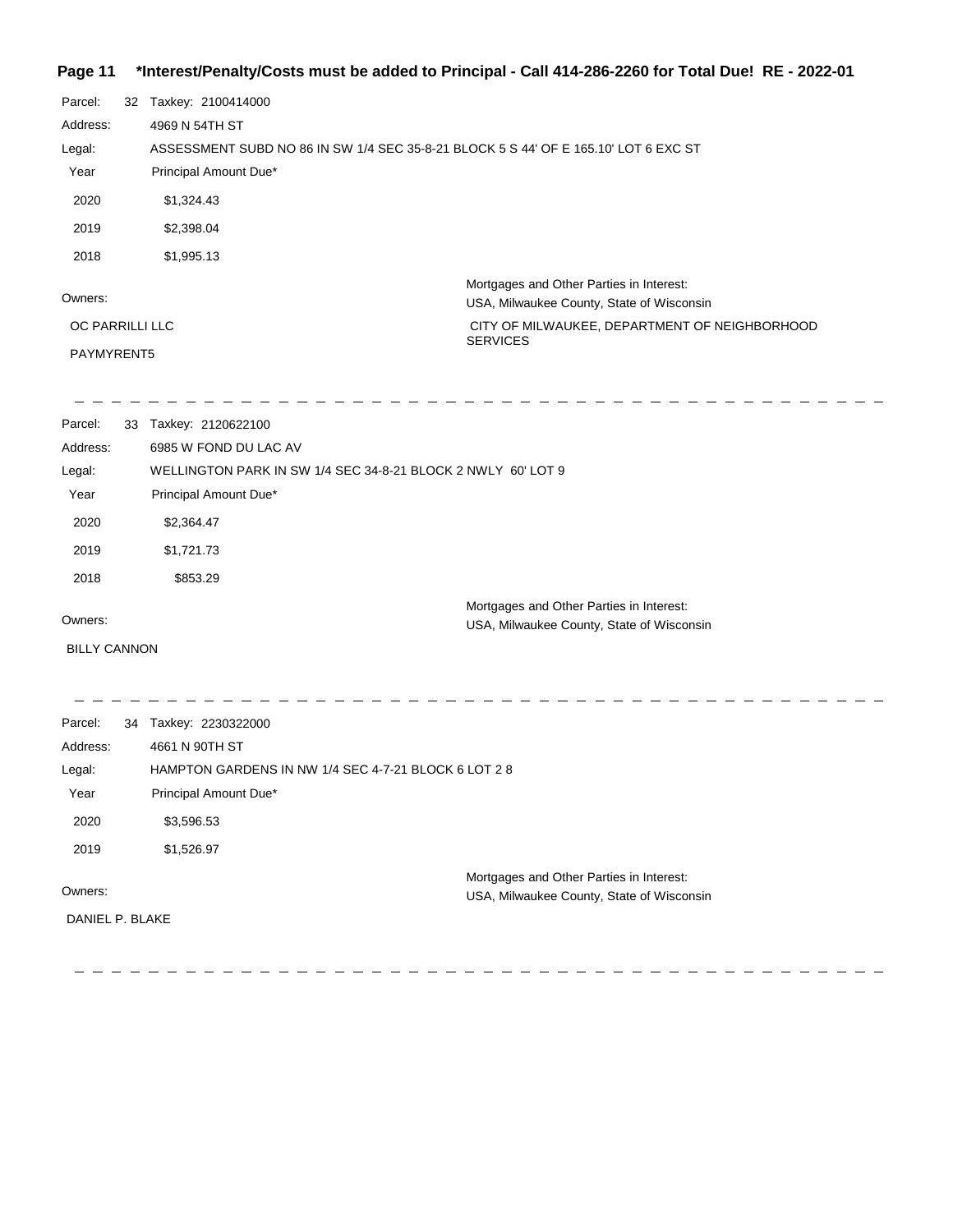#### **Page 11 \*Interest/Penalty/Costs must be added to Principal - Call 414-286-2260 for Total Due! RE - 2022-01**

| Parcel:         | 32 | Taxkey: 2100414000                                                                  |                                                                                       |
|-----------------|----|-------------------------------------------------------------------------------------|---------------------------------------------------------------------------------------|
| Address:        |    | 4969 N 54TH ST                                                                      |                                                                                       |
| Legal:          |    | ASSESSMENT SUBD NO 86 IN SW 1/4 SEC 35-8-21 BLOCK 5 S 44' OF E 165.10' LOT 6 EXC ST |                                                                                       |
| Year            |    | Principal Amount Due*                                                               |                                                                                       |
| 2020            |    | \$1,324.43                                                                          |                                                                                       |
| 2019            |    | \$2,398.04                                                                          |                                                                                       |
| 2018            |    | \$1,995.13                                                                          |                                                                                       |
| Owners:         |    |                                                                                     | Mortgages and Other Parties in Interest:<br>USA, Milwaukee County, State of Wisconsin |
| OC PARRILLI LLC |    |                                                                                     | CITY OF MILWAUKEE, DEPARTMENT OF NEIGHBORHOOD<br><b>SERVICES</b>                      |
| PAYMYRENT5      |    |                                                                                     |                                                                                       |
|                 |    |                                                                                     |                                                                                       |
| Parcel:         |    | 33 Taxkey: 2120622100                                                               |                                                                                       |
| Address:        |    | 6985 W FOND DU LAC AV                                                               |                                                                                       |
| l enal·         |    | WELLINGTON PARK IN SW 1/4 SEC 34-8-21 BLOCK 2 NWI Y 60'LOT 9                        |                                                                                       |

| Luyai. | <u>WELLINGTON LANN IN OWLIA OLO 04-0-21 DEOON 2 INVELIT OU LOTE:</u> |  |
|--------|----------------------------------------------------------------------|--|
| Year   | Principal Amount Due*                                                |  |
| 2020   | \$2,364.47                                                           |  |
| 2019   | \$1,721.73                                                           |  |
| 2018   | \$853.29                                                             |  |
|        | Mortgages and Other Parties in Interest:                             |  |

Owners:

BILLY CANNON

 $\frac{1}{2}$ 

USA, Milwaukee County, State of Wisconsin

2 2 2 2 2 2

-----------------------------------------Parcel: 34 Taxkey: 2230322000 4661 N 90TH ST Address: HAMPTON GARDENS IN NW 1/4 SEC 4-7-21 BLOCK 6 LOT 2 8 Legal: Year Principal Amount Due\* 2020 \$3,596.53 2019 \$1,526.97 Mortgages and Other Parties in Interest: Owners: USA, Milwaukee County, State of Wisconsin DANIEL P. BLAKE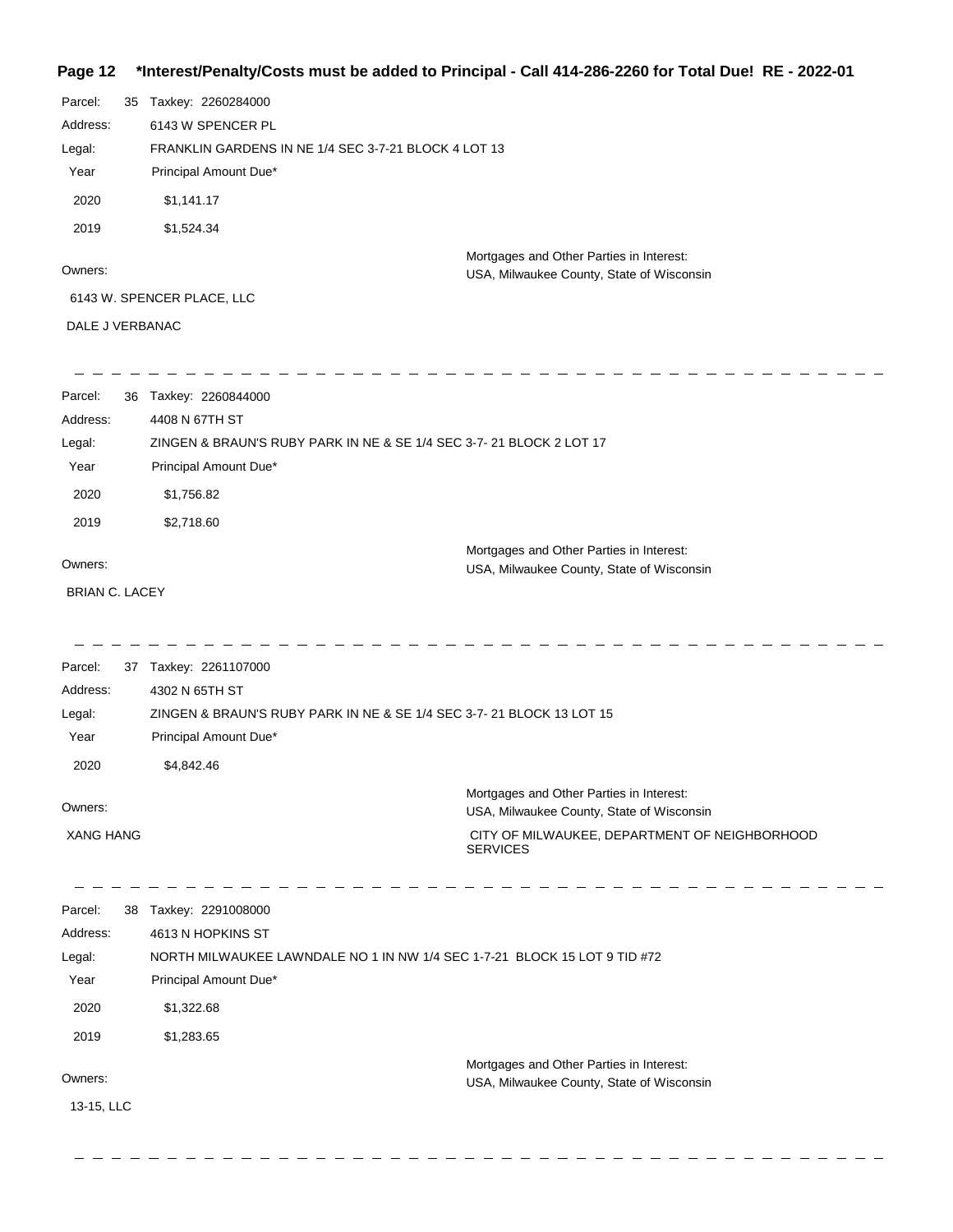#### **Page 12 \*Interest/Penalty/Costs must be added to Principal - Call 414-286-2260 for Total Due! RE - 2022-01**

| Parcel:               | 35 Taxkey: 2260284000                                |                                                                                       |
|-----------------------|------------------------------------------------------|---------------------------------------------------------------------------------------|
| Address:              | 6143 W SPENCER PL                                    |                                                                                       |
| Legal:                | FRANKLIN GARDENS IN NE 1/4 SEC 3-7-21 BLOCK 4 LOT 13 |                                                                                       |
| Year                  | Principal Amount Due*                                |                                                                                       |
| 2020                  | \$1,141.17                                           |                                                                                       |
| 2019                  | \$1,524.34                                           |                                                                                       |
| Owners:               |                                                      | Mortgages and Other Parties in Interest:<br>USA, Milwaukee County, State of Wisconsin |
|                       | 6143 W. SPENCER PLACE, LLC                           |                                                                                       |
| DALE J VERBANAC       |                                                      |                                                                                       |
| Parcel:               | 36 Taxkey: 2260844000                                |                                                                                       |
| Address:              | 4408 N 67TH ST                                       |                                                                                       |
| Legal:                |                                                      | ZINGEN & BRAUN'S RUBY PARK IN NE & SE 1/4 SEC 3-7- 21 BLOCK 2 LOT 17                  |
| Year                  | Principal Amount Due*                                |                                                                                       |
| 2020                  | \$1,756.82                                           |                                                                                       |
| 2019                  | \$2,718.60                                           |                                                                                       |
| Owners:               |                                                      | Mortgages and Other Parties in Interest:                                              |
| <b>BRIAN C. LACEY</b> |                                                      | USA, Milwaukee County, State of Wisconsin                                             |
|                       |                                                      |                                                                                       |
| Parcel:               | 37 Taxkey: 2261107000                                |                                                                                       |
| Address:              | 4302 N 65TH ST                                       |                                                                                       |
| Legal:<br>Year        | Principal Amount Due*                                | ZINGEN & BRAUN'S RUBY PARK IN NE & SE 1/4 SEC 3-7-21 BLOCK 13 LOT 15                  |
| 2020                  |                                                      |                                                                                       |
|                       | \$4,842.46                                           |                                                                                       |
| Owners:               |                                                      | Mortgages and Other Parties in Interest:<br>USA, Milwaukee County, State of Wisconsin |
| <b>XANG HANG</b>      |                                                      | CITY OF MILWAUKEE, DEPARTMENT OF NEIGHBORHOOD<br><b>SERVICES</b>                      |
| Parcel:               | 38 Taxkey: 2291008000                                |                                                                                       |
| Address:              | 4613 N HOPKINS ST                                    |                                                                                       |
| Legal:<br>Year        |                                                      | NORTH MILWAUKEE LAWNDALE NO 1 IN NW 1/4 SEC 1-7-21 BLOCK 15 LOT 9 TID #72             |
|                       | Principal Amount Due*                                |                                                                                       |
| 2020                  | \$1,322.68                                           |                                                                                       |
| 2019                  | \$1,283.65                                           |                                                                                       |
| Owners:               |                                                      | Mortgages and Other Parties in Interest:                                              |
| 13-15, LLC            |                                                      | USA, Milwaukee County, State of Wisconsin                                             |
|                       |                                                      |                                                                                       |
|                       |                                                      |                                                                                       |

 $\overline{\phantom{a}}$ 

 $-$  - - - - - -

 $\frac{1}{2} \frac{1}{2} \frac{1}{2} \frac{1}{2} \frac{1}{2} \frac{1}{2} \frac{1}{2} \frac{1}{2} \frac{1}{2} \frac{1}{2} \frac{1}{2} \frac{1}{2} \frac{1}{2} \frac{1}{2} \frac{1}{2} \frac{1}{2} \frac{1}{2} \frac{1}{2} \frac{1}{2} \frac{1}{2} \frac{1}{2} \frac{1}{2} \frac{1}{2} \frac{1}{2} \frac{1}{2} \frac{1}{2} \frac{1}{2} \frac{1}{2} \frac{1}{2} \frac{1}{2} \frac{1}{2} \frac{$ 

 $\frac{1}{2} \frac{1}{2} \frac{1}{2} \frac{1}{2} \frac{1}{2} \frac{1}{2} \frac{1}{2} \frac{1}{2} \frac{1}{2} \frac{1}{2} \frac{1}{2} \frac{1}{2} \frac{1}{2} \frac{1}{2} \frac{1}{2} \frac{1}{2} \frac{1}{2} \frac{1}{2} \frac{1}{2} \frac{1}{2} \frac{1}{2} \frac{1}{2} \frac{1}{2} \frac{1}{2} \frac{1}{2} \frac{1}{2} \frac{1}{2} \frac{1}{2} \frac{1}{2} \frac{1}{2} \frac{1}{2} \frac{$ 

 $-$  - - - - -

 $\longrightarrow$   $\longrightarrow$ 

 $\overline{\phantom{a}}$  $\overline{\phantom{a}}$  $\equiv$  $\equiv$  $\overline{\phantom{m}}$  $\overline{\phantom{a}}$  $\overline{\phantom{m}}$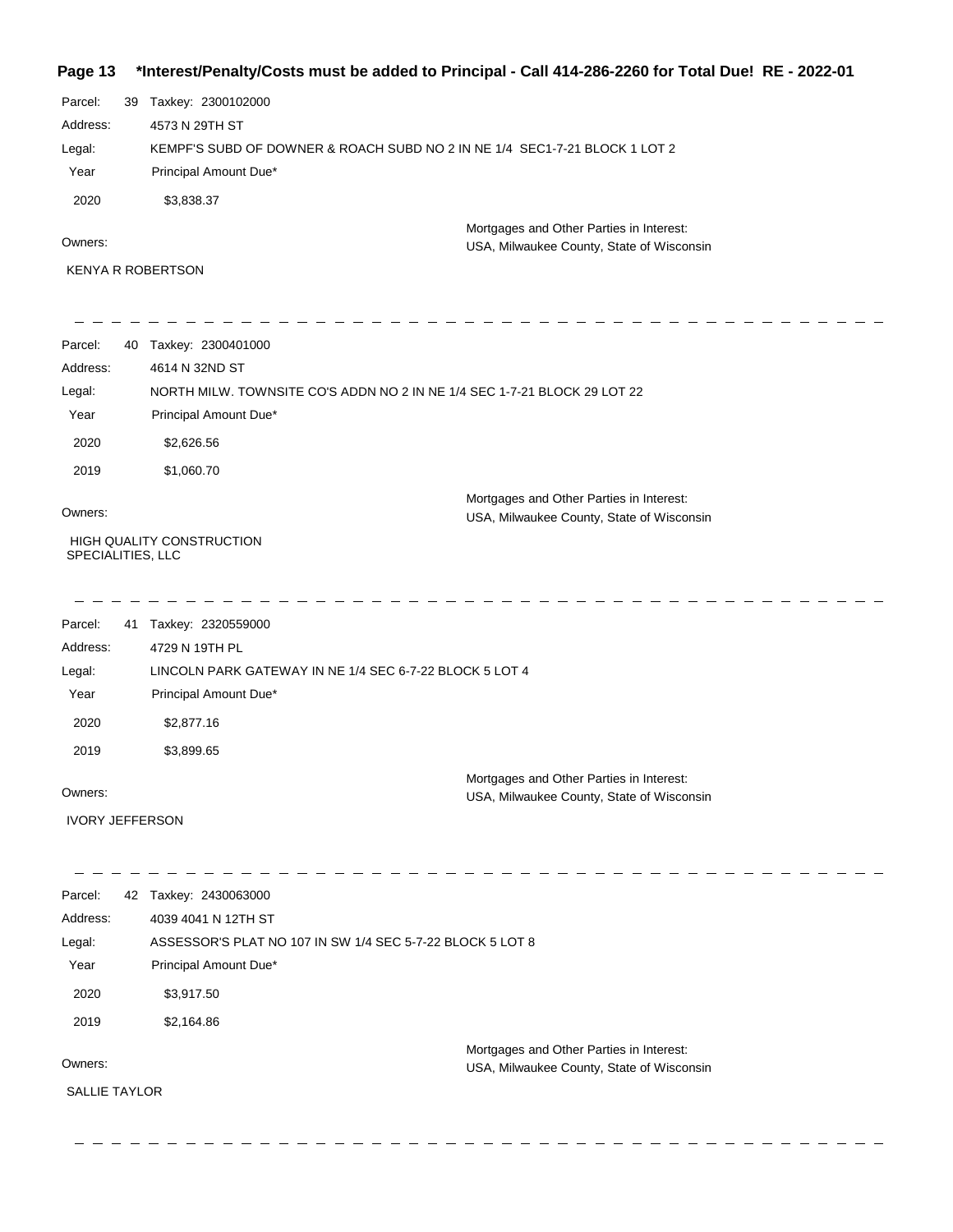#### **Page 13 \*Interest/Penalty/Costs must be added to Principal - Call 414-286-2260 for Total Due! RE - 2022-01**

| Parcel:  | 39 Taxkey: 2300102000                                                      |
|----------|----------------------------------------------------------------------------|
| Address: | 4573 N 29TH ST                                                             |
| Legal:   | KEMPF'S SUBD OF DOWNER & ROACH SUBD NO 2 IN NE 1/4 SEC1-7-21 BLOCK 1 LOT 2 |
| Year     | Principal Amount Due*                                                      |
| 2020     | \$3,838,37                                                                 |
|          | Mortgages and Other Parties in Interest:                                   |

Owners:

KENYA R ROBERTSON

\_\_\_\_\_\_\_\_\_\_\_\_\_\_\_\_\_\_\_\_  $\frac{1}{2} \frac{1}{2} \frac{1}{2} \frac{1}{2} \frac{1}{2} \frac{1}{2} \frac{1}{2} \frac{1}{2} \frac{1}{2} \frac{1}{2} \frac{1}{2} \frac{1}{2} \frac{1}{2} \frac{1}{2} \frac{1}{2} \frac{1}{2} \frac{1}{2} \frac{1}{2} \frac{1}{2} \frac{1}{2} \frac{1}{2} \frac{1}{2} \frac{1}{2} \frac{1}{2} \frac{1}{2} \frac{1}{2} \frac{1}{2} \frac{1}{2} \frac{1}{2} \frac{1}{2} \frac{1}{2} \frac{$ -------------Parcel: 40 Taxkey: 2300401000 Address: 4614 N 32ND ST NORTH MILW. TOWNSITE CO'S ADDN NO 2 IN NE 1/4 SEC 1-7-21 BLOCK 29 LOT 22 Legal: Year Principal Amount Due\* 2020 \$2,626.56 2019 \$1,060.70

Owners:

Mortgages and Other Parties in Interest: USA, Milwaukee County, State of Wisconsin

. . . . . . . . . . .

USA, Milwaukee County, State of Wisconsin

 HIGH QUALITY CONSTRUCTION SPECIALITIES, LLC

\_ \_ \_ \_ \_ \_ \_ \_ \_ \_ \_ \_ \_ \_ \_ \_ \_ \_

| Parcel:  | 41 | Taxkey: 2320559000                                                                    |  |
|----------|----|---------------------------------------------------------------------------------------|--|
| Address: |    | 4729 N 19TH PL                                                                        |  |
| Legal:   |    | LINCOLN PARK GATEWAY IN NE 1/4 SEC 6-7-22 BLOCK 5 LOT 4                               |  |
| Year     |    | Principal Amount Due*                                                                 |  |
| 2020     |    | \$2,877.16                                                                            |  |
| 2019     |    | \$3,899.65                                                                            |  |
| Owners:  |    | Mortgages and Other Parties in Interest:<br>USA, Milwaukee County, State of Wisconsin |  |

IVORY JEFFERSON

| Parcel:              | 42 | Taxkey: 2430063000                                        |
|----------------------|----|-----------------------------------------------------------|
| Address:             |    | 4039 4041 N 12TH ST                                       |
| Legal:               |    | ASSESSOR'S PLAT NO 107 IN SW 1/4 SEC 5-7-22 BLOCK 5 LOT 8 |
| Year                 |    | Principal Amount Due*                                     |
| 2020                 |    | \$3,917.50                                                |
| 2019                 |    | \$2,164.86                                                |
|                      |    | Mortgages and Other Parties in Interest:                  |
| Owners:              |    | USA, Milwaukee County, State of Wisconsin                 |
| <b>SALLIE TAYLOR</b> |    |                                                           |
|                      |    |                                                           |
|                      |    |                                                           |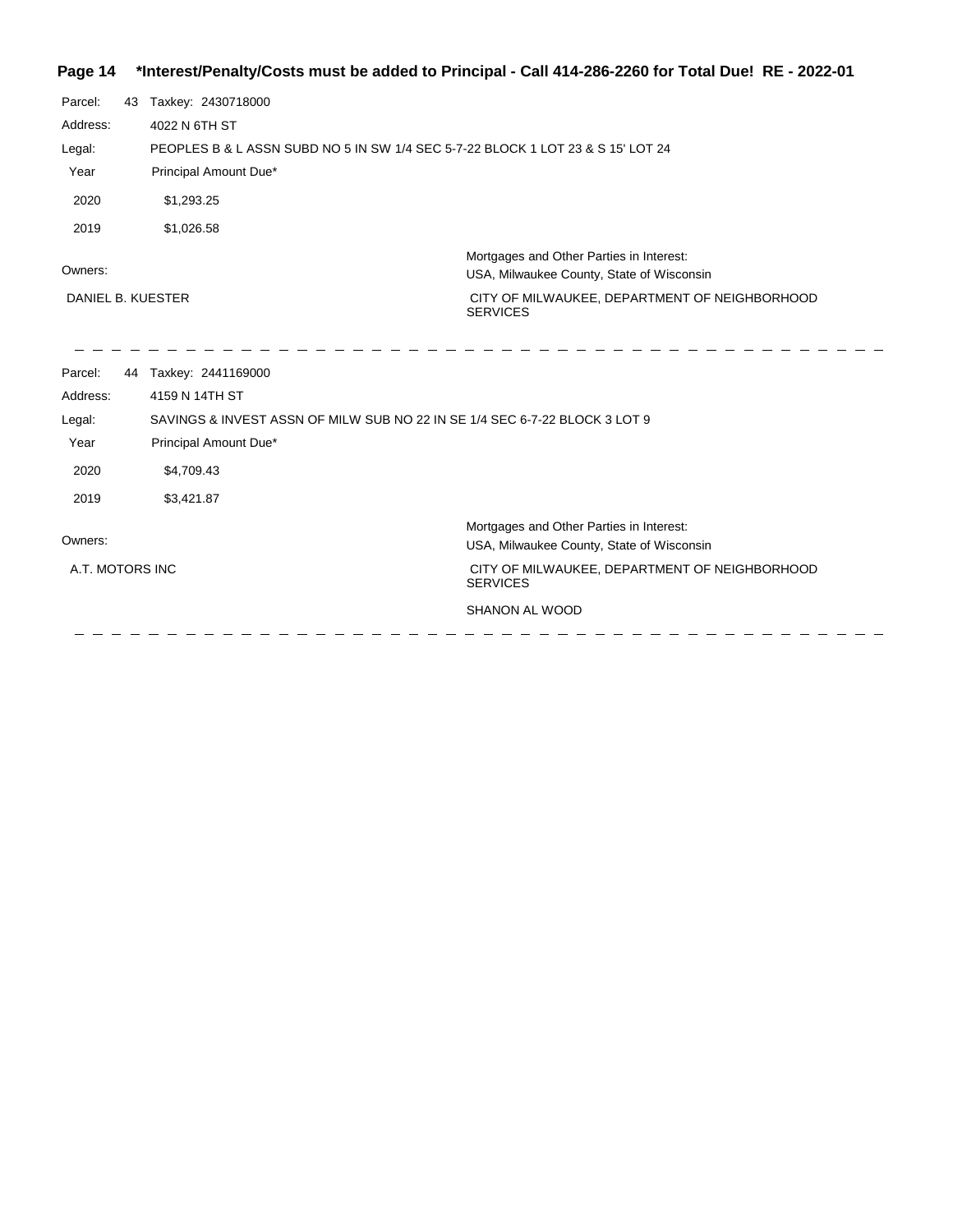# **Page 14 \*Interest/Penalty/Costs must be added to Principal - Call 414-286-2260 for Total Due! RE - 2022-01**

| Parcel:<br>Address:<br>Legal:<br>Year | 43 | Taxkey: 2430718000<br>4022 N 6TH ST<br>PEOPLES B & L ASSN SUBD NO 5 IN SW 1/4 SEC 5-7-22 BLOCK 1 LOT 23 & S 15' LOT 24<br>Principal Amount Due* |                                                                                                                                                           |
|---------------------------------------|----|-------------------------------------------------------------------------------------------------------------------------------------------------|-----------------------------------------------------------------------------------------------------------------------------------------------------------|
| 2020                                  |    | \$1,293.25                                                                                                                                      |                                                                                                                                                           |
| 2019                                  |    | \$1,026.58                                                                                                                                      |                                                                                                                                                           |
| Owners:<br>DANIEL B. KUESTER          |    |                                                                                                                                                 | Mortgages and Other Parties in Interest:<br>USA, Milwaukee County, State of Wisconsin<br>CITY OF MILWAUKEE, DEPARTMENT OF NEIGHBORHOOD<br><b>SERVICES</b> |
|                                       |    |                                                                                                                                                 |                                                                                                                                                           |
| Parcel:                               |    | 44 Taxkey: 2441169000                                                                                                                           |                                                                                                                                                           |
| Address:                              |    | 4159 N 14TH ST                                                                                                                                  |                                                                                                                                                           |
| Legal:                                |    | SAVINGS & INVEST ASSN OF MILW SUB NO 22 IN SE 1/4 SEC 6-7-22 BLOCK 3 LOT 9                                                                      |                                                                                                                                                           |
| Year                                  |    | Principal Amount Due*                                                                                                                           |                                                                                                                                                           |
| 2020                                  |    | \$4,709.43                                                                                                                                      |                                                                                                                                                           |
| 2019                                  |    | \$3,421.87                                                                                                                                      |                                                                                                                                                           |
| Owners:                               |    |                                                                                                                                                 | Mortgages and Other Parties in Interest:<br>USA, Milwaukee County, State of Wisconsin                                                                     |
| A.T. MOTORS INC                       |    |                                                                                                                                                 | CITY OF MILWAUKEE, DEPARTMENT OF NEIGHBORHOOD<br><b>SERVICES</b>                                                                                          |
|                                       |    |                                                                                                                                                 | SHANON AL WOOD                                                                                                                                            |
|                                       |    |                                                                                                                                                 |                                                                                                                                                           |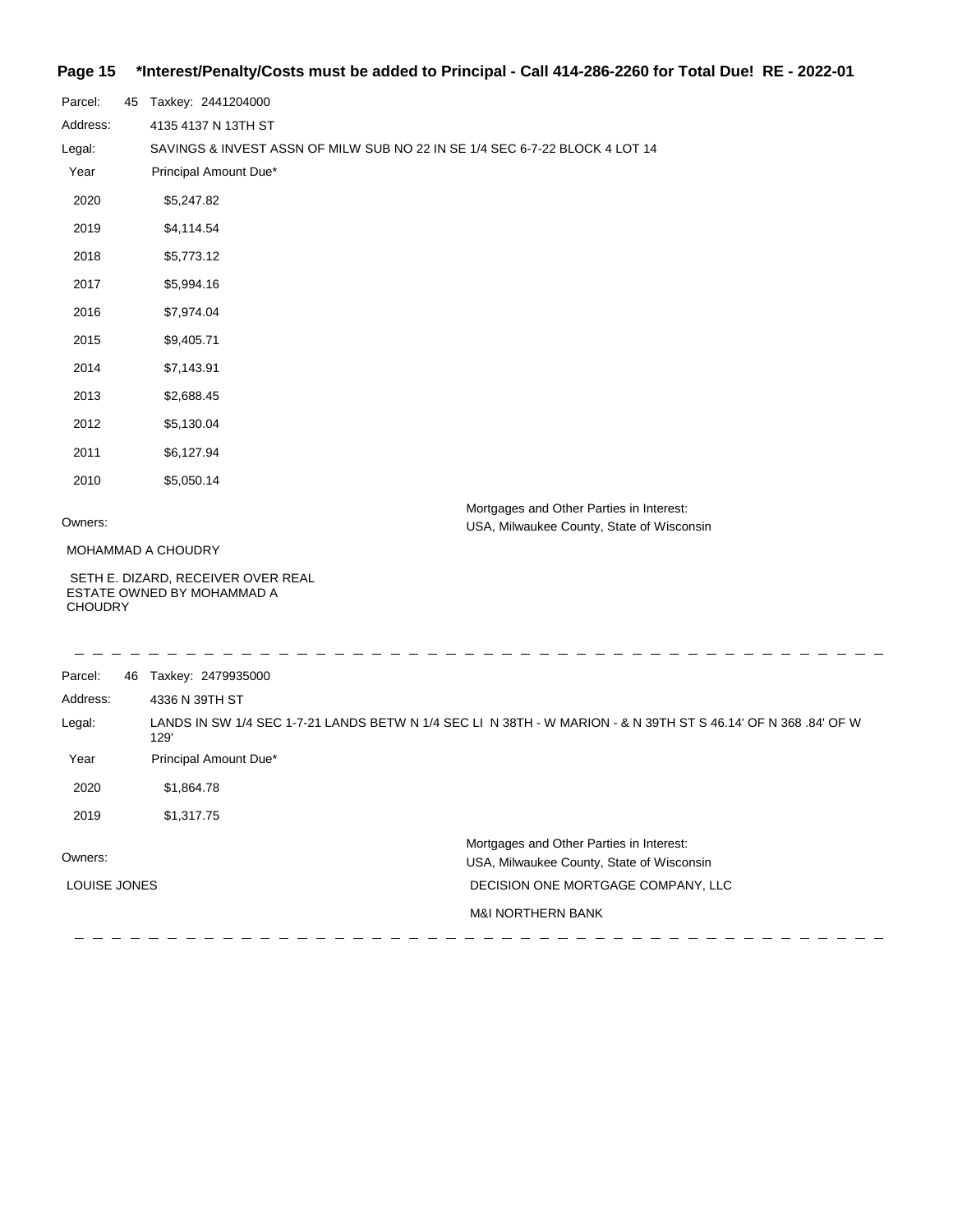## **Page 15 \*Interest/Penalty/Costs must be added to Principal - Call 414-286-2260 for Total Due! RE - 2022-01**

| Parcel:        | 45 Taxkey: 2441204000                                            |                                                                                                                |
|----------------|------------------------------------------------------------------|----------------------------------------------------------------------------------------------------------------|
| Address:       | 4135 4137 N 13TH ST                                              |                                                                                                                |
| Legal:         |                                                                  | SAVINGS & INVEST ASSN OF MILW SUB NO 22 IN SE 1/4 SEC 6-7-22 BLOCK 4 LOT 14                                    |
| Year           | Principal Amount Due*                                            |                                                                                                                |
| 2020           | \$5,247.82                                                       |                                                                                                                |
| 2019           | \$4,114.54                                                       |                                                                                                                |
| 2018           | \$5,773.12                                                       |                                                                                                                |
| 2017           | \$5,994.16                                                       |                                                                                                                |
| 2016           | \$7,974.04                                                       |                                                                                                                |
| 2015           | \$9,405.71                                                       |                                                                                                                |
| 2014           | \$7,143.91                                                       |                                                                                                                |
| 2013           | \$2,688.45                                                       |                                                                                                                |
| 2012           | \$5,130.04                                                       |                                                                                                                |
| 2011           | \$6,127.94                                                       |                                                                                                                |
| 2010           | \$5,050.14                                                       |                                                                                                                |
| Owners:        |                                                                  | Mortgages and Other Parties in Interest:<br>USA, Milwaukee County, State of Wisconsin                          |
|                | MOHAMMAD A CHOUDRY                                               |                                                                                                                |
| <b>CHOUDRY</b> | SETH E. DIZARD, RECEIVER OVER REAL<br>ESTATE OWNED BY MOHAMMAD A |                                                                                                                |
| Parcel:        | 46 Taxkey: 2479935000                                            |                                                                                                                |
| Address:       | 4336 N 39TH ST                                                   |                                                                                                                |
| Legal:         | 129'                                                             | LANDS IN SW 1/4 SEC 1-7-21 LANDS BETW N 1/4 SEC LI N 38TH - W MARION - & N 39TH ST S 46.14' OF N 368 .84' OF W |
| Year           | Principal Amount Due*                                            |                                                                                                                |
| 2020           | \$1,864.78                                                       |                                                                                                                |

 $\overline{\phantom{a}}$ 

| 2019         | \$1.317.75 |                                           |
|--------------|------------|-------------------------------------------|
|              |            | Mortgages and Other Parties in Interest:  |
| Owners:      |            | USA, Milwaukee County, State of Wisconsin |
| LOUISE JONES |            | DECISION ONE MORTGAGE COMPANY, LLC        |
|              |            | <b>M&amp;I NORTHERN BANK</b>              |
|              |            |                                           |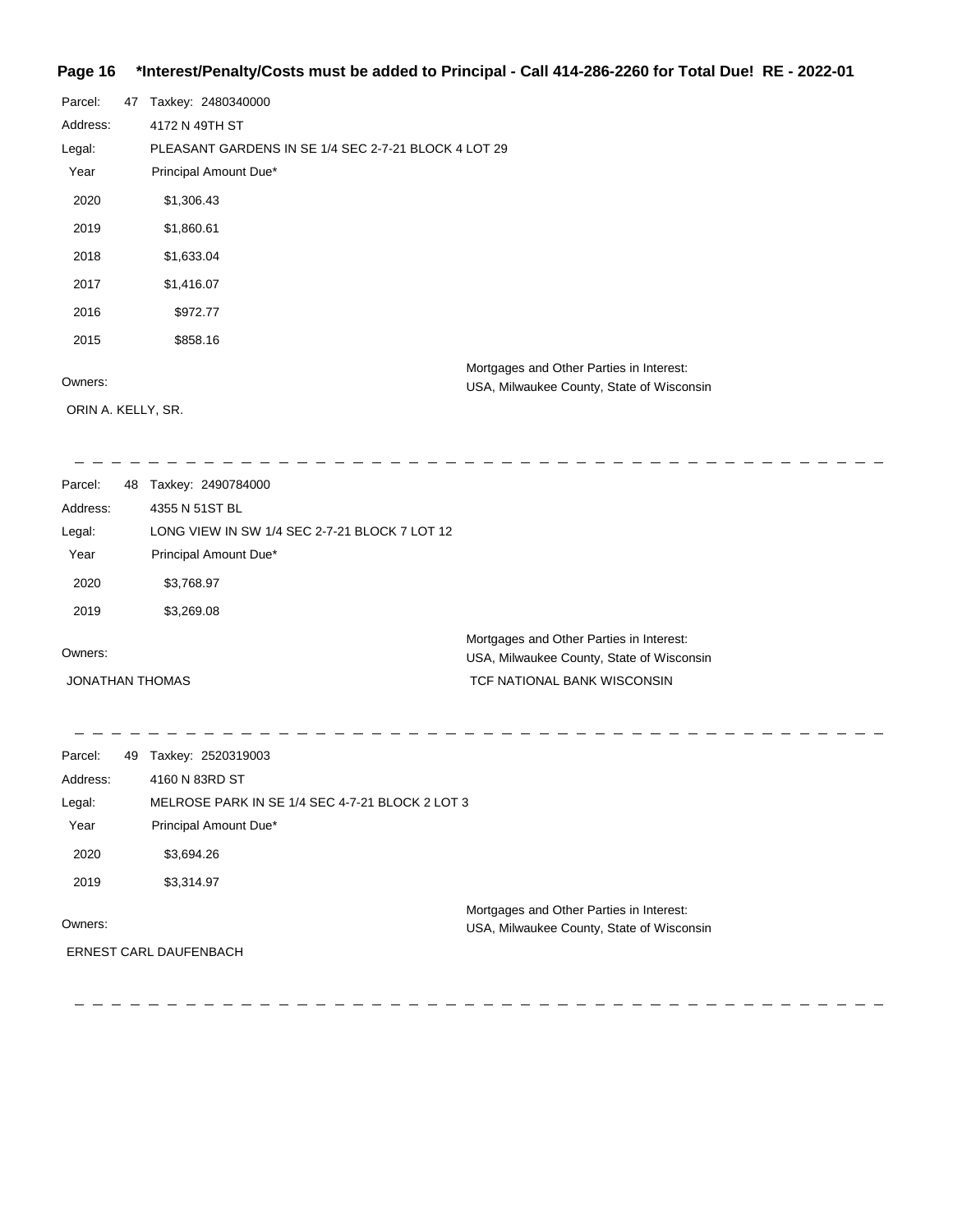### **Page 16 \*Interest/Penalty/Costs must be added to Principal - Call 414-286-2260 for Total Due! RE - 2022-01**

| Parcel:            | 47 | Taxkey: 2480340000                                   |
|--------------------|----|------------------------------------------------------|
| Address:           |    | 4172 N 49TH ST                                       |
| Legal:             |    | PLEASANT GARDENS IN SE 1/4 SEC 2-7-21 BLOCK 4 LOT 29 |
| Year               |    | Principal Amount Due*                                |
| 2020               |    | \$1,306.43                                           |
| 2019               |    | \$1,860.61                                           |
| 2018               |    | \$1,633.04                                           |
| 2017               |    | \$1,416.07                                           |
| 2016               |    | \$972.77                                             |
| 2015               |    | \$858.16                                             |
| Owners:            |    | Mortgages and Other Parties in Interest:             |
|                    |    | USA, Milwaukee County, State of Wisconsin            |
| ORIN A. KELLY, SR. |    |                                                      |

| Parcel:  | 48 Taxkey: 2490784000                         |                                           |
|----------|-----------------------------------------------|-------------------------------------------|
| Address: | 4355 N 51ST BL                                |                                           |
| Legal:   | LONG VIEW IN SW 1/4 SEC 2-7-21 BLOCK 7 LOT 12 |                                           |
| Year     | Principal Amount Due*                         |                                           |
| 2020     | \$3,768.97                                    |                                           |
| 2019     | \$3,269.08                                    |                                           |
|          |                                               | Mortgages and Other Parties in Interest:  |
| Owners:  |                                               | USA, Milwaukee County, State of Wisconsin |

JONATHAN THOMAS

USA, Milwaukee County, State of Wisconsi TCF NATIONAL BANK WISCONSIN

| Parcel:  | 49 | Taxkey: 2520319003                              |                                                                                       |
|----------|----|-------------------------------------------------|---------------------------------------------------------------------------------------|
| Address: |    | 4160 N 83RD ST                                  |                                                                                       |
| Legal:   |    | MELROSE PARK IN SE 1/4 SEC 4-7-21 BLOCK 2 LOT 3 |                                                                                       |
| Year     |    | Principal Amount Due*                           |                                                                                       |
| 2020     |    | \$3,694.26                                      |                                                                                       |
| 2019     |    | \$3,314.97                                      |                                                                                       |
| Owners:  |    | <b>ERNEST CARL DAUFENBACH</b>                   | Mortgages and Other Parties in Interest:<br>USA, Milwaukee County, State of Wisconsin |
|          |    |                                                 |                                                                                       |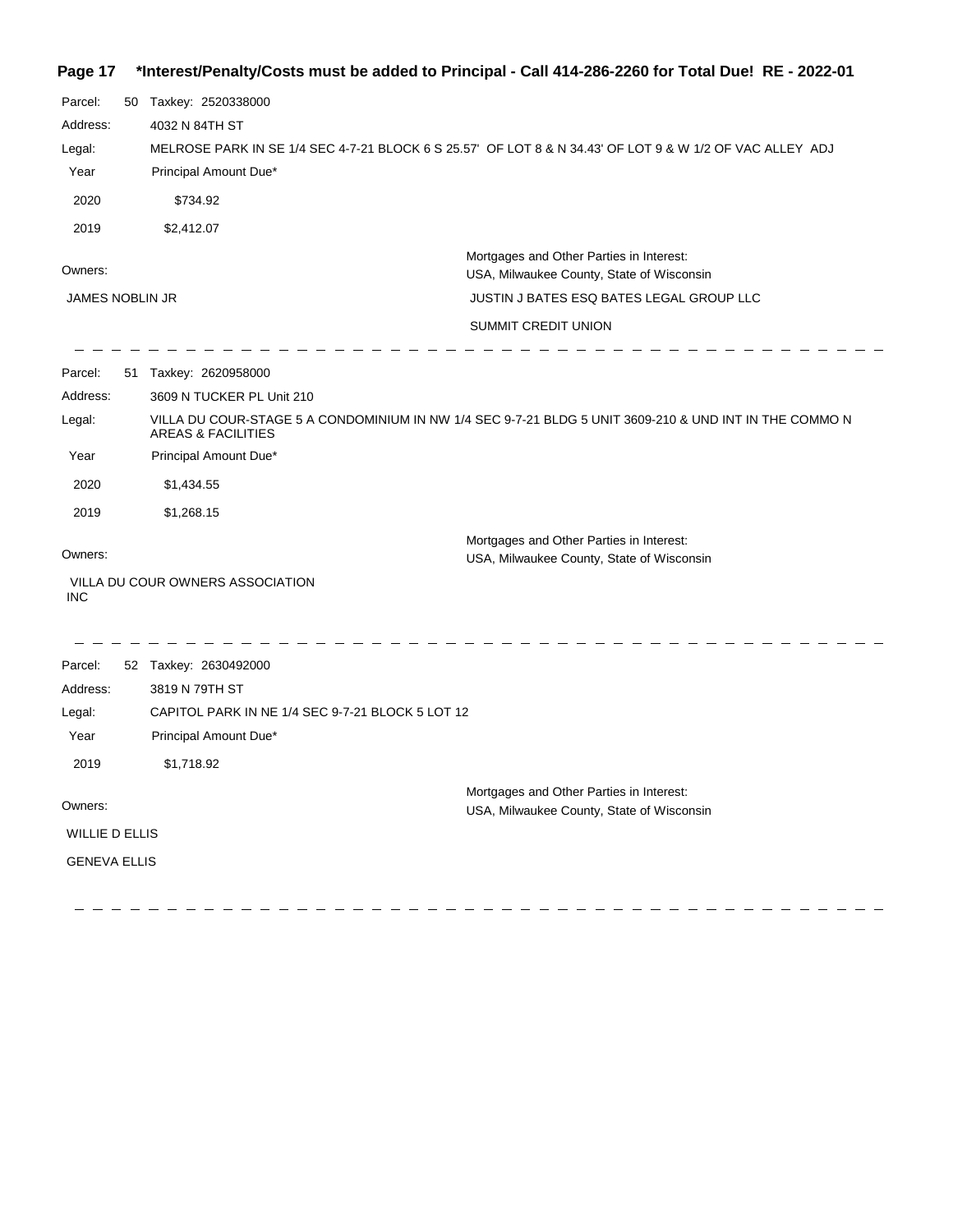#### **Page 17 \*Interest/Penalty/Costs must be added to Principal - Call 414-286-2260 for Total Due! RE - 2022-01**

| Parcel:               | 50 Taxkey: 2520338000                            |                                                                                                          |
|-----------------------|--------------------------------------------------|----------------------------------------------------------------------------------------------------------|
| Address:              | 4032 N 84TH ST                                   |                                                                                                          |
| Legal:                |                                                  | MELROSE PARK IN SE 1/4 SEC 4-7-21 BLOCK 6 S 25.57' OF LOT 8 & N 34.43' OF LOT 9 & W 1/2 OF VAC ALLEY ADJ |
| Year                  | Principal Amount Due*                            |                                                                                                          |
| 2020                  | \$734.92                                         |                                                                                                          |
| 2019                  | \$2,412.07                                       |                                                                                                          |
| Owners:               |                                                  | Mortgages and Other Parties in Interest:<br>USA, Milwaukee County, State of Wisconsin                    |
| JAMES NOBLIN JR       |                                                  | JUSTIN J BATES ESQ BATES LEGAL GROUP LLC                                                                 |
|                       |                                                  | <b>SUMMIT CREDIT UNION</b>                                                                               |
| Parcel:               | 51 Taxkey: 2620958000                            |                                                                                                          |
| Address:              | 3609 N TUCKER PL Unit 210                        |                                                                                                          |
| Legal:                | <b>AREAS &amp; FACILITIES</b>                    | VILLA DU COUR-STAGE 5 A CONDOMINIUM IN NW 1/4 SEC 9-7-21 BLDG 5 UNIT 3609-210 & UND INT IN THE COMMO N   |
| Year                  | Principal Amount Due*                            |                                                                                                          |
| 2020                  | \$1,434.55                                       |                                                                                                          |
| 2019                  | \$1,268.15                                       |                                                                                                          |
| Owners:               |                                                  | Mortgages and Other Parties in Interest:<br>USA, Milwaukee County, State of Wisconsin                    |
| INC                   | VILLA DU COUR OWNERS ASSOCIATION                 |                                                                                                          |
| Parcel:               | 52 Taxkey: 2630492000                            |                                                                                                          |
| Address:              | 3819 N 79TH ST                                   |                                                                                                          |
| Legal:                | CAPITOL PARK IN NE 1/4 SEC 9-7-21 BLOCK 5 LOT 12 |                                                                                                          |
| Year                  | Principal Amount Due*                            |                                                                                                          |
| 2019                  | \$1,718.92                                       |                                                                                                          |
| Owners:               |                                                  | Mortgages and Other Parties in Interest:<br>USA, Milwaukee County, State of Wisconsin                    |
| <b>WILLIE D ELLIS</b> |                                                  |                                                                                                          |

GENEVA ELLIS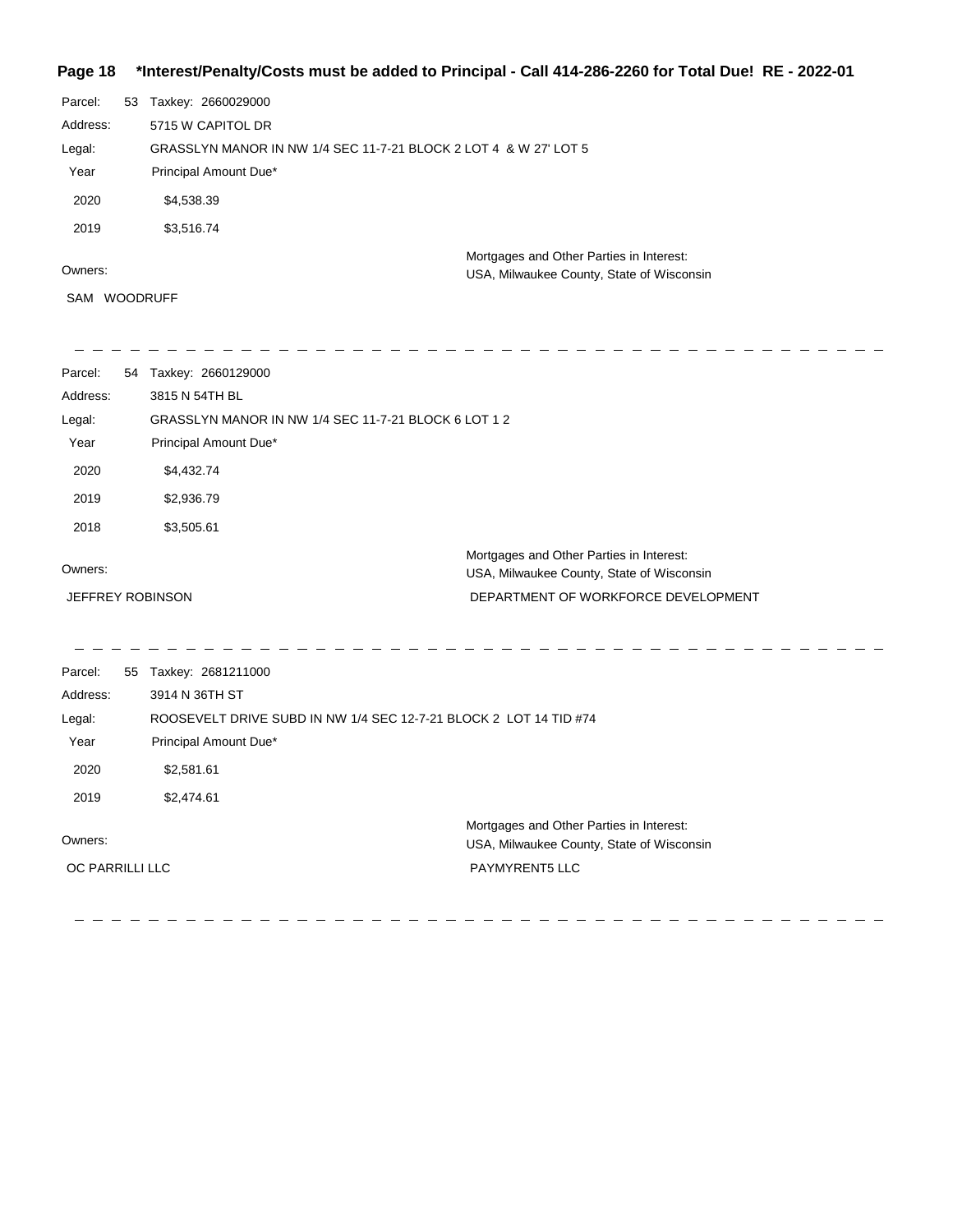## **Page 18 \*Interest/Penalty/Costs must be added to Principal - Call 414-286-2260 for Total Due! RE - 2022-01**

| Parcel:  | 53 | Taxkey: 2660029000                                               |
|----------|----|------------------------------------------------------------------|
| Address: |    | 5715 W CAPITOL DR                                                |
| Legal:   |    | GRASSLYN MANOR IN NW 1/4 SEC 11-7-21 BLOCK 2 LOT 4 & W 27' LOT 5 |
| Year     |    | Principal Amount Due*                                            |
| 2020     |    | \$4,538.39                                                       |
| 2019     |    | \$3,516.74                                                       |
|          |    | Mortgages and Other Parties in Interest:                         |
| Owners:  |    | USA, Milwaukee County, State of Wisconsin                        |

SAM WOODRUFF

| Parcel:                 | 54 Taxkey: 2660129000 |                                                                                       |
|-------------------------|-----------------------|---------------------------------------------------------------------------------------|
| Address:                | 3815 N 54TH BL        |                                                                                       |
| Legal:                  |                       | GRASSLYN MANOR IN NW 1/4 SEC 11-7-21 BLOCK 6 LOT 1 2                                  |
| Year                    | Principal Amount Due* |                                                                                       |
| 2020                    | \$4,432.74            |                                                                                       |
| 2019                    | \$2,936.79            |                                                                                       |
| 2018                    | \$3,505.61            |                                                                                       |
| Owners:                 |                       | Mortgages and Other Parties in Interest:<br>USA, Milwaukee County, State of Wisconsin |
| <b>JEFFREY ROBINSON</b> |                       | DEPARTMENT OF WORKFORCE DEVELOPMENT                                                   |
|                         |                       |                                                                                       |
| Parcel:                 | 55 Taxkey: 2681211000 |                                                                                       |
| Address:                | 3914 N 36TH ST        |                                                                                       |
| Legal:                  |                       | ROOSEVELT DRIVE SUBD IN NW 1/4 SEC 12-7-21 BLOCK 2 LOT 14 TID #74                     |
| Year                    | Principal Amount Due* |                                                                                       |
| 2020                    | \$2,581.61            |                                                                                       |
| 2019                    | \$2,474.61            |                                                                                       |
| Owners:                 |                       | Mortgages and Other Parties in Interest:<br>USA, Milwaukee County, State of Wisconsin |
| OC PARRILLI LLC         |                       | PAYMYRENT5 LLC                                                                        |
|                         |                       |                                                                                       |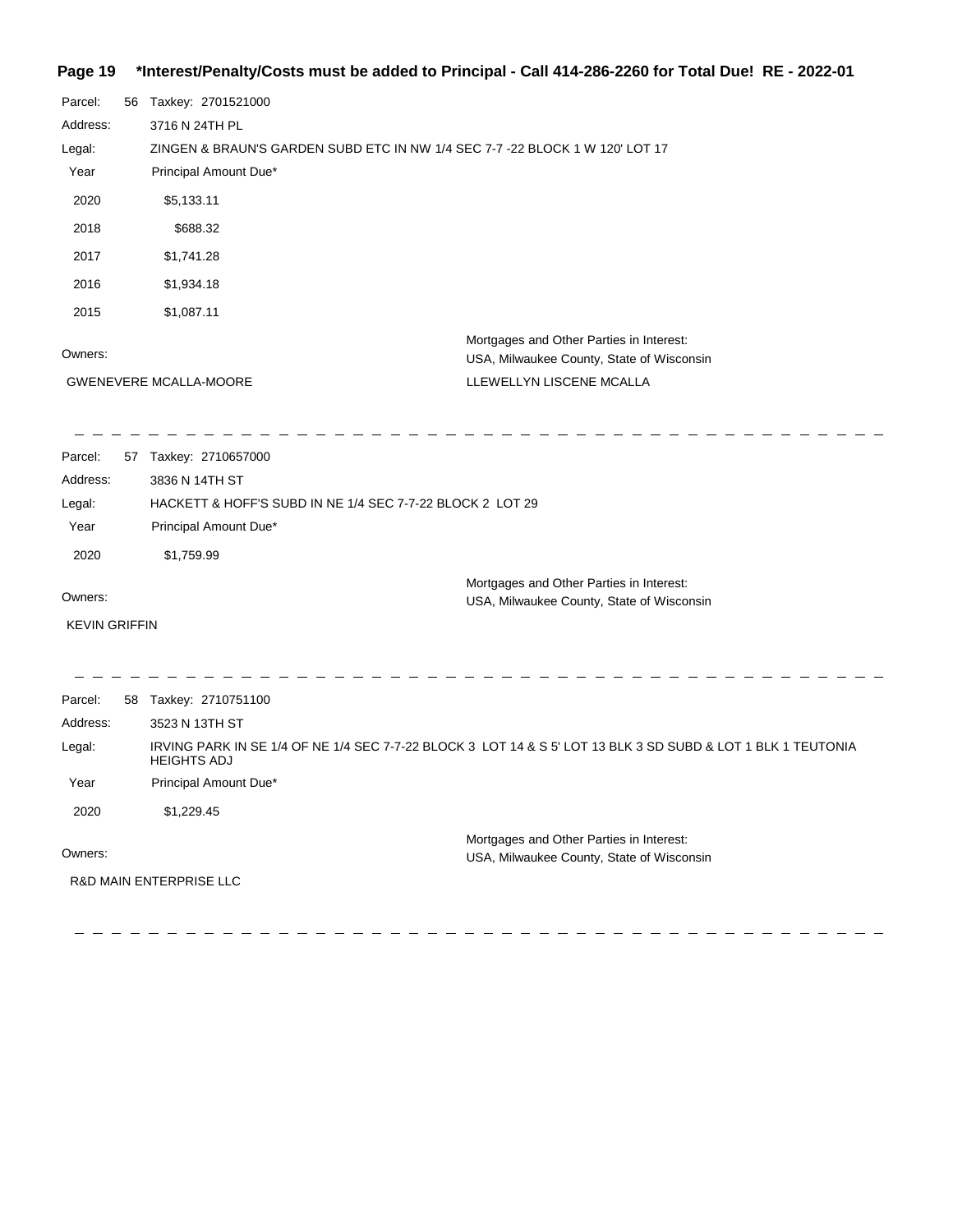## **Page 19 \*Interest/Penalty/Costs must be added to Principal - Call 414-286-2260 for Total Due! RE - 2022-01**

| Parcel:<br>Address:<br>Legal:<br>Year<br>2020<br>2018<br>2017<br>2016<br>2015 | 56 | Taxkey: 2701521000<br>3716 N 24TH PL<br>ZINGEN & BRAUN'S GARDEN SUBD ETC IN NW 1/4 SEC 7-7 -22 BLOCK 1 W 120' LOT 17<br>Principal Amount Due*<br>\$5,133.11<br>\$688.32<br>\$1,741.28<br>\$1,934.18<br>\$1,087.11 |                                                                                       |
|-------------------------------------------------------------------------------|----|-------------------------------------------------------------------------------------------------------------------------------------------------------------------------------------------------------------------|---------------------------------------------------------------------------------------|
| Owners:                                                                       |    |                                                                                                                                                                                                                   | Mortgages and Other Parties in Interest:                                              |
|                                                                               |    | <b>GWENEVERE MCALLA-MOORE</b>                                                                                                                                                                                     | USA, Milwaukee County, State of Wisconsin<br>LLEWELLYN LISCENE MCALLA                 |
| Parcel:                                                                       |    | 57 Taxkey: 2710657000                                                                                                                                                                                             |                                                                                       |
| Address:                                                                      |    | 3836 N 14TH ST                                                                                                                                                                                                    |                                                                                       |
| Legal:                                                                        |    | HACKETT & HOFF'S SUBD IN NE 1/4 SEC 7-7-22 BLOCK 2 LOT 29                                                                                                                                                         |                                                                                       |
| Year                                                                          |    | Principal Amount Due*                                                                                                                                                                                             |                                                                                       |
| 2020                                                                          |    | \$1,759.99                                                                                                                                                                                                        |                                                                                       |
|                                                                               |    |                                                                                                                                                                                                                   | Mortgages and Other Parties in Interest:                                              |
| Owners:                                                                       |    |                                                                                                                                                                                                                   | USA, Milwaukee County, State of Wisconsin                                             |
| <b>KEVIN GRIFFIN</b>                                                          |    |                                                                                                                                                                                                                   |                                                                                       |
| Parcel:                                                                       |    | 58 Taxkey: 2710751100                                                                                                                                                                                             |                                                                                       |
| Address:                                                                      |    | 3523 N 13TH ST                                                                                                                                                                                                    |                                                                                       |
| Legal:                                                                        |    | IRVING PARK IN SE 1/4 OF NE 1/4 SEC 7-7-22 BLOCK 3 LOT 14 & S 5' LOT 13 BLK 3 SD SUBD & LOT 1 BLK 1 TEUTONIA<br><b>HEIGHTS ADJ</b>                                                                                |                                                                                       |
| Year                                                                          |    | Principal Amount Due*                                                                                                                                                                                             |                                                                                       |
| 2020                                                                          |    | \$1,229.45                                                                                                                                                                                                        |                                                                                       |
| Owners:                                                                       |    |                                                                                                                                                                                                                   | Mortgages and Other Parties in Interest:<br>USA, Milwaukee County, State of Wisconsin |
|                                                                               |    | <b>R&amp;D MAIN ENTERPRISE LLC</b>                                                                                                                                                                                |                                                                                       |
|                                                                               |    |                                                                                                                                                                                                                   |                                                                                       |

 $\frac{1}{2} \frac{1}{2} \frac{1}{2} \frac{1}{2} \frac{1}{2} \frac{1}{2} \frac{1}{2} \frac{1}{2} \frac{1}{2} \frac{1}{2} \frac{1}{2} \frac{1}{2} \frac{1}{2} \frac{1}{2} \frac{1}{2} \frac{1}{2} \frac{1}{2} \frac{1}{2} \frac{1}{2} \frac{1}{2} \frac{1}{2} \frac{1}{2} \frac{1}{2} \frac{1}{2} \frac{1}{2} \frac{1}{2} \frac{1}{2} \frac{1}{2} \frac{1}{2} \frac{1}{2} \frac{1}{2} \frac{$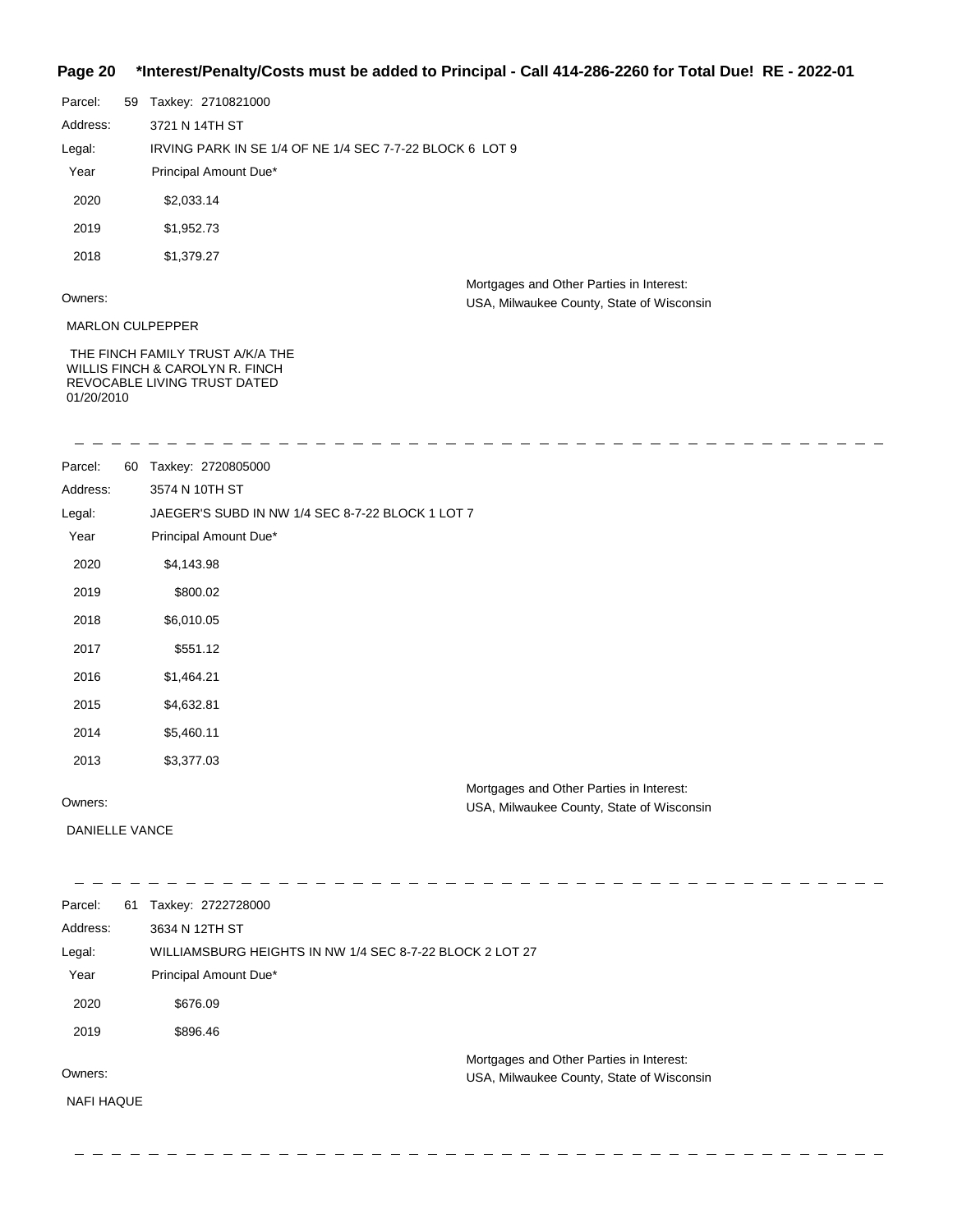## **Page 20 \*Interest/Penalty/Costs must be added to Principal - Call 414-286-2260 for Total Due! RE - 2022-01**

| Parcel:    | 59 | Taxkey: 2710821000                                                                                  |                                                                                       |
|------------|----|-----------------------------------------------------------------------------------------------------|---------------------------------------------------------------------------------------|
| Address:   |    | 3721 N 14TH ST                                                                                      |                                                                                       |
| Legal:     |    | IRVING PARK IN SE 1/4 OF NE 1/4 SEC 7-7-22 BLOCK 6 LOT 9                                            |                                                                                       |
| Year       |    | Principal Amount Due*                                                                               |                                                                                       |
| 2020       |    | \$2,033.14                                                                                          |                                                                                       |
| 2019       |    | \$1,952.73                                                                                          |                                                                                       |
| 2018       |    | \$1,379.27                                                                                          |                                                                                       |
| Owners:    |    |                                                                                                     | Mortgages and Other Parties in Interest:<br>USA, Milwaukee County, State of Wisconsin |
|            |    | <b>MARLON CULPEPPER</b>                                                                             |                                                                                       |
| 01/20/2010 |    | THE FINCH FAMILY TRUST A/K/A THE<br>WILLIS FINCH & CAROLYN R. FINCH<br>REVOCABLE LIVING TRUST DATED |                                                                                       |

| Parcel:           | 60 | Taxkey: 2720805000                                       |                                                                                       |
|-------------------|----|----------------------------------------------------------|---------------------------------------------------------------------------------------|
| Address:          |    | 3574 N 10TH ST                                           |                                                                                       |
| Legal:            |    | JAEGER'S SUBD IN NW 1/4 SEC 8-7-22 BLOCK 1 LOT 7         |                                                                                       |
| Year              |    | Principal Amount Due*                                    |                                                                                       |
| 2020              |    | \$4,143.98                                               |                                                                                       |
| 2019              |    | \$800.02                                                 |                                                                                       |
| 2018              |    | \$6,010.05                                               |                                                                                       |
| 2017              |    | \$551.12                                                 |                                                                                       |
| 2016              |    | \$1,464.21                                               |                                                                                       |
| 2015              |    | \$4,632.81                                               |                                                                                       |
| 2014              |    | \$5,460.11                                               |                                                                                       |
| 2013              |    | \$3,377.03                                               |                                                                                       |
| Owners:           |    |                                                          | Mortgages and Other Parties in Interest:<br>USA, Milwaukee County, State of Wisconsin |
| DANIELLE VANCE    |    |                                                          |                                                                                       |
|                   |    |                                                          |                                                                                       |
| Parcel:           |    | 61 Taxkey: 2722728000                                    |                                                                                       |
| Address:          |    | 3634 N 12TH ST                                           |                                                                                       |
| Legal:            |    | WILLIAMSBURG HEIGHTS IN NW 1/4 SEC 8-7-22 BLOCK 2 LOT 27 |                                                                                       |
| Year              |    | Principal Amount Due*                                    |                                                                                       |
| 2020              |    | \$676.09                                                 |                                                                                       |
| 2019              |    | \$896.46                                                 |                                                                                       |
| Owners:           |    |                                                          | Mortgages and Other Parties in Interest:                                              |
|                   |    |                                                          | USA, Milwaukee County, State of Wisconsin                                             |
| <b>NAFI HAQUE</b> |    |                                                          |                                                                                       |

 $\frac{1}{2}$  = = = = = = = = = = =

 $\equiv$   $\equiv$   $\equiv$ 

. . . . . . . . . . . . .

\_ \_ \_ \_ \_ \_ \_ \_ \_ \_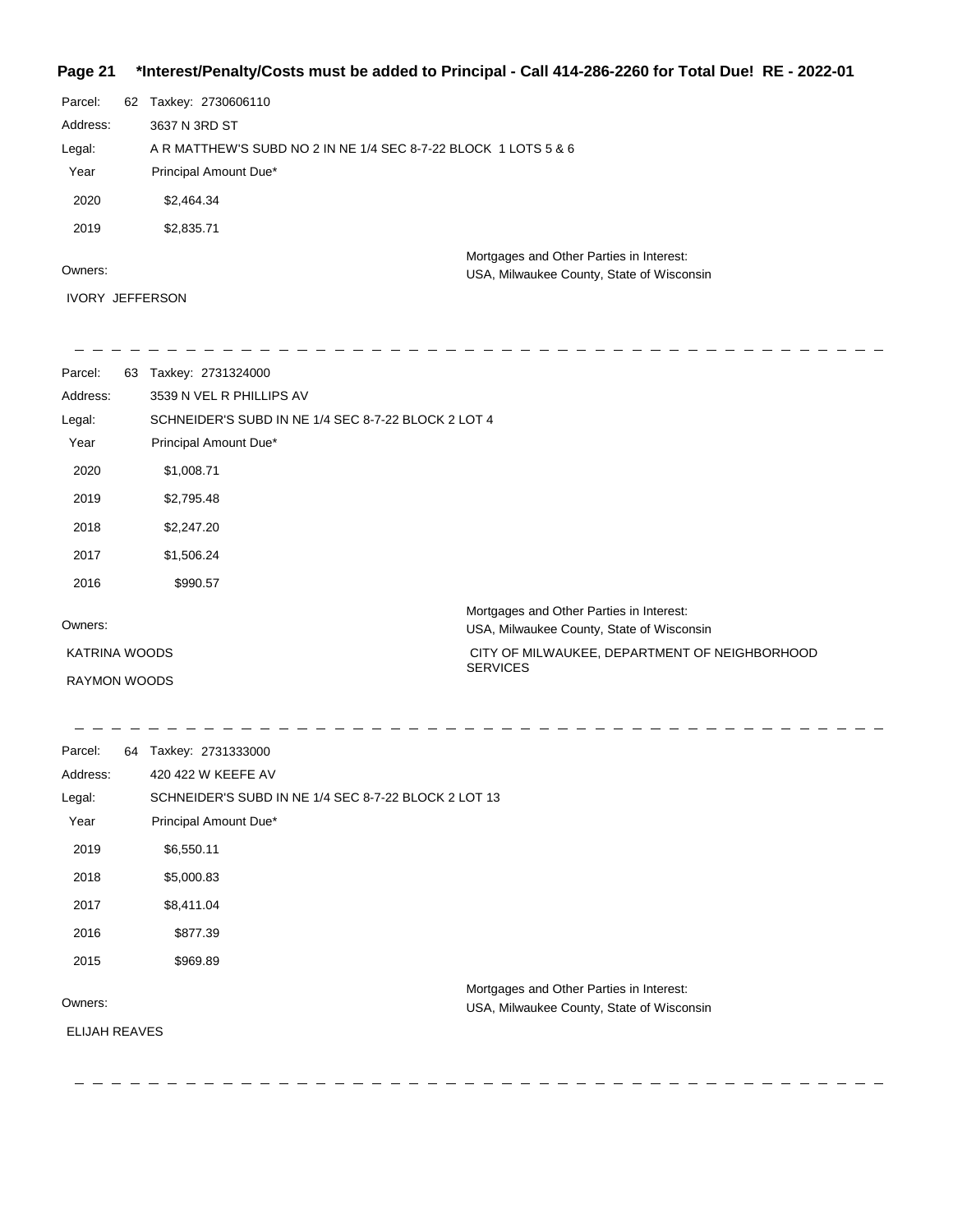## **Page 21 \*Interest/Penalty/Costs must be added to Principal - Call 414-286-2260 for Total Due! RE - 2022-01**

| Parcel:      | 62 | Taxkey: 2730606110                                                                    |
|--------------|----|---------------------------------------------------------------------------------------|
| Address:     |    | 3637 N 3RD ST                                                                         |
| Legal:       |    | A R MATTHEW'S SUBD NO 2 IN NE 1/4 SEC 8-7-22 BLOCK 1 LOTS 5 & 6                       |
| Year         |    | Principal Amount Due*                                                                 |
| 2020         |    | \$2,464.34                                                                            |
| 2019         |    | \$2,835.71                                                                            |
| Owners:      |    | Mortgages and Other Parties in Interest:<br>USA, Milwaukee County, State of Wisconsin |
| <b>IVORY</b> |    | <b>JEFFERSON</b>                                                                      |

| Parcel:              | 63 | Taxkey: 2731324000                                  |                                                                                       |
|----------------------|----|-----------------------------------------------------|---------------------------------------------------------------------------------------|
| Address:             |    | 3539 N VEL R PHILLIPS AV                            |                                                                                       |
| Legal:               |    | SCHNEIDER'S SUBD IN NE 1/4 SEC 8-7-22 BLOCK 2 LOT 4 |                                                                                       |
| Year                 |    | Principal Amount Due*                               |                                                                                       |
| 2020                 |    | \$1,008.71                                          |                                                                                       |
| 2019                 |    | \$2,795.48                                          |                                                                                       |
| 2018                 |    | \$2,247.20                                          |                                                                                       |
| 2017                 |    | \$1,506.24                                          |                                                                                       |
| 2016                 |    | \$990.57                                            |                                                                                       |
| Owners:              |    |                                                     | Mortgages and Other Parties in Interest:<br>USA, Milwaukee County, State of Wisconsin |
| <b>KATRINA WOODS</b> |    |                                                     | CITY OF MILWAUKEE, DEPARTMENT OF NEIGHBORHOOD                                         |
| <b>RAYMON WOODS</b>  |    |                                                     | <b>SERVICES</b>                                                                       |

| Parcel:              | 64 | Taxkey: 2731333000                                   |
|----------------------|----|------------------------------------------------------|
| Address:             |    | 420 422 W KEEFE AV                                   |
| Legal:               |    | SCHNEIDER'S SUBD IN NE 1/4 SEC 8-7-22 BLOCK 2 LOT 13 |
| Year                 |    | Principal Amount Due*                                |
| 2019                 |    | \$6,550.11                                           |
| 2018                 |    | \$5,000.83                                           |
| 2017                 |    | \$8,411.04                                           |
| 2016                 |    | \$877.39                                             |
| 2015                 |    | \$969.89                                             |
|                      |    | Mortgages and Other Parties in Interest:             |
| Owners:              |    | USA, Milwaukee County, State of Wisconsin            |
| <b>ELIJAH REAVES</b> |    |                                                      |
|                      |    |                                                      |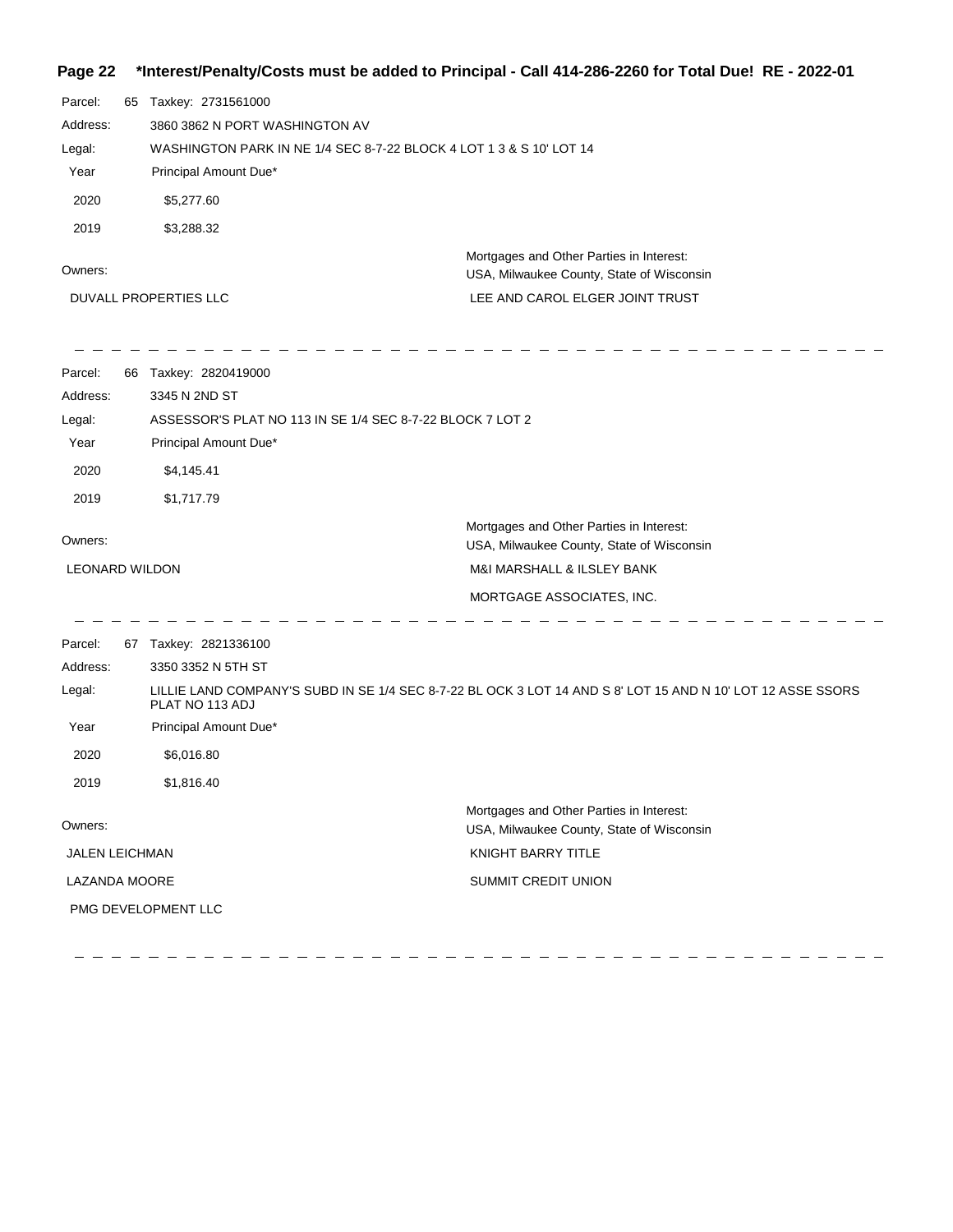## **Page 22 \*Interest/Penalty/Costs must be added to Principal - Call 414-286-2260 for Total Due! RE - 2022-01**

| Parcel:<br>Address:<br>Legal:<br>Year<br>2020<br>2019 | 65 | Taxkey: 2731561000<br>3860 3862 N PORT WASHINGTON AV<br>WASHINGTON PARK IN NE 1/4 SEC 8-7-22 BLOCK 4 LOT 1 3 & S 10' LOT 14<br>Principal Amount Due*<br>\$5,277.60<br>\$3,288.32 |                                                                                                             |
|-------------------------------------------------------|----|----------------------------------------------------------------------------------------------------------------------------------------------------------------------------------|-------------------------------------------------------------------------------------------------------------|
| Owners:                                               |    |                                                                                                                                                                                  | Mortgages and Other Parties in Interest:<br>USA, Milwaukee County, State of Wisconsin                       |
|                                                       |    | DUVALL PROPERTIES LLC                                                                                                                                                            | LEE AND CAROL ELGER JOINT TRUST                                                                             |
| Parcel:<br>Address:<br>Legal:<br>Year<br>2020         |    | 66 Taxkey: 2820419000<br>3345 N 2ND ST<br>ASSESSOR'S PLAT NO 113 IN SE 1/4 SEC 8-7-22 BLOCK 7 LOT 2<br>Principal Amount Due*<br>\$4,145.41                                       |                                                                                                             |
| 2019<br>Owners:                                       |    | \$1,717.79                                                                                                                                                                       | Mortgages and Other Parties in Interest:<br>USA, Milwaukee County, State of Wisconsin                       |
| <b>LEONARD WILDON</b>                                 |    |                                                                                                                                                                                  | M&I MARSHALL & ILSLEY BANK<br>MORTGAGE ASSOCIATES, INC.                                                     |
| Parcel:<br>Address:<br>Legal:<br>Year<br>2020<br>2019 |    | 67 Taxkey: 2821336100<br>3350 3352 N 5TH ST<br>PLAT NO 113 ADJ<br>Principal Amount Due*<br>\$6,016.80<br>\$1,816.40                                                              | LILLIE LAND COMPANY'S SUBD IN SE 1/4 SEC 8-7-22 BL OCK 3 LOT 14 AND S 8' LOT 15 AND N 10' LOT 12 ASSE SSORS |
| Owners:                                               |    |                                                                                                                                                                                  | Mortgages and Other Parties in Interest:<br>USA, Milwaukee County, State of Wisconsin                       |
| JALEN LEICHMAN                                        |    |                                                                                                                                                                                  | KNIGHT BARRY TITLE                                                                                          |
| LAZANDA MOORE                                         |    | PMG DEVELOPMENT LLC                                                                                                                                                              | SUMMIT CREDIT UNION                                                                                         |

 $\sim$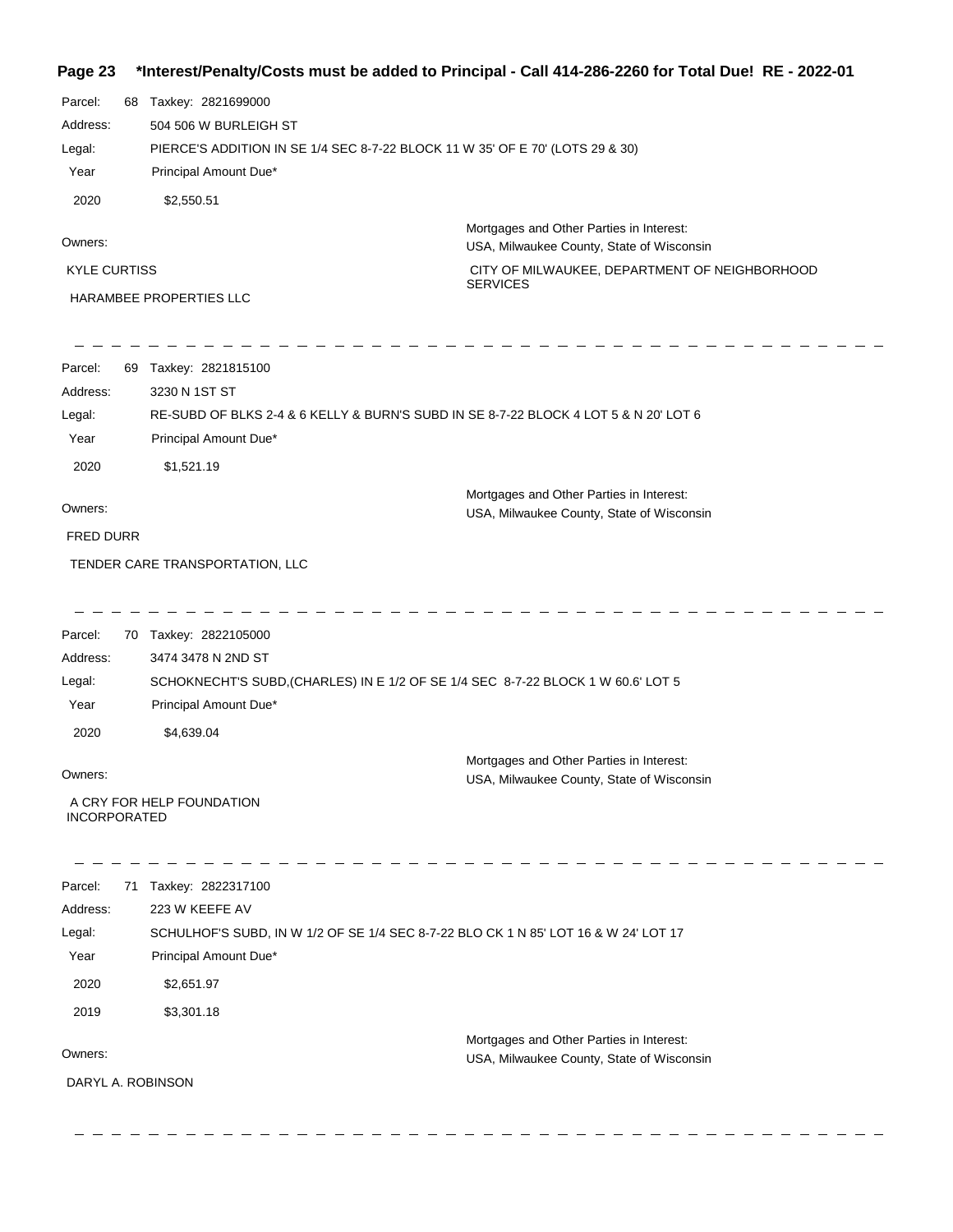## **Page 23 \*Interest/Penalty/Costs must be added to Principal - Call 414-286-2260 for Total Due! RE - 2022-01**

| Parcel:             | 68 | Taxkey: 2821699000                                                            |                                                                                       |
|---------------------|----|-------------------------------------------------------------------------------|---------------------------------------------------------------------------------------|
| Address:            |    | 504 506 W BURLEIGH ST                                                         |                                                                                       |
| Legal:              |    | PIERCE'S ADDITION IN SE 1/4 SEC 8-7-22 BLOCK 11 W 35' OF E 70' (LOTS 29 & 30) |                                                                                       |
| Year                |    | Principal Amount Due*                                                         |                                                                                       |
| 2020                |    | \$2,550.51                                                                    |                                                                                       |
| Owners:             |    |                                                                               | Mortgages and Other Parties in Interest:<br>USA, Milwaukee County, State of Wisconsin |
| <b>KYLE CURTISS</b> |    |                                                                               | CITY OF MILWAUKEE, DEPARTMENT OF NEIGHBORHOOD                                         |
|                     |    | <b>HARAMBEE PROPERTIES LLC</b>                                                | <b>SERVICES</b>                                                                       |

| Parcel:          | 69 | Taxkey: 2821815100                                                                   |
|------------------|----|--------------------------------------------------------------------------------------|
| Address:         |    | 3230 N 1ST ST                                                                        |
| Legal:           |    | RE-SUBD OF BLKS 2-4 & 6 KELLY & BURN'S SUBD IN SE 8-7-22 BLOCK 4 LOT 5 & N 20' LOT 6 |
| Year             |    | Principal Amount Due*                                                                |
| 2020             |    | \$1.521.19                                                                           |
|                  |    | Mortgages and Other Parties in Interest:                                             |
| Owners:          |    | USA, Milwaukee County, State of Wisconsin                                            |
| <b>FRED DURR</b> |    |                                                                                      |
|                  |    | TENDER CARE TRANSPORTATION, LLC                                                      |

| Parcel:             | 70 | Taxkey: 2822105000                                                               |
|---------------------|----|----------------------------------------------------------------------------------|
| Address:            |    | 3474 3478 N 2ND ST                                                               |
| Legal:              |    | SCHOKNECHT'S SUBD, (CHARLES) IN E 1/2 OF SE 1/4 SEC 8-7-22 BLOCK 1 W 60.6' LOT 5 |
| Year                |    | Principal Amount Due*                                                            |
| 2020                |    | \$4.639.04                                                                       |
|                     |    | Mortgages and Other Parties in Interest:                                         |
| Owners:             |    | USA, Milwaukee County, State of Wisconsin                                        |
| <b>INCORPORATED</b> |    | A CRY FOR HELP FOUNDATION                                                        |

| Parcel:           | 71 | Taxkey: 2822317100                                                                  |
|-------------------|----|-------------------------------------------------------------------------------------|
| Address:          |    | 223 W KEEFE AV                                                                      |
| Legal:            |    | SCHULHOF'S SUBD, IN W 1/2 OF SE 1/4 SEC 8-7-22 BLO CK 1 N 85' LOT 16 & W 24' LOT 17 |
| Year              |    | Principal Amount Due*                                                               |
| 2020              |    | \$2,651.97                                                                          |
| 2019              |    | \$3,301.18                                                                          |
|                   |    | Mortgages and Other Parties in Interest:                                            |
| Owners:           |    | USA, Milwaukee County, State of Wisconsin                                           |
| DARYL A. ROBINSON |    |                                                                                     |
|                   |    |                                                                                     |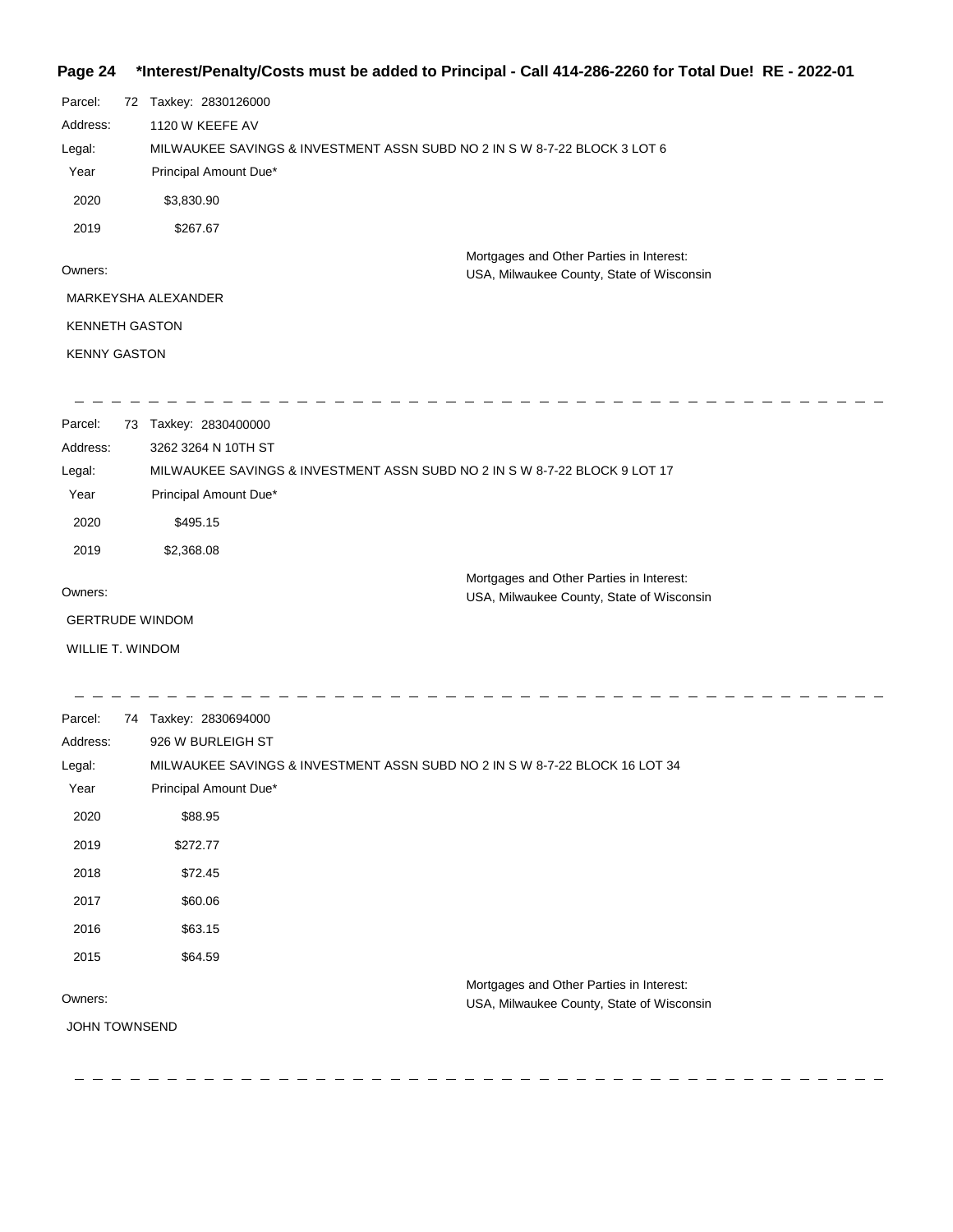#### **Page 24 \*Interest/Penalty/Costs must be added to Principal - Call 414-286-2260 for Total Due! RE - 2022-01**

| Parcel:               | 72 | Taxkey: 2830126000                                                                    |
|-----------------------|----|---------------------------------------------------------------------------------------|
| Address:              |    | 1120 W KEEFE AV                                                                       |
| Legal:                |    | MILWAUKEE SAVINGS & INVESTMENT ASSN SUBD NO 2 IN S W 8-7-22 BLOCK 3 LOT 6             |
| Year                  |    | Principal Amount Due*                                                                 |
| 2020                  |    | \$3,830.90                                                                            |
| 2019                  |    | \$267.67                                                                              |
| Owners:               |    | Mortgages and Other Parties in Interest:<br>USA, Milwaukee County, State of Wisconsin |
|                       |    | MARKEYSHA ALEXANDER                                                                   |
| <b>KENNETH GASTON</b> |    |                                                                                       |
| <b>KENNY GASTON</b>   |    |                                                                                       |
|                       |    |                                                                                       |
| Parcel:               | 73 | Taxkey: 2830400000                                                                    |

| Address:               | 3262 3264 N 10TH ST                                                        |                                           |
|------------------------|----------------------------------------------------------------------------|-------------------------------------------|
| Legal:                 | MILWAUKEE SAVINGS & INVESTMENT ASSN SUBD NO 2 IN S W 8-7-22 BLOCK 9 LOT 17 |                                           |
| Year                   | Principal Amount Due*                                                      |                                           |
| 2020                   | \$495.15                                                                   |                                           |
| 2019                   | \$2,368.08                                                                 |                                           |
|                        |                                                                            | Mortgages and Other Parties in Interest:  |
| Owners:                |                                                                            | USA, Milwaukee County, State of Wisconsin |
| <b>GERTRUDE WINDOM</b> |                                                                            |                                           |

WILLIE T. WINDOM

 $\frac{1}{2} \frac{1}{2} \frac{1}{2} \frac{1}{2} \frac{1}{2} \frac{1}{2} \frac{1}{2} \frac{1}{2} \frac{1}{2} \frac{1}{2} \frac{1}{2} \frac{1}{2} \frac{1}{2} \frac{1}{2} \frac{1}{2} \frac{1}{2} \frac{1}{2} \frac{1}{2} \frac{1}{2} \frac{1}{2} \frac{1}{2} \frac{1}{2} \frac{1}{2} \frac{1}{2} \frac{1}{2} \frac{1}{2} \frac{1}{2} \frac{1}{2} \frac{1}{2} \frac{1}{2} \frac{1}{2} \frac{$ \_ \_ \_ \_ \_ \_ \_ \_ \_ \_ \_ \_ \_ \_ \_ \_  $\mathbb{R}^2$  $\overline{\phantom{a}}$ \_ \_ \_ \_ \_ \_ \_ \_ \_ \_ \_ Parcel: 74 Taxkey: 2830694000 Address: 926 W BURLEIGH ST Legal: MILWAUKEE SAVINGS & INVESTMENT ASSN SUBD NO 2 IN S W 8-7-22 BLOCK 16 LOT 34 Year Principal Amount Due\* 2020 \$88.95 2019 \$272.77 2018 \$72.45 2017 \$60.06 2016 \$63.15 2015 \$64.59 Mortgages and Other Parties in Interest: Owners: USA, Milwaukee County, State of Wisconsin JOHN TOWNSEND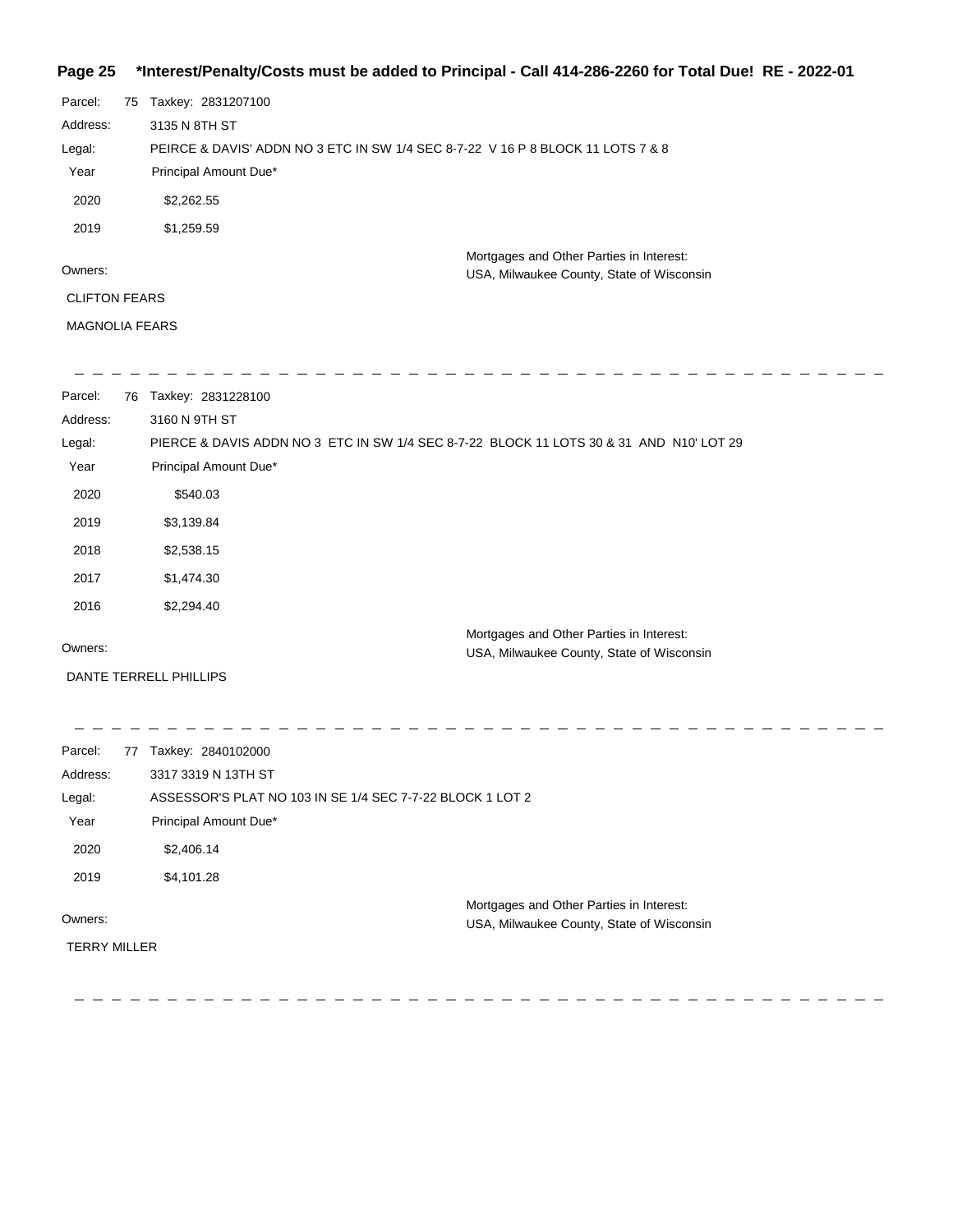### **Page 25 \*Interest/Penalty/Costs must be added to Principal - Call 414-286-2260 for Total Due! RE - 2022-01**

| Parcel:              | 75 Taxkey: 2831207100                                                           |
|----------------------|---------------------------------------------------------------------------------|
| Address:             | 3135 N 8TH ST                                                                   |
| Legal:               | PEIRCE & DAVIS' ADDN NO 3 ETC IN SW 1/4 SEC 8-7-22 V 16 P 8 BLOCK 11 LOTS 7 & 8 |
| Year                 | Principal Amount Due*                                                           |
| 2020                 | \$2,262.55                                                                      |
| 2019                 | \$1,259.59                                                                      |
|                      | Mortgages and Other Parties in Interest:                                        |
| Owners:              | USA, Milwaukee County, State of Wisconsin                                       |
| <b>CLIFTON FEARS</b> |                                                                                 |
|                      |                                                                                 |

MAGNOLIA FEARS

| Parcel:  | 76 | Taxkey: 2831228100                                                                      |
|----------|----|-----------------------------------------------------------------------------------------|
| Address: |    | 3160 N 9TH ST                                                                           |
| Legal:   |    | PIERCE & DAVIS ADDN NO 3 ETC IN SW 1/4 SEC 8-7-22 BLOCK 11 LOTS 30 & 31 AND N10' LOT 29 |
| Year     |    | Principal Amount Due*                                                                   |
| 2020     |    | \$540.03                                                                                |
| 2019     |    | \$3,139.84                                                                              |
| 2018     |    | \$2,538.15                                                                              |
| 2017     |    | \$1,474.30                                                                              |
| 2016     |    | \$2,294.40                                                                              |
|          |    | Mortgages and Other Parties in Interest:                                                |
| Owners:  |    | USA, Milwaukee County, State of Wisconsin                                               |

DANTE TERRELL PHILLIPS

| Parcel:<br>77       | Taxkey: 2840102000                                        |                                           |
|---------------------|-----------------------------------------------------------|-------------------------------------------|
| Address:            | 3317 3319 N 13TH ST                                       |                                           |
| Legal:              | ASSESSOR'S PLAT NO 103 IN SE 1/4 SEC 7-7-22 BLOCK 1 LOT 2 |                                           |
| Year                | Principal Amount Due*                                     |                                           |
| 2020                | \$2,406.14                                                |                                           |
| 2019                | \$4,101.28                                                |                                           |
|                     |                                                           | Mortgages and Other Parties in Interest:  |
| Owners:             |                                                           | USA, Milwaukee County, State of Wisconsin |
| <b>TERRY MILLER</b> |                                                           |                                           |
|                     |                                                           |                                           |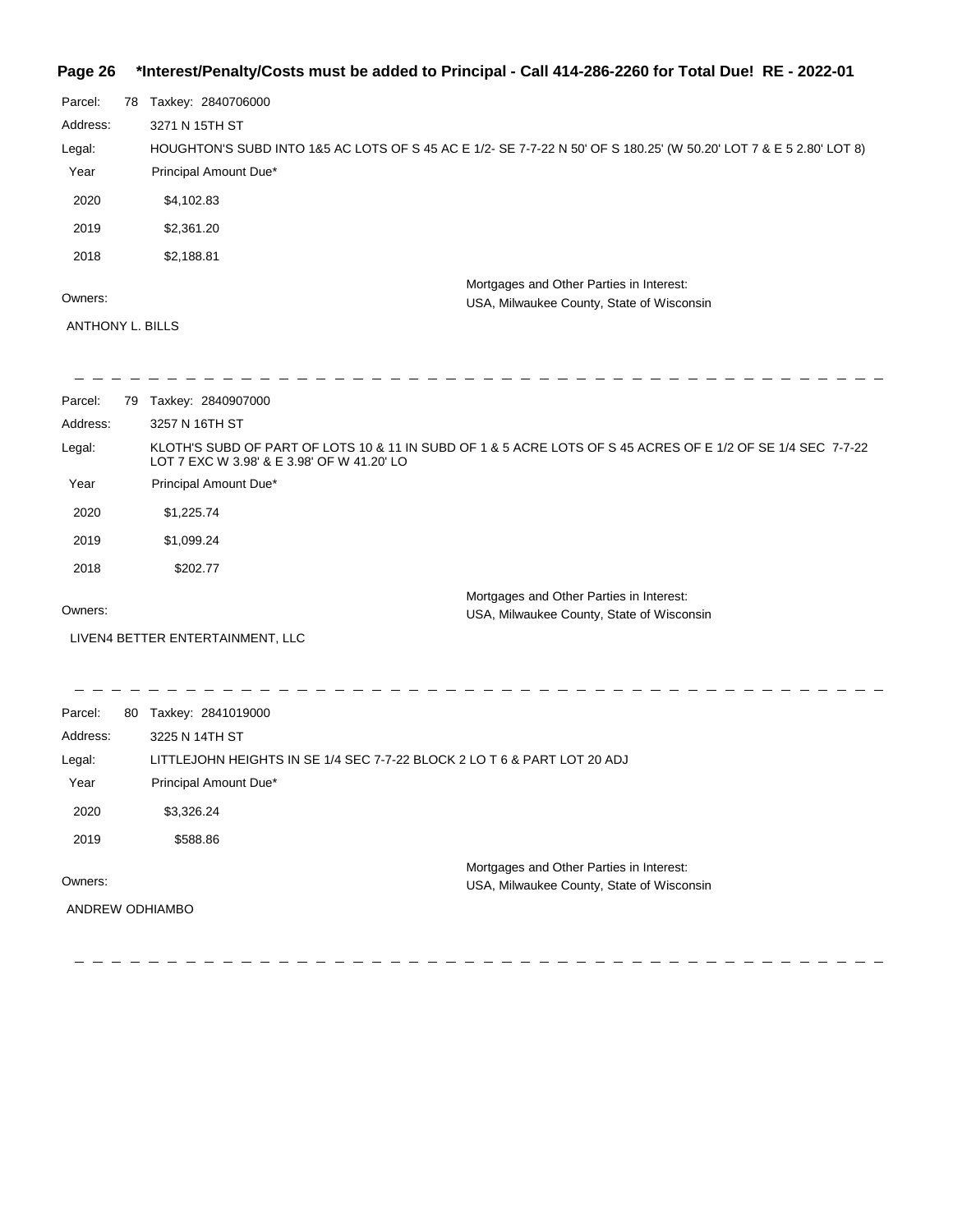### **Page 26 \*Interest/Penalty/Costs must be added to Principal - Call 414-286-2260 for Total Due! RE - 2022-01**

| Parcel:  | 78 | Taxkey: 2840706000                                                                                                 |
|----------|----|--------------------------------------------------------------------------------------------------------------------|
| Address: |    | 3271 N 15TH ST                                                                                                     |
| Legal:   |    | HOUGHTON'S SUBD INTO 1&5 AC LOTS OF S 45 AC E 1/2- SE 7-7-22 N 50' OF S 180.25' (W 50.20' LOT 7 & E 5 2.80' LOT 8) |
| Year     |    | Principal Amount Due*                                                                                              |
| 2020     |    | \$4,102.83                                                                                                         |
| 2019     |    | \$2,361.20                                                                                                         |
| 2018     |    | \$2,188.81                                                                                                         |
| Owners:  |    | Mortgages and Other Parties in Interest:                                                                           |
|          |    | USA, Milwaukee County, State of Wisconsin                                                                          |

ANTHONY L. BILLS

| Parcel:  | 79 | Taxkey: 2840907000                                                                                                                                        |
|----------|----|-----------------------------------------------------------------------------------------------------------------------------------------------------------|
| Address: |    | 3257 N 16TH ST                                                                                                                                            |
| Legal:   |    | KLOTH'S SUBD OF PART OF LOTS 10 & 11 IN SUBD OF 1 & 5 ACRE LOTS OF S 45 ACRES OF E 1/2 OF SE 1/4 SEC 7-7-22<br>LOT 7 EXC W 3.98' & E 3.98' OF W 41.20' LO |
| Year     |    | Principal Amount Due*                                                                                                                                     |
| 2020     |    | \$1,225.74                                                                                                                                                |
| 2019     |    | \$1,099.24                                                                                                                                                |
| 2018     |    | \$202.77                                                                                                                                                  |
| Owners:  |    | Mortgages and Other Parties in Interest:<br>USA, Milwaukee County, State of Wisconsin                                                                     |
|          |    | LIVEN4 BETTER ENTERTAINMENT, LLC                                                                                                                          |
|          |    |                                                                                                                                                           |
| Parcel:  | 80 | Taxkey: 2841019000                                                                                                                                        |
| Address: |    | 3225 N 14TH ST                                                                                                                                            |
|          |    | LITTLEJOHN HEIGHTS IN SE 1/4 SEC 7-7-22 BLOCK 2 LO T 6 & PART LOT 20 ADJ                                                                                  |
| Legal:   |    |                                                                                                                                                           |
| Year     |    | Principal Amount Due*                                                                                                                                     |
| 2020     |    | \$3,326.24                                                                                                                                                |
| 2019     |    | \$588.86                                                                                                                                                  |

Owners:

ANDREW ODHIAMBO

Mortgages and Other Parties in Interest: USA, Milwaukee County, State of Wisconsin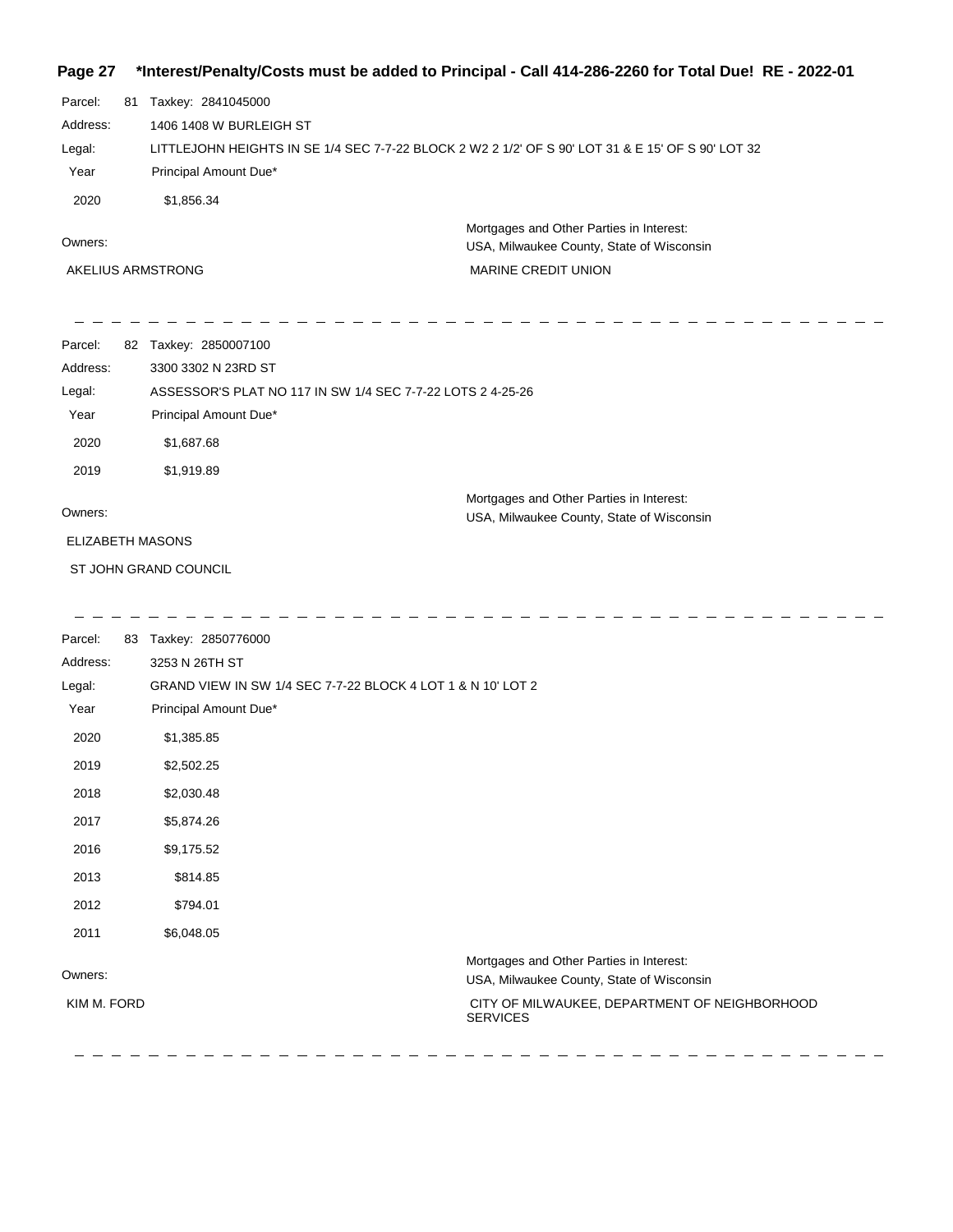### **Page 27 \*Interest/Penalty/Costs must be added to Principal - Call 414-286-2260 for Total Due! RE - 2022-01**

| Parcel:  | 81 | Taxkey: 2841045000                                                                                |
|----------|----|---------------------------------------------------------------------------------------------------|
| Address: |    | 1406 1408 W BURLEIGH ST                                                                           |
| Legal:   |    | LITTLEJOHN HEIGHTS IN SE 1/4 SEC 7-7-22 BLOCK 2 W2 2 1/2' OF S 90' LOT 31 & E 15' OF S 90' LOT 32 |
| Year     |    | Principal Amount Due*                                                                             |
| 2020     |    | \$1,856,34                                                                                        |
|          |    | Mortgages and Other Parties in Interest:                                                          |
| Owners:  |    | LISA Milwaukee County State of Wisconsin                                                          |

USA, Milwaukee County, State of Wisconsin

AKELIUS ARMSTRONG

MARINE CREDIT UNION

| Parcel:  | 82 | Taxkey: 2850007100                                                                    |
|----------|----|---------------------------------------------------------------------------------------|
| Address: |    | 3300 3302 N 23RD ST                                                                   |
| Legal:   |    | ASSESSOR'S PLAT NO 117 IN SW 1/4 SEC 7-7-22 LOTS 2 4-25-26                            |
| Year     |    | Principal Amount Due*                                                                 |
| 2020     |    | \$1,687.68                                                                            |
| 2019     |    | \$1,919.89                                                                            |
| Owners:  |    | Mortgages and Other Parties in Interest:<br>USA, Milwaukee County, State of Wisconsin |

ELIZABETH MASONS

ST JOHN GRAND COUNCIL

| Parcel:     | 83 | Taxkey: 2850776000                                                                    |
|-------------|----|---------------------------------------------------------------------------------------|
| Address:    |    | 3253 N 26TH ST                                                                        |
| Legal:      |    | GRAND VIEW IN SW 1/4 SEC 7-7-22 BLOCK 4 LOT 1 & N 10' LOT 2                           |
| Year        |    | Principal Amount Due*                                                                 |
| 2020        |    | \$1,385.85                                                                            |
| 2019        |    | \$2,502.25                                                                            |
| 2018        |    | \$2,030.48                                                                            |
| 2017        |    | \$5,874.26                                                                            |
| 2016        |    | \$9,175.52                                                                            |
| 2013        |    | \$814.85                                                                              |
| 2012        |    | \$794.01                                                                              |
| 2011        |    | \$6,048.05                                                                            |
| Owners:     |    | Mortgages and Other Parties in Interest:<br>USA, Milwaukee County, State of Wisconsin |
| KIM M. FORD |    | CITY OF MILWAUKEE, DEPARTMENT OF NEIGHBORHOOD<br><b>SERVICES</b>                      |
|             |    |                                                                                       |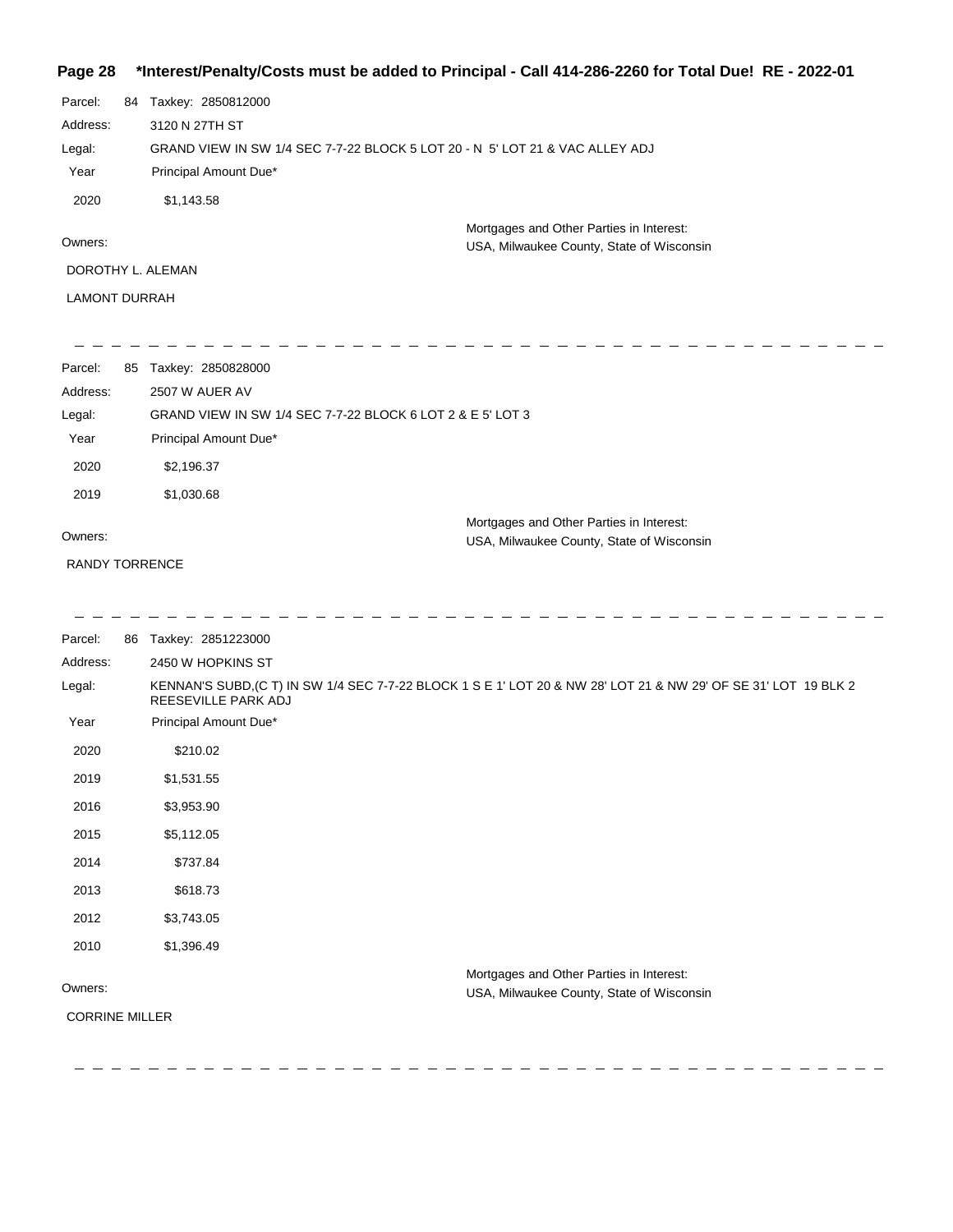### **Page 28 \*Interest/Penalty/Costs must be added to Principal - Call 414-286-2260 for Total Due! RE - 2022-01**

| Parcel:       | 84 | Taxkey: 2850812000                                                           |  |
|---------------|----|------------------------------------------------------------------------------|--|
| Address:      |    | 3120 N 27TH ST                                                               |  |
| Legal:        |    | GRAND VIEW IN SW 1/4 SEC 7-7-22 BLOCK 5 LOT 20 - N 5' LOT 21 & VAC ALLEY ADJ |  |
| Year          |    | Principal Amount Due*                                                        |  |
| 2020          |    | \$1.143.58                                                                   |  |
|               |    | Mortgages and Other Parties in Interest:                                     |  |
| Owners:       |    | USA, Milwaukee County, State of Wisconsin                                    |  |
|               |    | DOROTHY L. ALEMAN                                                            |  |
| LAMONT DURRAH |    |                                                                              |  |

| Parcel:  | 85 | Taxkey: 2850828000                                         |
|----------|----|------------------------------------------------------------|
| Address: |    | 2507 W AUER AV                                             |
| Legal:   |    | GRAND VIEW IN SW 1/4 SEC 7-7-22 BLOCK 6 LOT 2 & E 5' LOT 3 |
| Year     |    | Principal Amount Due*                                      |
| 2020     |    | \$2,196.37                                                 |
| 2019     |    | \$1,030.68                                                 |
| Owners:  |    | Mortgages and Other Parties in Interest:                   |
|          |    | USA, Milwaukee County, State of Wisconsin                  |

RANDY TORRENCE

| Parcel:               | 86 | Taxkey: 2851223000                                                                                                                     |
|-----------------------|----|----------------------------------------------------------------------------------------------------------------------------------------|
| Address:              |    | 2450 W HOPKINS ST                                                                                                                      |
| Legal:                |    | KENNAN'S SUBD, (C T) IN SW 1/4 SEC 7-7-22 BLOCK 1 S E 1' LOT 20 & NW 28' LOT 21 & NW 29' OF SE 31' LOT 19 BLK 2<br>REESEVILLE PARK ADJ |
| Year                  |    | Principal Amount Due*                                                                                                                  |
| 2020                  |    | \$210.02                                                                                                                               |
| 2019                  |    | \$1,531.55                                                                                                                             |
| 2016                  |    | \$3,953.90                                                                                                                             |
| 2015                  |    | \$5,112.05                                                                                                                             |
| 2014                  |    | \$737.84                                                                                                                               |
| 2013                  |    | \$618.73                                                                                                                               |
| 2012                  |    | \$3,743.05                                                                                                                             |
| 2010                  |    | \$1,396.49                                                                                                                             |
| Owners:               |    | Mortgages and Other Parties in Interest:<br>USA, Milwaukee County, State of Wisconsin                                                  |
| <b>CORRINE MILLER</b> |    |                                                                                                                                        |
|                       |    |                                                                                                                                        |
|                       |    |                                                                                                                                        |

-------------

 $\hspace{0.1cm} \rule{0.7cm}{0.1cm}$ 

----------------------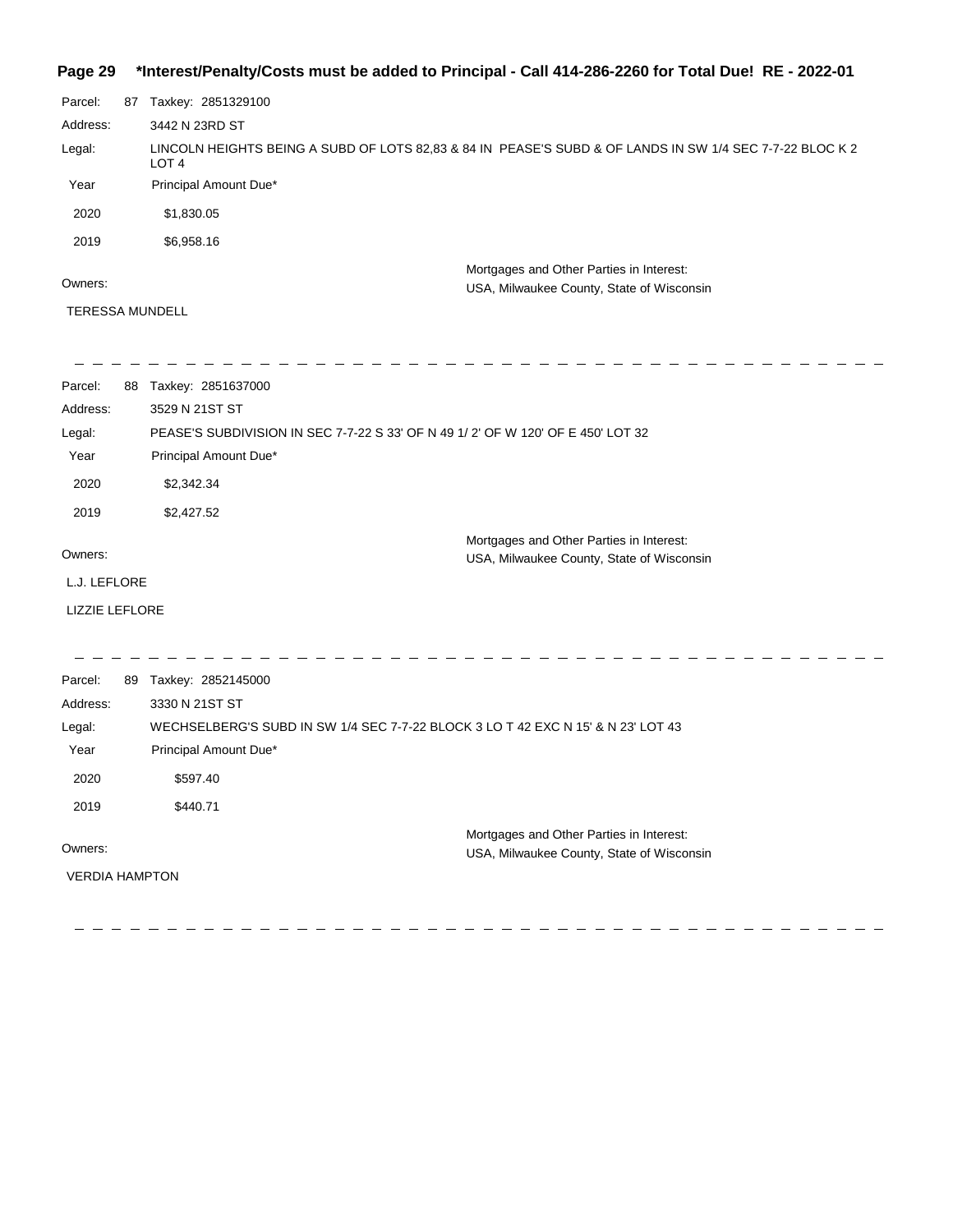#### **Page 29 \*Interest/Penalty/Costs must be added to Principal - Call 414-286-2260 for Total Due! RE - 2022-01**

Parcel: 87 Taxkey: 2851329100 Mortgages and Other Parties in Interest: Year Principal Amount Due\* LINCOLN HEIGHTS BEING A SUBD OF LOTS 82,83 & 84 IN PEASE'S SUBD & OF LANDS IN SW 1/4 SEC 7-7-22 BLOC K 2 LOT 4 3442 N 23RD ST Address: Legal: 2020 \$1,830.05 2019 \$6,958.16

#### Owners:

USA, Milwaukee County, State of Wisconsin

#### TERESSA MUNDELL

| Parcel:               | 88 | Taxkey: 2851637000                                                               |
|-----------------------|----|----------------------------------------------------------------------------------|
| Address:              |    | 3529 N 21ST ST                                                                   |
| Legal:                |    | PEASE'S SUBDIVISION IN SEC 7-7-22 S 33' OF N 49 1/2' OF W 120' OF E 450' LOT 32  |
| Year                  |    | Principal Amount Due*                                                            |
| 2020                  |    | \$2,342.34                                                                       |
| 2019                  |    | \$2,427.52                                                                       |
|                       |    | Mortgages and Other Parties in Interest:                                         |
| Owners:               |    | USA, Milwaukee County, State of Wisconsin                                        |
| L.J. LEFLORE          |    |                                                                                  |
| <b>LIZZIE LEFLORE</b> |    |                                                                                  |
|                       |    |                                                                                  |
|                       |    |                                                                                  |
| Parcel:               | 89 | Taxkey: 2852145000                                                               |
| Address:              |    | 3330 N 21ST ST                                                                   |
| Legal:                |    | WECHSELBERG'S SUBD IN SW 1/4 SEC 7-7-22 BLOCK 3 LO T 42 EXC N 15' & N 23' LOT 43 |
| Year                  |    | Principal Amount Due*                                                            |
| 2020                  |    | \$597.40                                                                         |

2019 \$440.71

Owners:

VERDIA HAMPTON

 $\sim$  $\sim$ 

Mortgages and Other Parties in Interest: USA, Milwaukee County, State of Wisconsin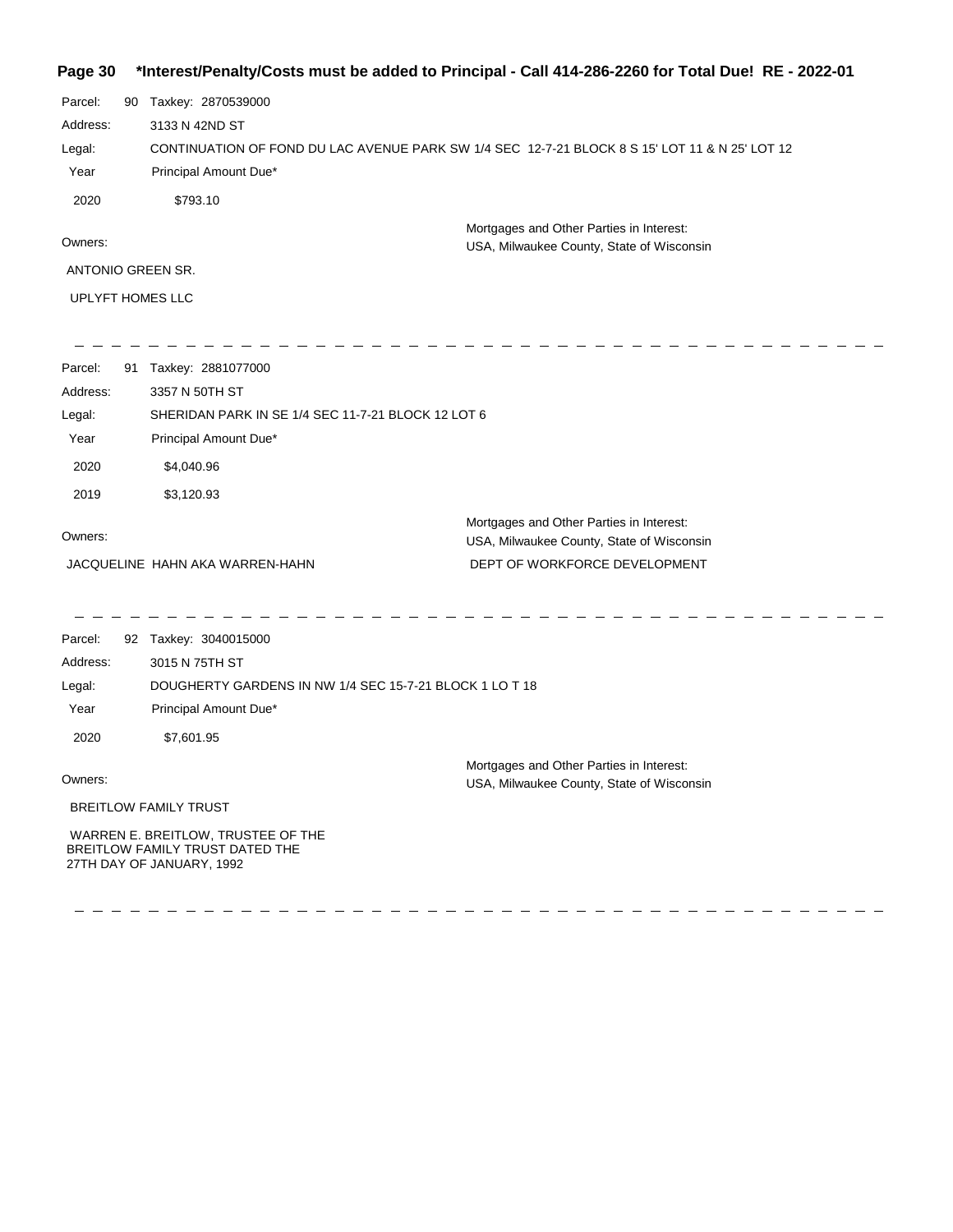### **Page 30 \*Interest/Penalty/Costs must be added to Principal - Call 414-286-2260 for Total Due! RE - 2022-01**

| Parcel:           | 90 | Taxkey: 2870539000                                                                             |
|-------------------|----|------------------------------------------------------------------------------------------------|
| Address:          |    | 3133 N 42ND ST                                                                                 |
| Legal:            |    | CONTINUATION OF FOND DU LAC AVENUE PARK SW 1/4 SEC 12-7-21 BLOCK 8 S 15' LOT 11 & N 25' LOT 12 |
| Year              |    | Principal Amount Due*                                                                          |
| 2020              |    | \$793.10                                                                                       |
|                   |    | Mortgages and Other Parties in Interest:                                                       |
| Owners:           |    | USA, Milwaukee County, State of Wisconsin                                                      |
| ANTONIO GREEN SR. |    |                                                                                                |

UPLYFT HOMES LLC

27TH DAY OF JANUARY, 1992

| Parcel:  | 91 | Taxkey: 2881077000                                 |                                                                                       |
|----------|----|----------------------------------------------------|---------------------------------------------------------------------------------------|
| Address: |    | 3357 N 50TH ST                                     |                                                                                       |
| Legal:   |    | SHERIDAN PARK IN SE 1/4 SEC 11-7-21 BLOCK 12 LOT 6 |                                                                                       |
| Year     |    | Principal Amount Due*                              |                                                                                       |
| 2020     |    | \$4,040.96                                         |                                                                                       |
| 2019     |    | \$3,120.93                                         |                                                                                       |
| Owners:  |    |                                                    | Mortgages and Other Parties in Interest:<br>USA, Milwaukee County, State of Wisconsin |
|          |    | JACQUELINE HAHN AKA WARREN-HAHN                    | DEPT OF WORKFORCE DEVELOPMENT                                                         |
|          |    |                                                    |                                                                                       |

| Parcel:  | 92 Taxkey: 3040015000                                                 |                                                                                       |
|----------|-----------------------------------------------------------------------|---------------------------------------------------------------------------------------|
| Address: | 3015 N 75TH ST                                                        |                                                                                       |
| Legal:   | DOUGHERTY GARDENS IN NW 1/4 SEC 15-7-21 BLOCK 1 LO T 18               |                                                                                       |
| Year     | Principal Amount Due*                                                 |                                                                                       |
| 2020     | \$7,601.95                                                            |                                                                                       |
| Owners:  |                                                                       | Mortgages and Other Parties in Interest:<br>USA, Milwaukee County, State of Wisconsin |
|          | <b>BREITLOW FAMILY TRUST</b>                                          |                                                                                       |
|          | WARREN E. BREITLOW, TRUSTEE OF THE<br>BREITLOW FAMILY TRUST DATED THE |                                                                                       |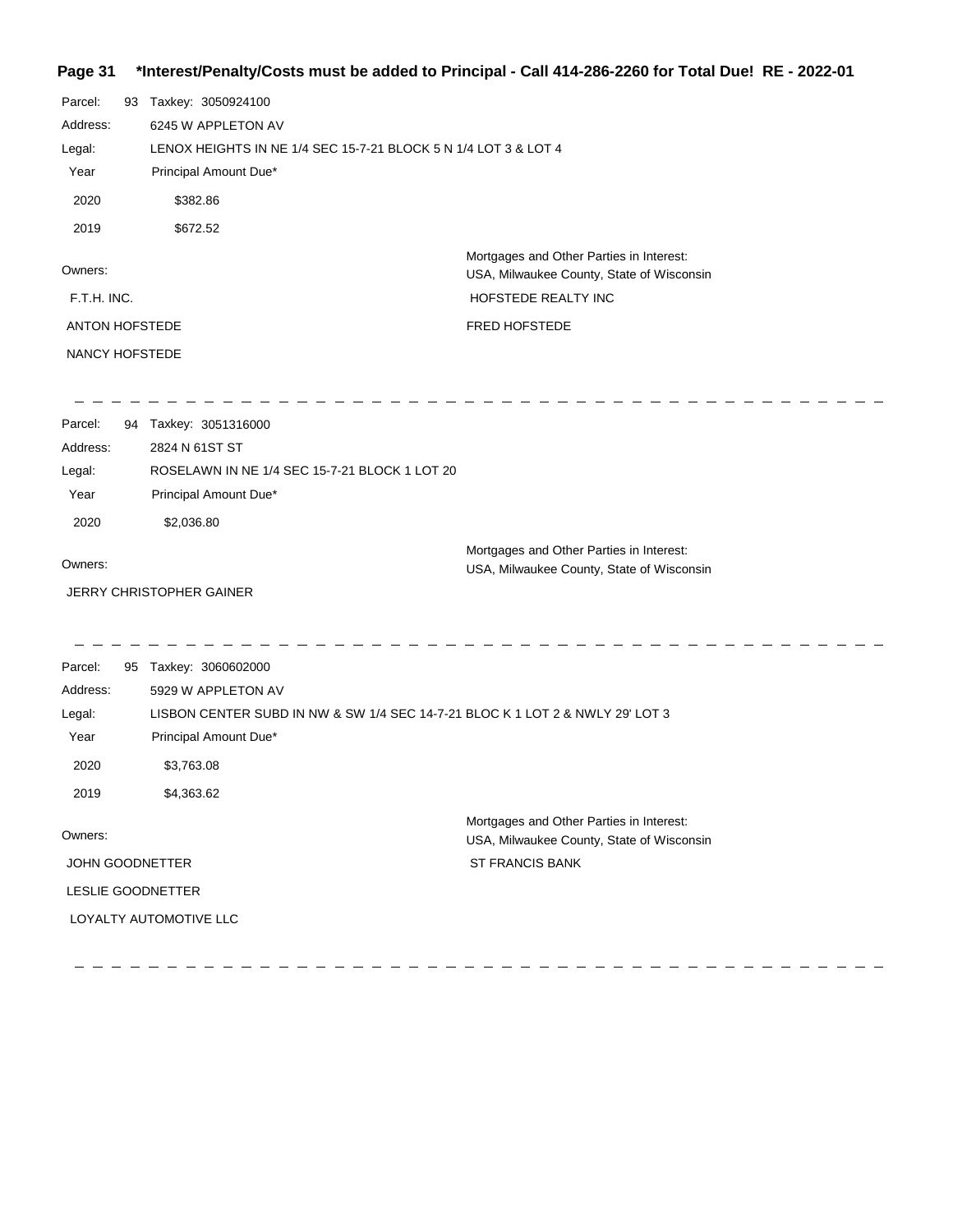# **Page 31 \*Interest/Penalty/Costs must be added to Principal - Call 414-286-2260 for Total Due! RE - 2022-01**

| Parcel:               | 93 Taxkey: 3050924100                                                         |                                                                                       |  |
|-----------------------|-------------------------------------------------------------------------------|---------------------------------------------------------------------------------------|--|
| Address:              | 6245 W APPLETON AV                                                            |                                                                                       |  |
| Legal:                | LENOX HEIGHTS IN NE 1/4 SEC 15-7-21 BLOCK 5 N 1/4 LOT 3 & LOT 4               |                                                                                       |  |
| Year                  | Principal Amount Due*                                                         |                                                                                       |  |
| 2020                  | \$382.86                                                                      |                                                                                       |  |
| 2019                  | \$672.52                                                                      |                                                                                       |  |
| Owners:               |                                                                               | Mortgages and Other Parties in Interest:<br>USA, Milwaukee County, State of Wisconsin |  |
| F.T.H. INC.           |                                                                               | HOFSTEDE REALTY INC                                                                   |  |
| <b>ANTON HOFSTEDE</b> |                                                                               | <b>FRED HOFSTEDE</b>                                                                  |  |
| NANCY HOFSTEDE        |                                                                               |                                                                                       |  |
| Parcel:               | 94 Taxkey: 3051316000                                                         |                                                                                       |  |
| Address:              | 2824 N 61ST ST                                                                |                                                                                       |  |
| Legal:                | ROSELAWN IN NE 1/4 SEC 15-7-21 BLOCK 1 LOT 20                                 |                                                                                       |  |
| Year                  | Principal Amount Due*                                                         |                                                                                       |  |
| 2020                  | \$2,036.80                                                                    |                                                                                       |  |
|                       |                                                                               | Mortgages and Other Parties in Interest:                                              |  |
| Owners:               |                                                                               | USA, Milwaukee County, State of Wisconsin                                             |  |
|                       | <b>JERRY CHRISTOPHER GAINER</b>                                               |                                                                                       |  |
| Parcel:               | 95 Taxkey: 3060602000                                                         |                                                                                       |  |
| Address:              | 5929 W APPLETON AV                                                            |                                                                                       |  |
| Legal:                | LISBON CENTER SUBD IN NW & SW 1/4 SEC 14-7-21 BLOC K 1 LOT 2 & NWLY 29' LOT 3 |                                                                                       |  |
| Year                  | Principal Amount Due*                                                         |                                                                                       |  |
| 2020                  | \$3,763.08                                                                    |                                                                                       |  |
| 2019                  | \$4,363.62                                                                    |                                                                                       |  |
| Owners:               |                                                                               | Mortgages and Other Parties in Interest:<br>USA, Milwaukee County, State of Wisconsin |  |
| JOHN GOODNETTER       |                                                                               | <b>ST FRANCIS BANK</b>                                                                |  |
|                       | LESLIE GOODNETTER                                                             |                                                                                       |  |
|                       | LOYALTY AUTOMOTIVE LLC                                                        |                                                                                       |  |

- - - -

----------------------------------

 $\overline{\phantom{a}}$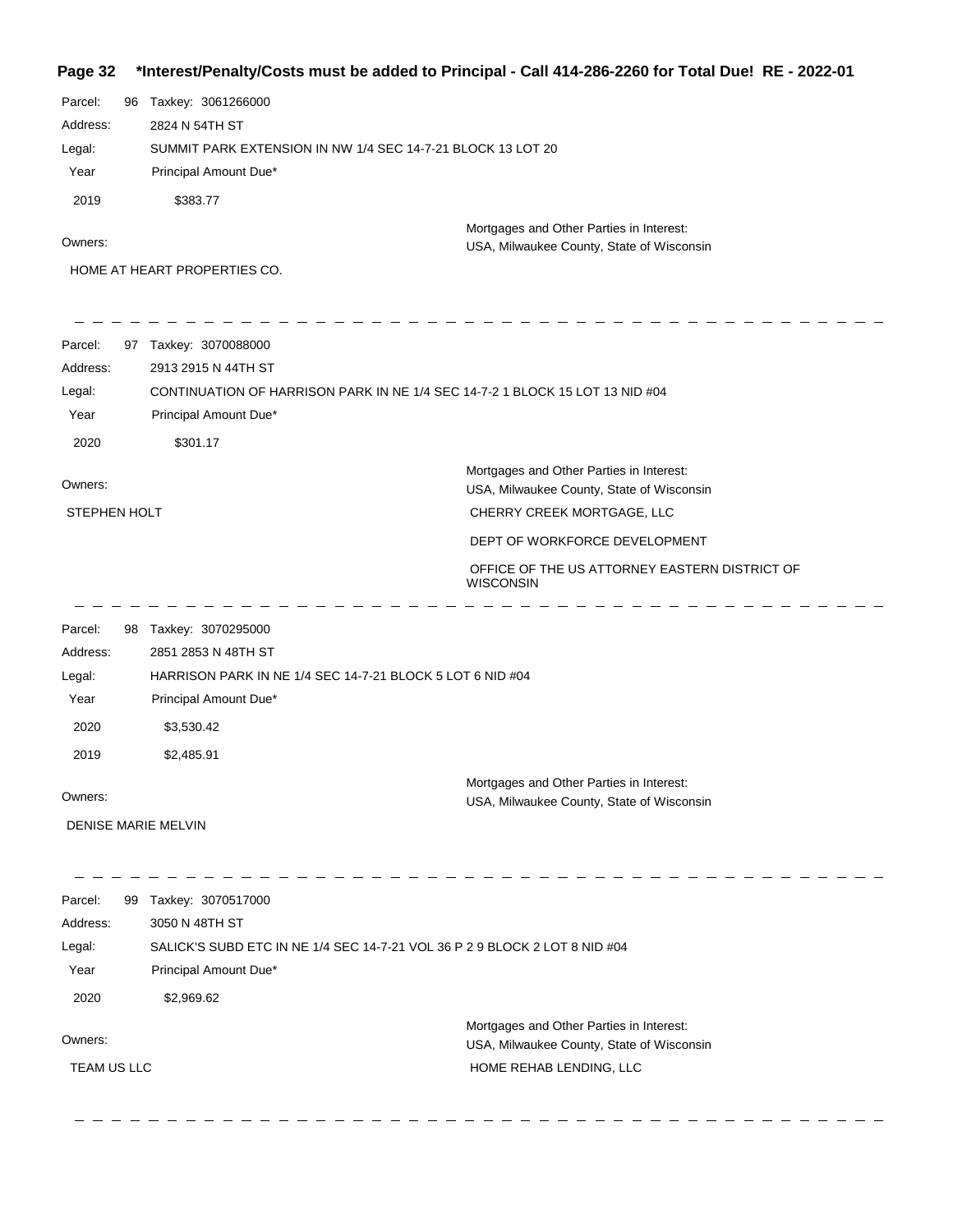#### **Page 32 \*Interest/Penalty/Costs must be added to Principal - Call 414-286-2260 for Total Due! RE - 2022-01**

| Taxkey: 3061266000<br>2824 N 54TH ST<br>SUMMIT PARK EXTENSION IN NW 1/4 SEC 14-7-21 BLOCK 13 LOT 20<br>Principal Amount Due*<br>\$383.77 |                                                                                                             |
|------------------------------------------------------------------------------------------------------------------------------------------|-------------------------------------------------------------------------------------------------------------|
|                                                                                                                                          |                                                                                                             |
|                                                                                                                                          |                                                                                                             |
|                                                                                                                                          |                                                                                                             |
|                                                                                                                                          |                                                                                                             |
|                                                                                                                                          |                                                                                                             |
|                                                                                                                                          | Mortgages and Other Parties in Interest:                                                                    |
|                                                                                                                                          | USA, Milwaukee County, State of Wisconsin                                                                   |
| HOME AT HEART PROPERTIES CO.                                                                                                             |                                                                                                             |
| 97 Taxkey: 3070088000                                                                                                                    |                                                                                                             |
| 2913 2915 N 44TH ST                                                                                                                      |                                                                                                             |
|                                                                                                                                          | CONTINUATION OF HARRISON PARK IN NE 1/4 SEC 14-7-2 1 BLOCK 15 LOT 13 NID #04                                |
| Principal Amount Due*                                                                                                                    |                                                                                                             |
| \$301.17                                                                                                                                 |                                                                                                             |
|                                                                                                                                          | Mortgages and Other Parties in Interest:<br>USA, Milwaukee County, State of Wisconsin                       |
| STEPHEN HOLT                                                                                                                             | CHERRY CREEK MORTGAGE, LLC                                                                                  |
|                                                                                                                                          | DEPT OF WORKFORCE DEVELOPMENT                                                                               |
|                                                                                                                                          | OFFICE OF THE US ATTORNEY EASTERN DISTRICT OF<br><b>WISCONSIN</b>                                           |
| 98 Taxkey: 3070295000                                                                                                                    |                                                                                                             |
| 2851 2853 N 48TH ST                                                                                                                      |                                                                                                             |
|                                                                                                                                          |                                                                                                             |
|                                                                                                                                          |                                                                                                             |
| \$3,530.42                                                                                                                               |                                                                                                             |
| \$2,485.91                                                                                                                               |                                                                                                             |
|                                                                                                                                          | Mortgages and Other Parties in Interest:<br>USA, Milwaukee County, State of Wisconsin                       |
| DENISE MARIE MELVIN                                                                                                                      |                                                                                                             |
| 99 Taxkey: 3070517000                                                                                                                    |                                                                                                             |
| 3050 N 48TH ST                                                                                                                           |                                                                                                             |
| SALICK'S SUBD ETC IN NE 1/4 SEC 14-7-21 VOL 36 P 2 9 BLOCK 2 LOT 8 NID #04                                                               |                                                                                                             |
|                                                                                                                                          |                                                                                                             |
| \$2,969.62                                                                                                                               |                                                                                                             |
|                                                                                                                                          | Mortgages and Other Parties in Interest:                                                                    |
|                                                                                                                                          | USA, Milwaukee County, State of Wisconsin                                                                   |
| TEAM US LLC                                                                                                                              | HOME REHAB LENDING, LLC                                                                                     |
|                                                                                                                                          | HARRISON PARK IN NE 1/4 SEC 14-7-21 BLOCK 5 LOT 6 NID #04<br>Principal Amount Due*<br>Principal Amount Due* |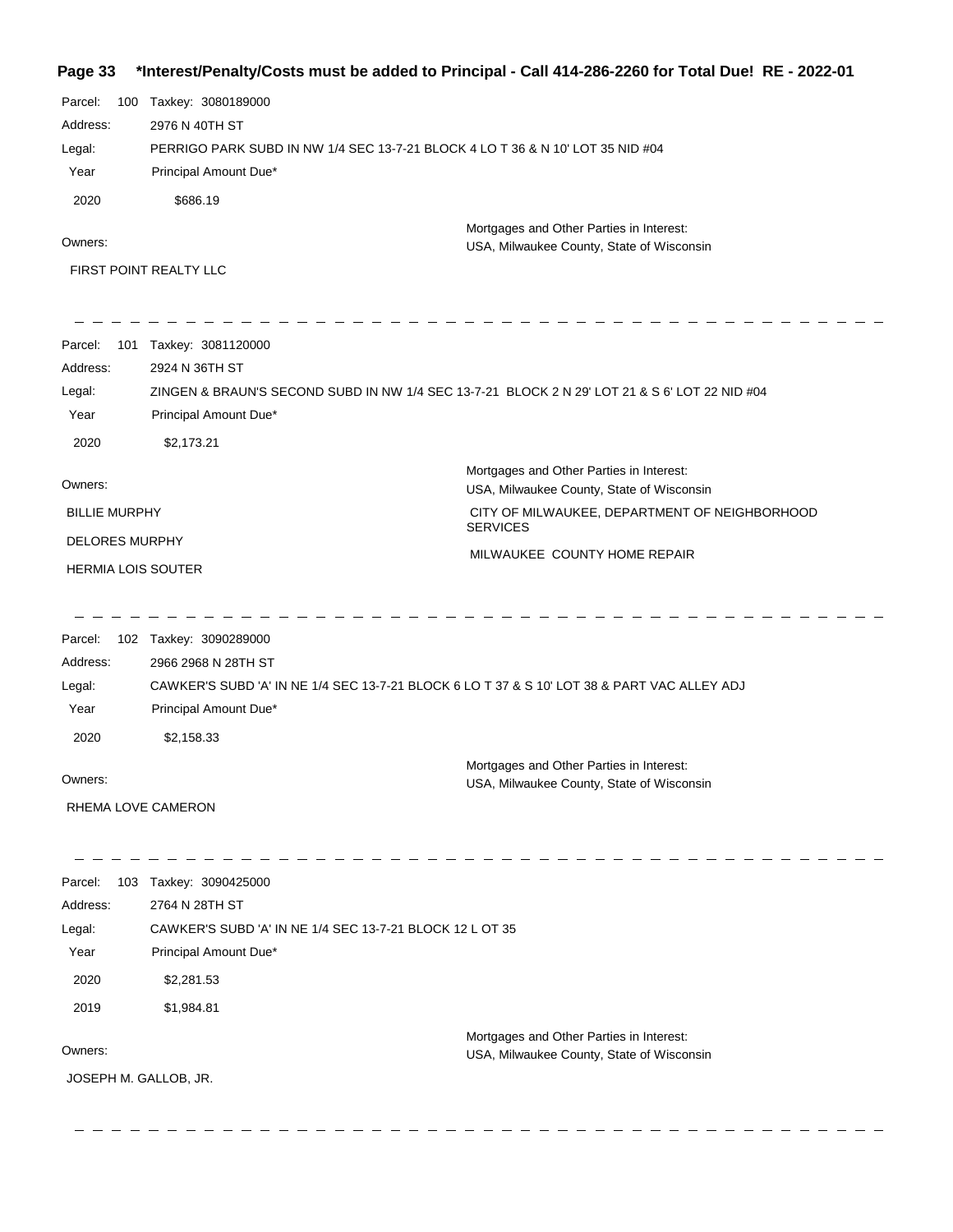# **Page 33 \*Interest/Penalty/Costs must be added to Principal - Call 414-286-2260 for Total Due! RE - 2022-01**

| Parcel:<br>100<br>Address: | Taxkey: 3080189000<br>2976 N 40TH ST                                                                                 |                                                                                               |
|----------------------------|----------------------------------------------------------------------------------------------------------------------|-----------------------------------------------------------------------------------------------|
| Legal:<br>Year             | PERRIGO PARK SUBD IN NW 1/4 SEC 13-7-21 BLOCK 4 LO T 36 & N 10' LOT 35 NID #04<br>Principal Amount Due*              |                                                                                               |
| 2020                       | \$686.19                                                                                                             |                                                                                               |
| Owners:                    | FIRST POINT REALTY LLC                                                                                               | Mortgages and Other Parties in Interest:<br>USA, Milwaukee County, State of Wisconsin         |
| Parcel:                    | 101 Taxkey: 3081120000                                                                                               |                                                                                               |
| Address:                   | 2924 N 36TH ST                                                                                                       |                                                                                               |
| Legal:                     |                                                                                                                      | ZINGEN & BRAUN'S SECOND SUBD IN NW 1/4 SEC 13-7-21 BLOCK 2 N 29' LOT 21 & S 6' LOT 22 NID #04 |
| Year                       | Principal Amount Due*                                                                                                |                                                                                               |
| 2020                       | \$2,173.21                                                                                                           |                                                                                               |
| Owners:                    |                                                                                                                      | Mortgages and Other Parties in Interest:<br>USA, Milwaukee County, State of Wisconsin         |
| <b>BILLIE MURPHY</b>       |                                                                                                                      | CITY OF MILWAUKEE, DEPARTMENT OF NEIGHBORHOOD<br><b>SERVICES</b>                              |
| <b>DELORES MURPHY</b>      |                                                                                                                      | MILWAUKEE COUNTY HOME REPAIR                                                                  |
| <b>HERMIA LOIS SOUTER</b>  |                                                                                                                      |                                                                                               |
| Parcel:                    | 102 Taxkey: 3090289000                                                                                               |                                                                                               |
| Address:                   | 2966 2968 N 28TH ST                                                                                                  |                                                                                               |
| Legal:<br>Year             | CAWKER'S SUBD 'A' IN NE 1/4 SEC 13-7-21 BLOCK 6 LO T 37 & S 10' LOT 38 & PART VAC ALLEY ADJ<br>Principal Amount Due* |                                                                                               |
| 2020                       | \$2,158.33                                                                                                           |                                                                                               |
| Owners:                    |                                                                                                                      | Mortgages and Other Parties in Interest:<br>USA, Milwaukee County, State of Wisconsin         |
| RHEMA LOVE CAMERON         |                                                                                                                      |                                                                                               |
| Parcel:                    | 103 Taxkey: 3090425000                                                                                               |                                                                                               |
| Address:                   | 2764 N 28TH ST                                                                                                       |                                                                                               |
| Legal:                     | CAWKER'S SUBD 'A' IN NE 1/4 SEC 13-7-21 BLOCK 12 L OT 35                                                             |                                                                                               |
| Year                       | Principal Amount Due*                                                                                                |                                                                                               |
| 2020                       | \$2,281.53                                                                                                           |                                                                                               |
| 2019                       | \$1,984.81                                                                                                           |                                                                                               |
| Owners:                    |                                                                                                                      | Mortgages and Other Parties in Interest:                                                      |
| JOSEPH M. GALLOB, JR.      |                                                                                                                      | USA, Milwaukee County, State of Wisconsin                                                     |
|                            |                                                                                                                      |                                                                                               |

-------------

 $\sim$ 

 $\overline{\phantom{a}}$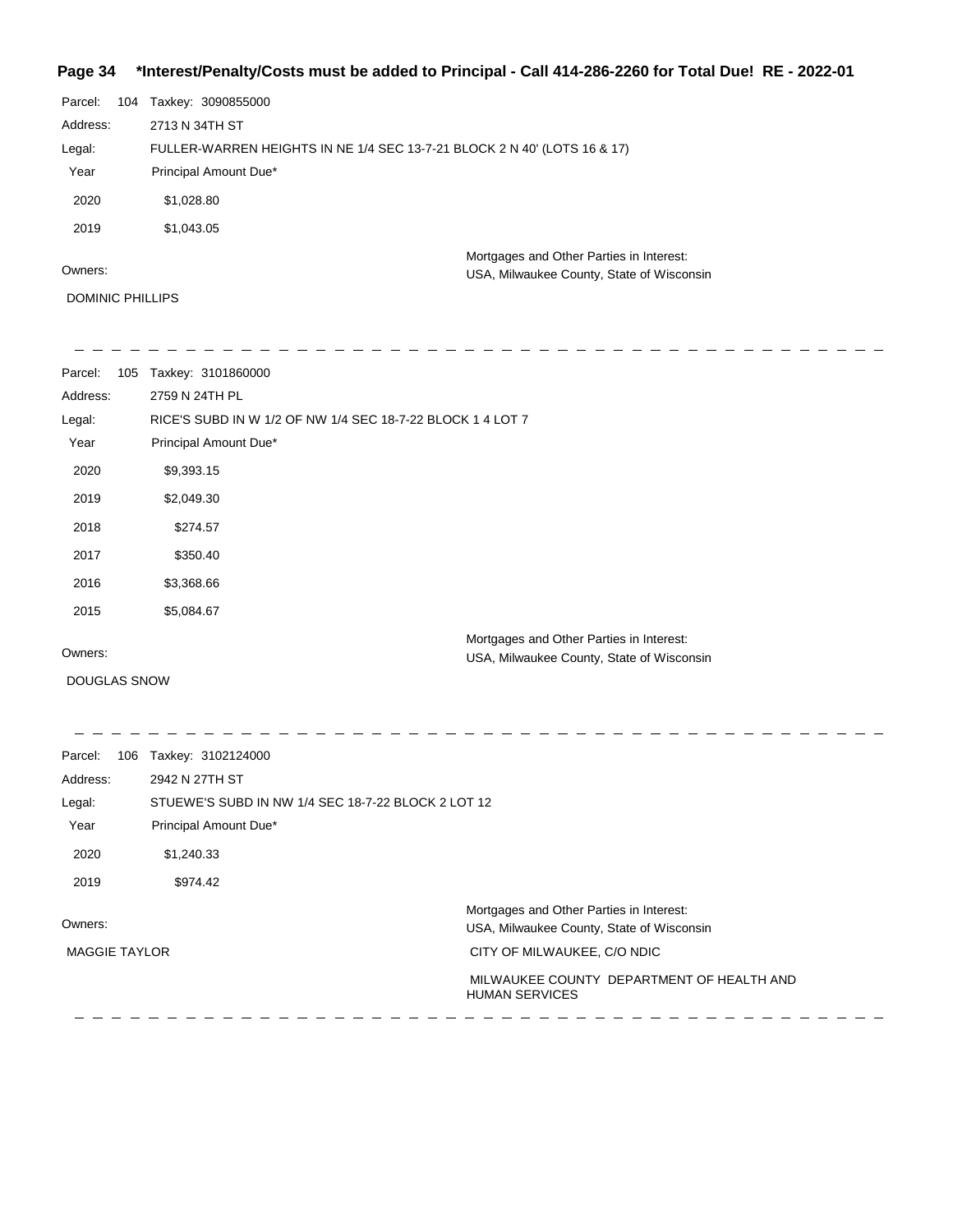## **Page 34 \*Interest/Penalty/Costs must be added to Principal - Call 414-286-2260 for Total Due! RE - 2022-01**

| Parcel:  | 104 | Taxkey: 3090855000                                                       |                                                                                       |
|----------|-----|--------------------------------------------------------------------------|---------------------------------------------------------------------------------------|
| Address: |     | 2713 N 34TH ST                                                           |                                                                                       |
| Legal:   |     | FULLER-WARREN HEIGHTS IN NE 1/4 SEC 13-7-21 BLOCK 2 N 40' (LOTS 16 & 17) |                                                                                       |
| Year     |     | Principal Amount Due*                                                    |                                                                                       |
| 2020     |     | \$1,028.80                                                               |                                                                                       |
| 2019     |     | \$1,043.05                                                               |                                                                                       |
| Owners:  |     |                                                                          | Mortgages and Other Parties in Interest:<br>USA, Milwaukee County, State of Wisconsin |

DOMINIC PHILLIPS

| Parcel:<br>105      | Taxkey: 3101860000                                         |
|---------------------|------------------------------------------------------------|
| Address:            | 2759 N 24TH PL                                             |
| Legal:              | RICE'S SUBD IN W 1/2 OF NW 1/4 SEC 18-7-22 BLOCK 1 4 LOT 7 |
| Year                | Principal Amount Due*                                      |
| 2020                | \$9,393.15                                                 |
| 2019                | \$2,049.30                                                 |
| 2018                | \$274.57                                                   |
| 2017                | \$350.40                                                   |
| 2016                | \$3,368.66                                                 |
| 2015                | \$5,084.67                                                 |
| Owners:             | Mortgages and Other Parties in Interest:                   |
|                     | USA, Milwaukee County, State of Wisconsin                  |
| <b>DOUGLAS SNOW</b> |                                                            |
|                     |                                                            |

| Parcel:<br>106       | Taxkey: 3102124000                                 |                                                                    |
|----------------------|----------------------------------------------------|--------------------------------------------------------------------|
| Address:             | 2942 N 27TH ST                                     |                                                                    |
| Legal:               | STUEWE'S SUBD IN NW 1/4 SEC 18-7-22 BLOCK 2 LOT 12 |                                                                    |
| Year                 | Principal Amount Due*                              |                                                                    |
| 2020                 | \$1,240.33                                         |                                                                    |
| 2019                 | \$974.42                                           |                                                                    |
|                      |                                                    | Mortgages and Other Parties in Interest:                           |
| Owners:              |                                                    | USA, Milwaukee County, State of Wisconsin                          |
| <b>MAGGIE TAYLOR</b> |                                                    | CITY OF MILWAUKEE, C/O NDIC                                        |
|                      |                                                    | MILWAUKEE COUNTY DEPARTMENT OF HEALTH AND<br><b>HUMAN SERVICES</b> |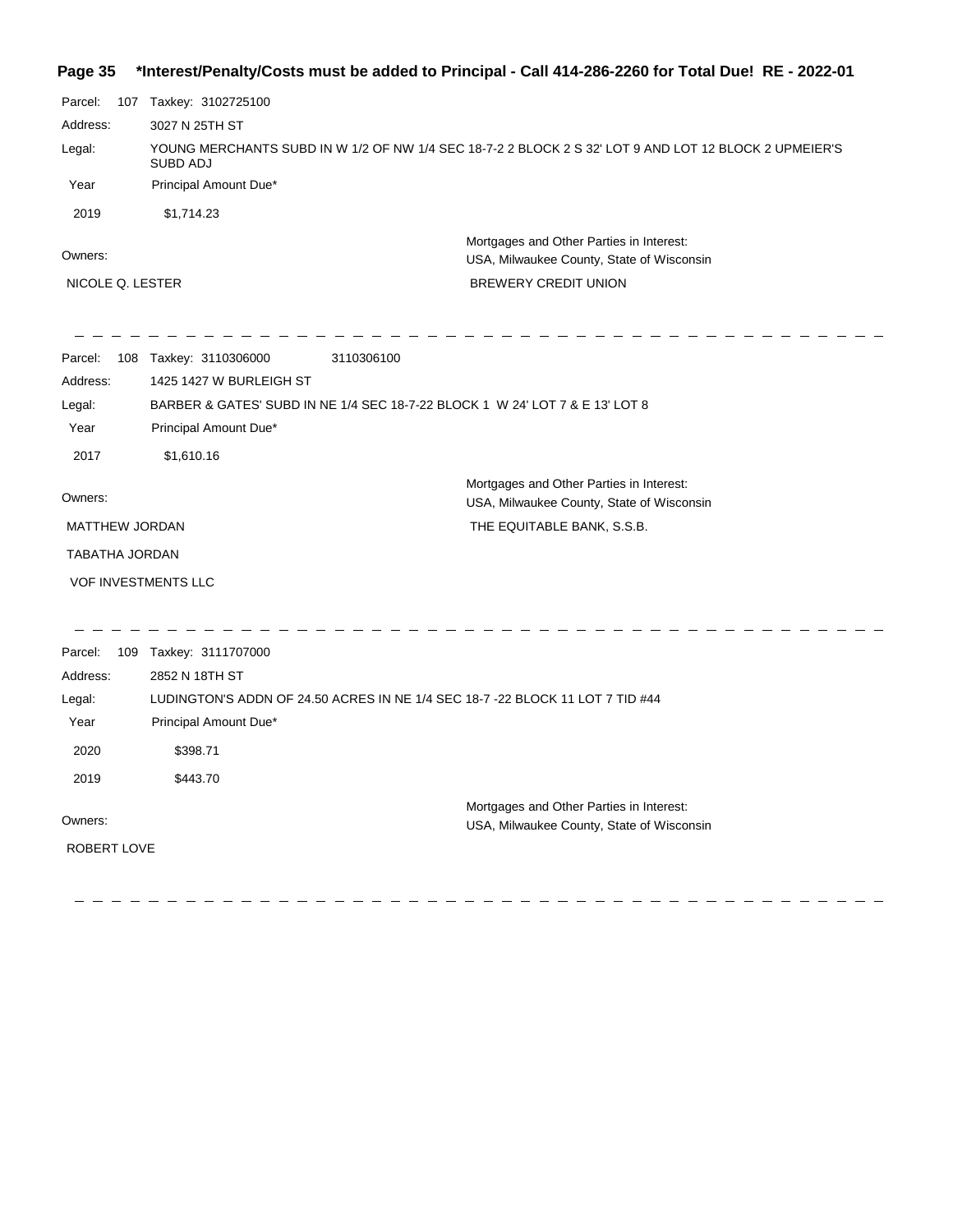## **Page 35 \*Interest/Penalty/Costs must be added to Principal - Call 414-286-2260 for Total Due! RE - 2022-01**

| Parcel:               |  | 107 Taxkey: 3102725100     |                                                                                                       |
|-----------------------|--|----------------------------|-------------------------------------------------------------------------------------------------------|
| Address:              |  | 3027 N 25TH ST             |                                                                                                       |
| Legal:                |  | SUBD ADJ                   | YOUNG MERCHANTS SUBD IN W 1/2 OF NW 1/4 SEC 18-7-2 2 BLOCK 2 S 32' LOT 9 AND LOT 12 BLOCK 2 UPMEIER'S |
| Year                  |  | Principal Amount Due*      |                                                                                                       |
| 2019                  |  | \$1,714.23                 |                                                                                                       |
| Owners:               |  |                            | Mortgages and Other Parties in Interest:<br>USA, Milwaukee County, State of Wisconsin                 |
| NICOLE Q. LESTER      |  |                            | <b>BREWERY CREDIT UNION</b>                                                                           |
|                       |  |                            |                                                                                                       |
| Parcel:               |  | 108 Taxkey: 3110306000     | 3110306100                                                                                            |
| Address:              |  | 1425 1427 W BURLEIGH ST    |                                                                                                       |
| Legal:                |  |                            | BARBER & GATES' SUBD IN NE 1/4 SEC 18-7-22 BLOCK 1 W 24' LOT 7 & E 13' LOT 8                          |
| Year                  |  | Principal Amount Due*      |                                                                                                       |
| 2017                  |  | \$1,610.16                 |                                                                                                       |
| Owners:               |  |                            | Mortgages and Other Parties in Interest:<br>USA, Milwaukee County, State of Wisconsin                 |
| <b>MATTHEW JORDAN</b> |  |                            | THE EQUITABLE BANK, S.S.B.                                                                            |
| TABATHA JORDAN        |  |                            |                                                                                                       |
|                       |  | <b>VOF INVESTMENTS LLC</b> |                                                                                                       |
|                       |  |                            |                                                                                                       |
| Parcel:               |  | 109 Taxkey: 3111707000     |                                                                                                       |
| Address:              |  | 2852 N 18TH ST             |                                                                                                       |
| Legal:                |  |                            | LUDINGTON'S ADDN OF 24.50 ACRES IN NE 1/4 SEC 18-7 -22 BLOCK 11 LOT 7 TID #44                         |
| Year                  |  | Principal Amount Due*      |                                                                                                       |
| 2020                  |  | \$398.71                   |                                                                                                       |
| 2019                  |  | \$443.70                   |                                                                                                       |
| Owners:               |  |                            | Mortgages and Other Parties in Interest:                                                              |
|                       |  |                            | USA, Milwaukee County, State of Wisconsin                                                             |
| ROBERT LOVE           |  |                            |                                                                                                       |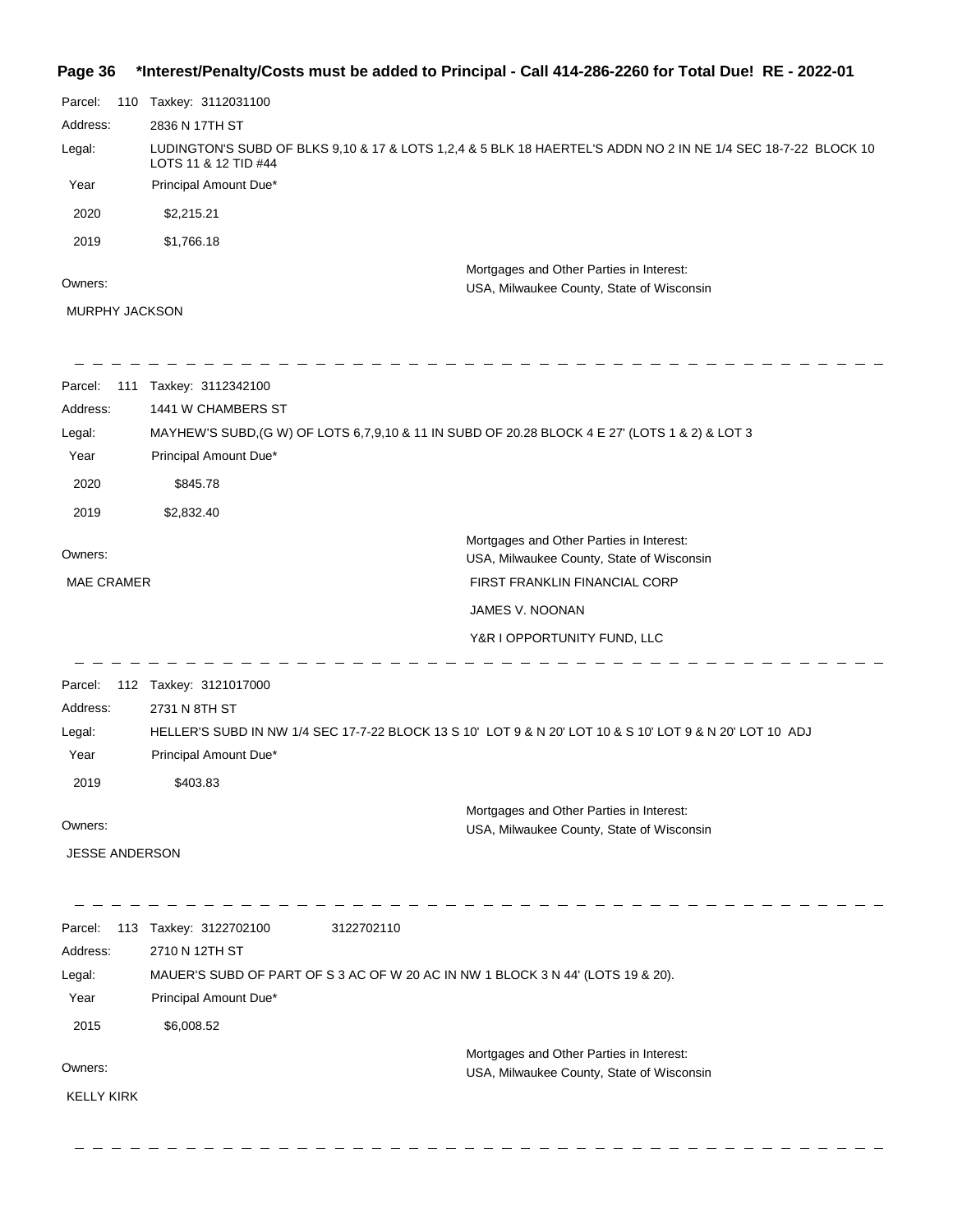# **Page 36 \*Interest/Penalty/Costs must be added to Principal - Call 414-286-2260 for Total Due! RE - 2022-01**

| Parcel:<br>110                   | Taxkey: 3112031100                                                                             |                                                                                                               |
|----------------------------------|------------------------------------------------------------------------------------------------|---------------------------------------------------------------------------------------------------------------|
| Address:                         | 2836 N 17TH ST                                                                                 |                                                                                                               |
| Legal:                           | LOTS 11 & 12 TID #44                                                                           | LUDINGTON'S SUBD OF BLKS 9,10 & 17 & LOTS 1,2,4 & 5 BLK 18 HAERTEL'S ADDN NO 2 IN NE 1/4 SEC 18-7-22 BLOCK 10 |
| Year                             | Principal Amount Due*                                                                          |                                                                                                               |
| 2020                             | \$2,215.21                                                                                     |                                                                                                               |
| 2019                             | \$1,766.18                                                                                     |                                                                                                               |
| Owners:<br><b>MURPHY JACKSON</b> |                                                                                                | Mortgages and Other Parties in Interest:<br>USA, Milwaukee County, State of Wisconsin                         |
|                                  |                                                                                                |                                                                                                               |
| Parcel:                          | 111 Taxkey: 3112342100                                                                         |                                                                                                               |
| Address:                         | 1441 W CHAMBERS ST                                                                             |                                                                                                               |
| Legal:                           | MAYHEW'S SUBD, (G W) OF LOTS 6,7,9,10 & 11 IN SUBD OF 20.28 BLOCK 4 E 27' (LOTS 1 & 2) & LOT 3 |                                                                                                               |
| Year                             | Principal Amount Due*                                                                          |                                                                                                               |
| 2020                             | \$845.78                                                                                       |                                                                                                               |
| 2019                             | \$2,832.40                                                                                     |                                                                                                               |
|                                  |                                                                                                | Mortgages and Other Parties in Interest:                                                                      |
| Owners:                          |                                                                                                | USA, Milwaukee County, State of Wisconsin                                                                     |
| <b>MAE CRAMER</b>                |                                                                                                | FIRST FRANKLIN FINANCIAL CORP                                                                                 |
|                                  |                                                                                                | JAMES V. NOONAN                                                                                               |
|                                  |                                                                                                | Y&R I OPPORTUNITY FUND, LLC                                                                                   |
| Parcel:                          | 112 Taxkey: 3121017000                                                                         |                                                                                                               |
| Address:                         | 2731 N 8TH ST                                                                                  |                                                                                                               |
| Legal:                           |                                                                                                | HELLER'S SUBD IN NW 1/4 SEC 17-7-22 BLOCK 13 S 10' LOT 9 & N 20' LOT 10 & S 10' LOT 9 & N 20' LOT 10 ADJ      |
| Year                             | Principal Amount Due*                                                                          |                                                                                                               |
| 2019                             | \$403.83                                                                                       |                                                                                                               |
|                                  |                                                                                                | Mortgages and Other Parties in Interest:                                                                      |
| Owners:                          |                                                                                                | USA, Milwaukee County, State of Wisconsin                                                                     |
| <b>JESSE ANDERSON</b>            |                                                                                                |                                                                                                               |
|                                  | 113 Taxkey: 3122702100<br>3122702110                                                           |                                                                                                               |
| Parcel:<br>Address:              | 2710 N 12TH ST                                                                                 |                                                                                                               |
| Legal:                           | MAUER'S SUBD OF PART OF S 3 AC OF W 20 AC IN NW 1 BLOCK 3 N 44' (LOTS 19 & 20).                |                                                                                                               |
| Year                             | Principal Amount Due*                                                                          |                                                                                                               |
| 2015                             | \$6,008.52                                                                                     |                                                                                                               |
|                                  |                                                                                                | Mortgages and Other Parties in Interest:                                                                      |
| Owners:                          |                                                                                                | USA, Milwaukee County, State of Wisconsin                                                                     |
| <b>KELLY KIRK</b>                |                                                                                                |                                                                                                               |
|                                  |                                                                                                |                                                                                                               |
|                                  |                                                                                                |                                                                                                               |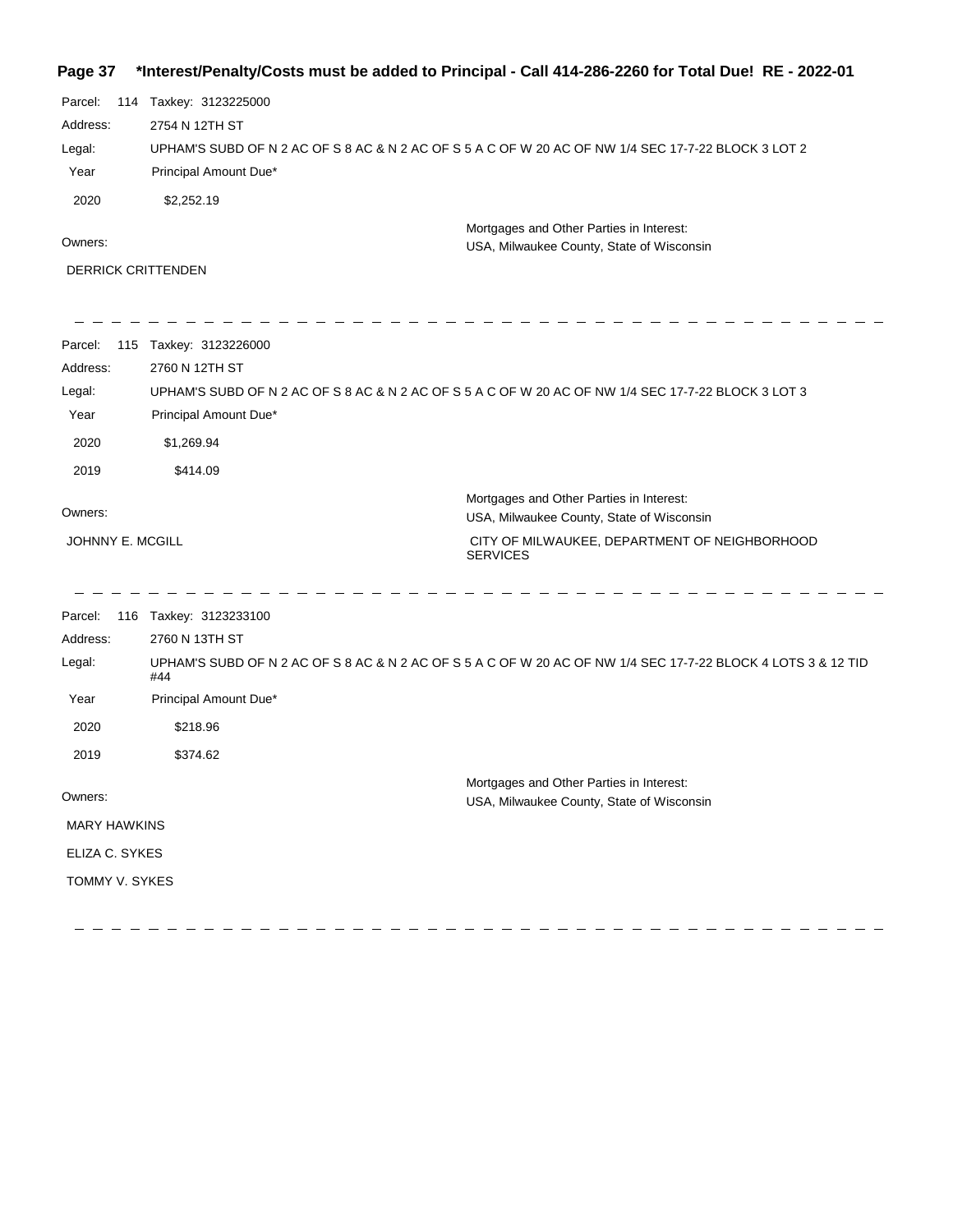## **Page 37 \*Interest/Penalty/Costs must be added to Principal - Call 414-286-2260 for Total Due! RE - 2022-01**

| Parcel:<br>Address:<br>Legal:<br>Year<br>2020 | 114 Taxkey: 3123225000<br>2754 N 12TH ST<br>UPHAM'S SUBD OF N 2 AC OF S 8 AC & N 2 AC OF S 5 A C OF W 20 AC OF NW 1/4 SEC 17-7-22 BLOCK 3 LOT 2<br>Principal Amount Due*<br>\$2,252.19 |                                                                                       |
|-----------------------------------------------|----------------------------------------------------------------------------------------------------------------------------------------------------------------------------------------|---------------------------------------------------------------------------------------|
| Owners:                                       |                                                                                                                                                                                        | Mortgages and Other Parties in Interest:<br>USA, Milwaukee County, State of Wisconsin |
| <b>DERRICK CRITTENDEN</b>                     |                                                                                                                                                                                        |                                                                                       |
| Parcel:<br>Address:<br>Legal:<br>Year         | 115 Taxkey: 3123226000<br>2760 N 12TH ST<br>UPHAM'S SUBD OF N 2 AC OF S 8 AC & N 2 AC OF S 5 A C OF W 20 AC OF NW 1/4 SEC 17-7-22 BLOCK 3 LOT 3<br>Principal Amount Due*               |                                                                                       |
| 2020                                          | \$1,269.94                                                                                                                                                                             |                                                                                       |
| 2019                                          | \$414.09                                                                                                                                                                               |                                                                                       |
| Owners:                                       |                                                                                                                                                                                        | Mortgages and Other Parties in Interest:<br>USA, Milwaukee County, State of Wisconsin |
| JOHNNY E. MCGILL                              | <b>SERVICES</b>                                                                                                                                                                        | CITY OF MILWAUKEE, DEPARTMENT OF NEIGHBORHOOD                                         |
| Parcel:                                       | 116 Taxkey: 3123233100                                                                                                                                                                 |                                                                                       |
| Address:                                      | 2760 N 13TH ST                                                                                                                                                                         |                                                                                       |
| Legal:                                        | UPHAM'S SUBD OF N 2 AC OF S 8 AC & N 2 AC OF S 5 A C OF W 20 AC OF NW 1/4 SEC 17-7-22 BLOCK 4 LOTS 3 & 12 TID<br>#44                                                                   |                                                                                       |
| Year                                          | Principal Amount Due*                                                                                                                                                                  |                                                                                       |
| 2020                                          | \$218.96                                                                                                                                                                               |                                                                                       |
| 2019                                          | \$374.62                                                                                                                                                                               |                                                                                       |
| Owners:                                       |                                                                                                                                                                                        | Mortgages and Other Parties in Interest:<br>USA, Milwaukee County, State of Wisconsin |
| <b>MARY HAWKINS</b>                           |                                                                                                                                                                                        |                                                                                       |
| ELIZA C. SYKES                                |                                                                                                                                                                                        |                                                                                       |
| TOMMY V. SYKES                                |                                                                                                                                                                                        |                                                                                       |
|                                               |                                                                                                                                                                                        |                                                                                       |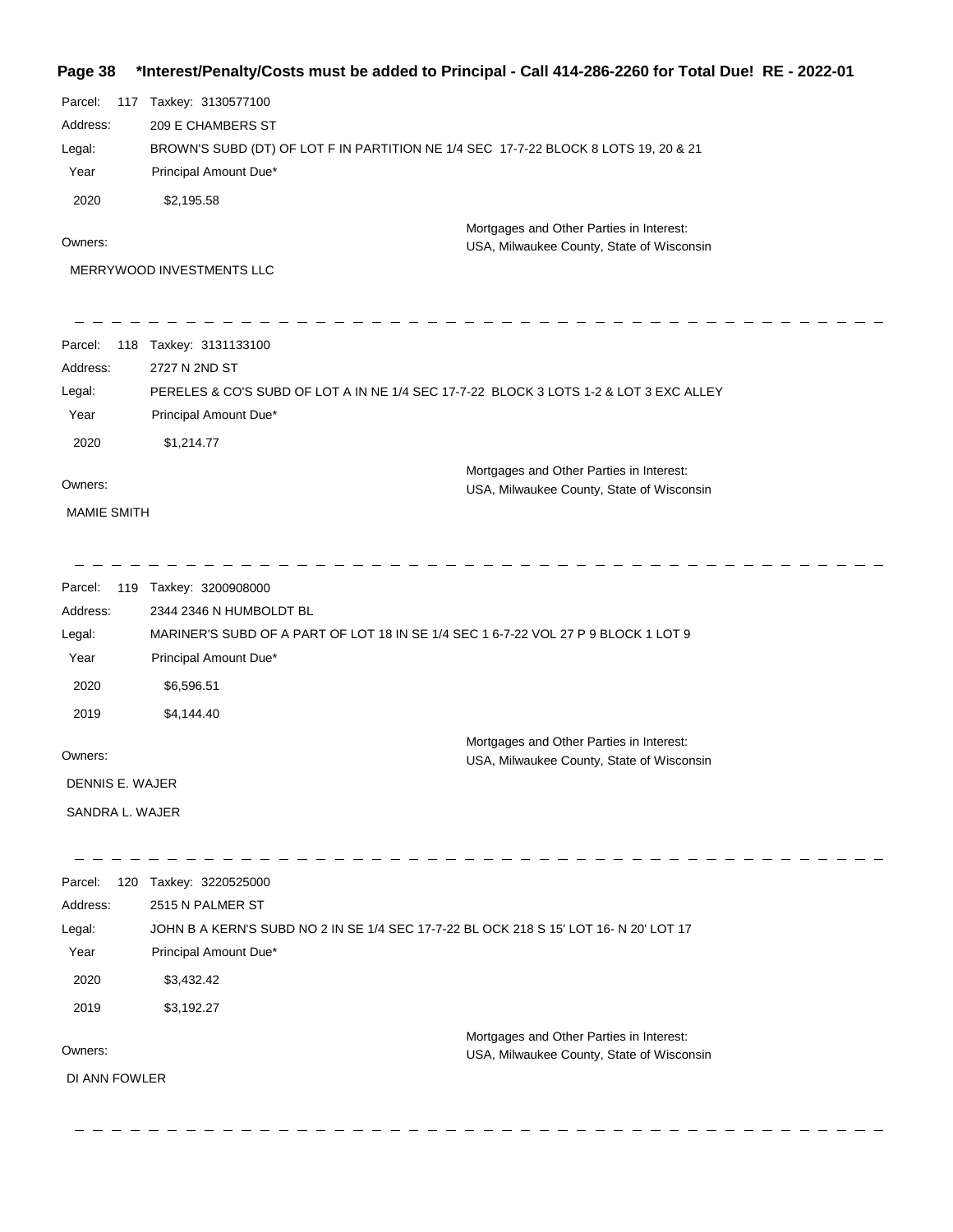| Page 38            |                                                                                       | *Interest/Penalty/Costs must be added to Principal - Call 414-286-2260 for Total Due! RE - 2022-01 |
|--------------------|---------------------------------------------------------------------------------------|----------------------------------------------------------------------------------------------------|
| Parcel:            | 117 Taxkey: 3130577100                                                                |                                                                                                    |
| Address:           | 209 E CHAMBERS ST                                                                     |                                                                                                    |
| Legal:             | BROWN'S SUBD (DT) OF LOT F IN PARTITION NE 1/4 SEC 17-7-22 BLOCK 8 LOTS 19, 20 & 21   |                                                                                                    |
| Year               | Principal Amount Due*                                                                 |                                                                                                    |
| 2020               | \$2,195.58                                                                            |                                                                                                    |
| Owners:            |                                                                                       | Mortgages and Other Parties in Interest:                                                           |
|                    | MERRYWOOD INVESTMENTS LLC                                                             | USA, Milwaukee County, State of Wisconsin                                                          |
|                    |                                                                                       |                                                                                                    |
| Parcel:            | 118 Taxkey: 3131133100                                                                |                                                                                                    |
| Address:           | 2727 N 2ND ST                                                                         |                                                                                                    |
| Legal:             | PERELES & CO'S SUBD OF LOT A IN NE 1/4 SEC 17-7-22 BLOCK 3 LOTS 1-2 & LOT 3 EXC ALLEY |                                                                                                    |
| Year               | Principal Amount Due*                                                                 |                                                                                                    |
| 2020               | \$1,214.77                                                                            |                                                                                                    |
|                    |                                                                                       |                                                                                                    |
| Owners:            |                                                                                       | Mortgages and Other Parties in Interest:<br>USA, Milwaukee County, State of Wisconsin              |
| <b>MAMIE SMITH</b> |                                                                                       |                                                                                                    |
|                    |                                                                                       |                                                                                                    |
|                    |                                                                                       |                                                                                                    |
| Parcel:            | 119 Taxkey: 3200908000                                                                |                                                                                                    |
| Address:           | 2344 2346 N HUMBOLDT BL                                                               |                                                                                                    |
| Legal:             | MARINER'S SUBD OF A PART OF LOT 18 IN SE 1/4 SEC 1 6-7-22 VOL 27 P 9 BLOCK 1 LOT 9    |                                                                                                    |
| Year               | Principal Amount Due*                                                                 |                                                                                                    |
| 2020               | \$6,596.51                                                                            |                                                                                                    |
| 2019               | \$4,144.40                                                                            |                                                                                                    |
|                    |                                                                                       | Mortgages and Other Parties in Interest:                                                           |
| Owners:            |                                                                                       | USA, Milwaukee County, State of Wisconsin                                                          |
| DENNIS E. WAJER    |                                                                                       |                                                                                                    |
| SANDRA L. WAJER    |                                                                                       |                                                                                                    |
|                    |                                                                                       |                                                                                                    |
| Parcel:            | 120 Taxkey: 3220525000                                                                |                                                                                                    |
| Address:           | 2515 N PALMER ST                                                                      |                                                                                                    |
| Legal:             | JOHN B A KERN'S SUBD NO 2 IN SE 1/4 SEC 17-7-22 BL OCK 218 S 15' LOT 16- N 20' LOT 17 |                                                                                                    |
| Year               | Principal Amount Due*                                                                 |                                                                                                    |
| 2020               | \$3,432.42                                                                            |                                                                                                    |
| 2019               | \$3,192.27                                                                            |                                                                                                    |
|                    |                                                                                       |                                                                                                    |
| Owners:            |                                                                                       | Mortgages and Other Parties in Interest:<br><b>IISA Milwaukee County State of Wisconsin</b>        |

DI ANN FOWLER

 $\overline{\phantom{m}}$ 

USA, Milwaukee County, State of Wisconsin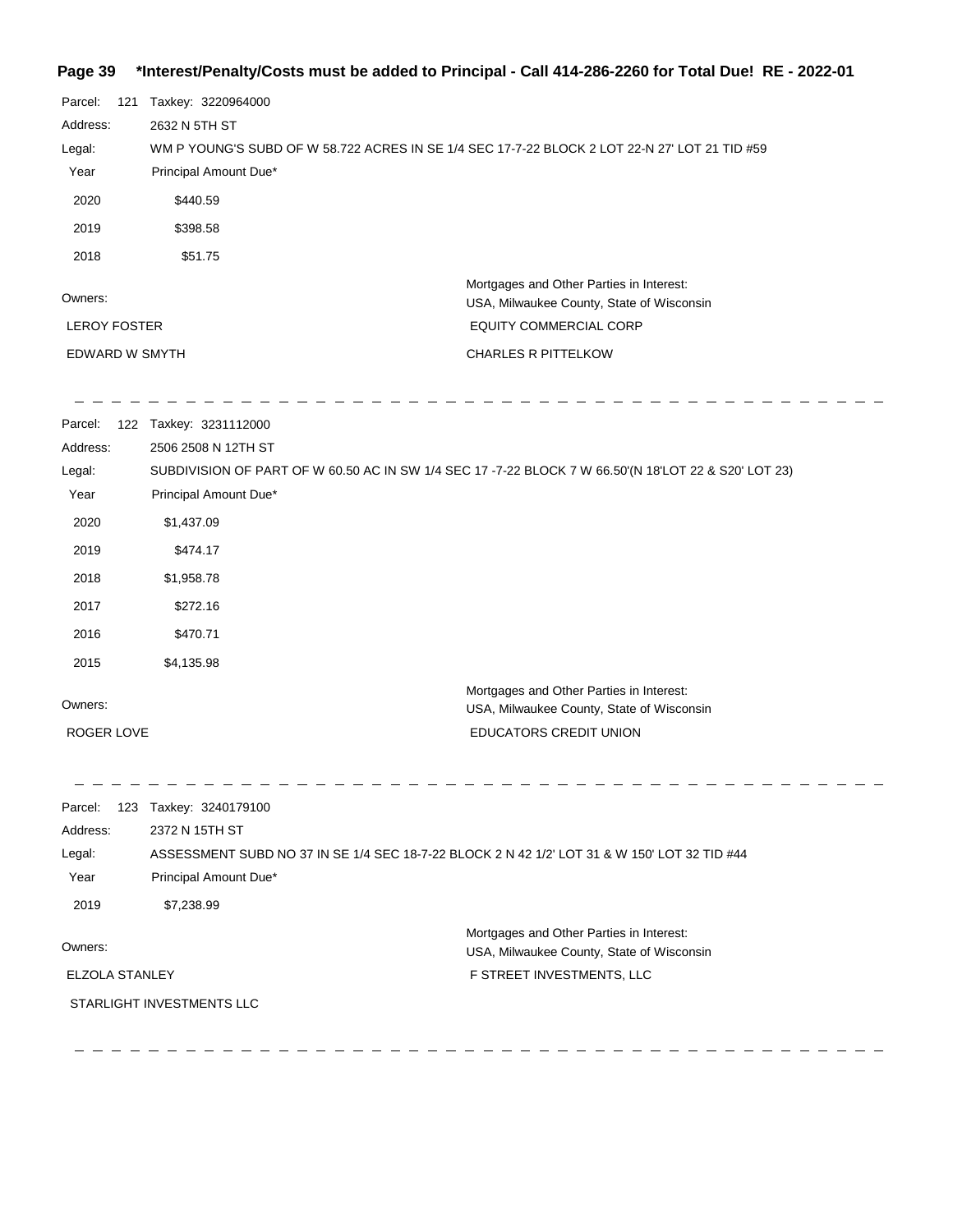#### **Page 39 \*Interest/Penalty/Costs must be added to Principal - Call 414-286-2260 for Total Due! RE - 2022-01**

| Parcel:             | 121 | Taxkey: 3220964000                                                                            |
|---------------------|-----|-----------------------------------------------------------------------------------------------|
| Address:            |     | 2632 N 5TH ST                                                                                 |
| Legal:              |     | WM P YOUNG'S SUBD OF W 58.722 ACRES IN SE 1/4 SEC 17-7-22 BLOCK 2 LOT 22-N 27' LOT 21 TID #59 |
| Year                |     | Principal Amount Due*                                                                         |
| 2020                |     | \$440.59                                                                                      |
| 2019                |     | \$398.58                                                                                      |
| 2018                |     | \$51.75                                                                                       |
| Owners:             |     | Mortgages and Other Parties in Interest:<br>USA, Milwaukee County, State of Wisconsin         |
| <b>LEROY FOSTER</b> |     | <b>EQUITY COMMERCIAL CORP</b>                                                                 |
| EDWARD W SMYTH      |     | <b>CHARLES R PITTELKOW</b>                                                                    |

 $\frac{1}{2} \frac{1}{2} \frac{1}{2} \frac{1}{2} \frac{1}{2} \frac{1}{2} \frac{1}{2} \frac{1}{2} \frac{1}{2} \frac{1}{2} \frac{1}{2} \frac{1}{2} \frac{1}{2} \frac{1}{2} \frac{1}{2} \frac{1}{2} \frac{1}{2} \frac{1}{2} \frac{1}{2} \frac{1}{2} \frac{1}{2} \frac{1}{2} \frac{1}{2} \frac{1}{2} \frac{1}{2} \frac{1}{2} \frac{1}{2} \frac{1}{2} \frac{1}{2} \frac{1}{2} \frac{1}{2} \frac{$ 

 $-$ 

Parcel: 122 Taxkey: 3231112000 Owners: Mortgages and Other Parties in Interest: Year Principal Amount Due\* USA, Milwaukee County, State of Wisconsin SUBDIVISION OF PART OF W 60.50 AC IN SW 1/4 SEC 17 -7-22 BLOCK 7 W 66.50'(N 18'LOT 22 & S20' LOT 23) 2506 2508 N 12TH ST Address: Legal: EDUCATORS CREDIT UNION 2020 \$1,437.09 2019 \$474.17 2018 \$1,958.78 2017 \$272.16 2016 \$470.71 2015 \$4,135.98 ROGER LOVE

Parcel: 123 Taxkey: 3240179100 Owners: Mortgages and Other Parties in Interest: Year Principal Amount Due\* USA, Milwaukee County, State of Wisconsin ASSESSMENT SUBD NO 37 IN SE 1/4 SEC 18-7-22 BLOCK 2 N 42 1/2' LOT 31 & W 150' LOT 32 TID #44 2372 N 15TH ST Address: Legal: F STREET INVESTMENTS, LLC 2019 \$7,238.99 ELZOLA STANLEY STARLIGHT INVESTMENTS LLC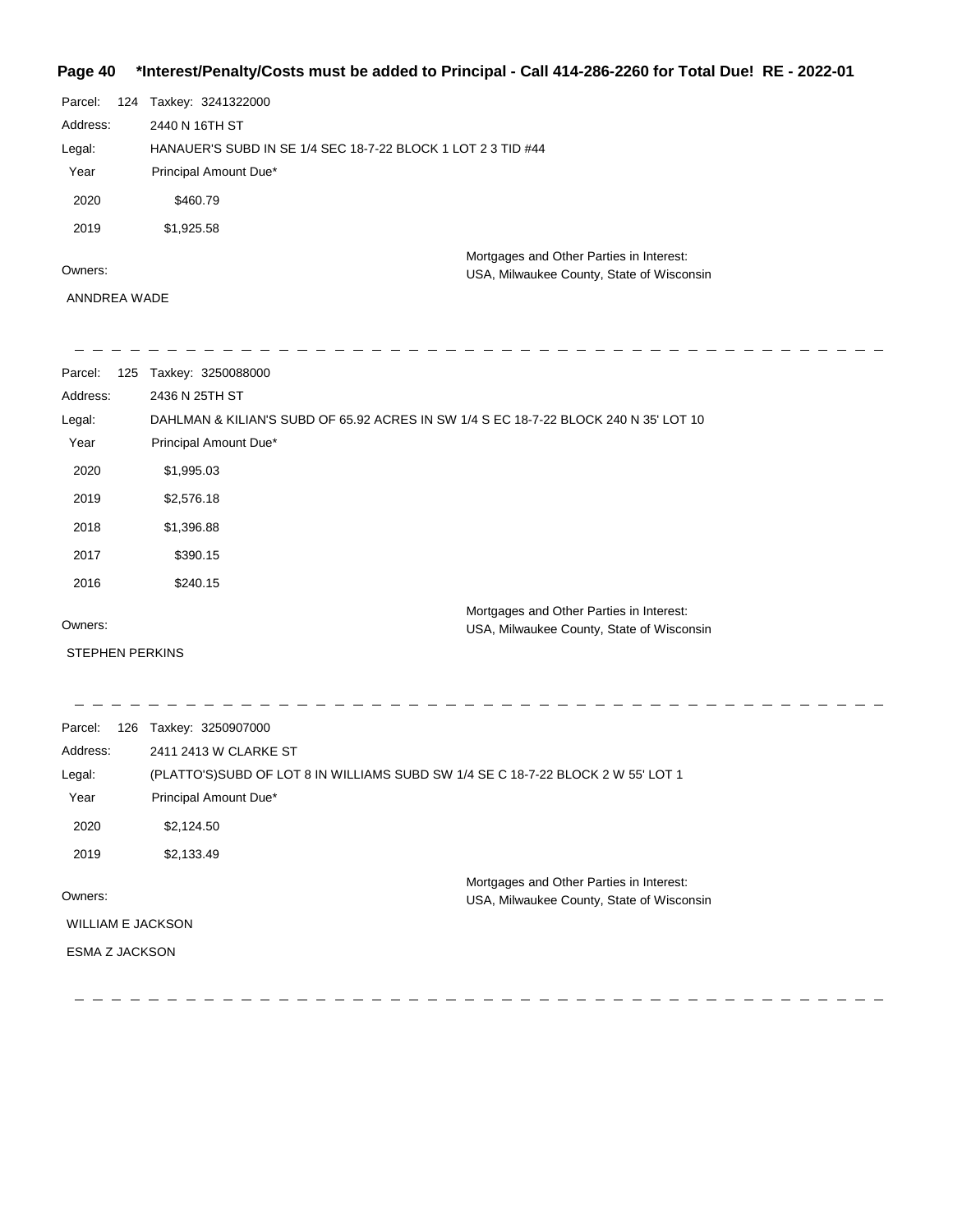### **Page 40 \*Interest/Penalty/Costs must be added to Principal - Call 414-286-2260 for Total Due! RE - 2022-01**

| Parcel:  | 124 | Taxkey: 3241322000                                           |
|----------|-----|--------------------------------------------------------------|
| Address: |     | 2440 N 16TH ST                                               |
| Legal:   |     | HANAUER'S SUBD IN SE 1/4 SEC 18-7-22 BLOCK 1 LOT 2 3 TID #44 |
| Year     |     | Principal Amount Due*                                        |
| 2020     |     | \$460.79                                                     |
| 2019     |     | \$1,925.58                                                   |
|          |     | Mortgages and Other Parties in Interest:                     |
| Owners:  |     | USA, Milwaukee County, State of Wisconsin                    |

 $\frac{1}{2}$ 

 $\begin{array}{ccccccccc} \bot & \bot & \bot & \bot \end{array}$ 

ANNDREA WADE

| Parcel:<br>125 | Taxkey: 3250088000                                                                    |
|----------------|---------------------------------------------------------------------------------------|
| Address:       | 2436 N 25TH ST                                                                        |
| Legal:         | DAHLMAN & KILIAN'S SUBD OF 65.92 ACRES IN SW 1/4 S EC 18-7-22 BLOCK 240 N 35' LOT 10  |
| Year           | Principal Amount Due*                                                                 |
| 2020           | \$1,995.03                                                                            |
| 2019           | \$2,576.18                                                                            |
| 2018           | \$1,396.88                                                                            |
| 2017           | \$390.15                                                                              |
| 2016           | \$240.15                                                                              |
| Owners:        | Mortgages and Other Parties in Interest:<br>USA, Milwaukee County, State of Wisconsin |
|                |                                                                                       |

STEPHEN PERKINS

| Parcel:<br>126           | Taxkey: 3250907000                                                               |                                           |
|--------------------------|----------------------------------------------------------------------------------|-------------------------------------------|
| Address:                 | 2411 2413 W CLARKE ST                                                            |                                           |
| Legal:                   | (PLATTO'S)SUBD OF LOT 8 IN WILLIAMS SUBD SW 1/4 SE C 18-7-22 BLOCK 2 W 55' LOT 1 |                                           |
| Year                     | Principal Amount Due*                                                            |                                           |
| 2020                     | \$2,124.50                                                                       |                                           |
| 2019                     | \$2,133.49                                                                       |                                           |
|                          |                                                                                  | Mortgages and Other Parties in Interest:  |
| Owners:                  |                                                                                  | USA, Milwaukee County, State of Wisconsin |
| <b>WILLIAM E JACKSON</b> |                                                                                  |                                           |
| <b>ESMA Z JACKSON</b>    |                                                                                  |                                           |
|                          |                                                                                  |                                           |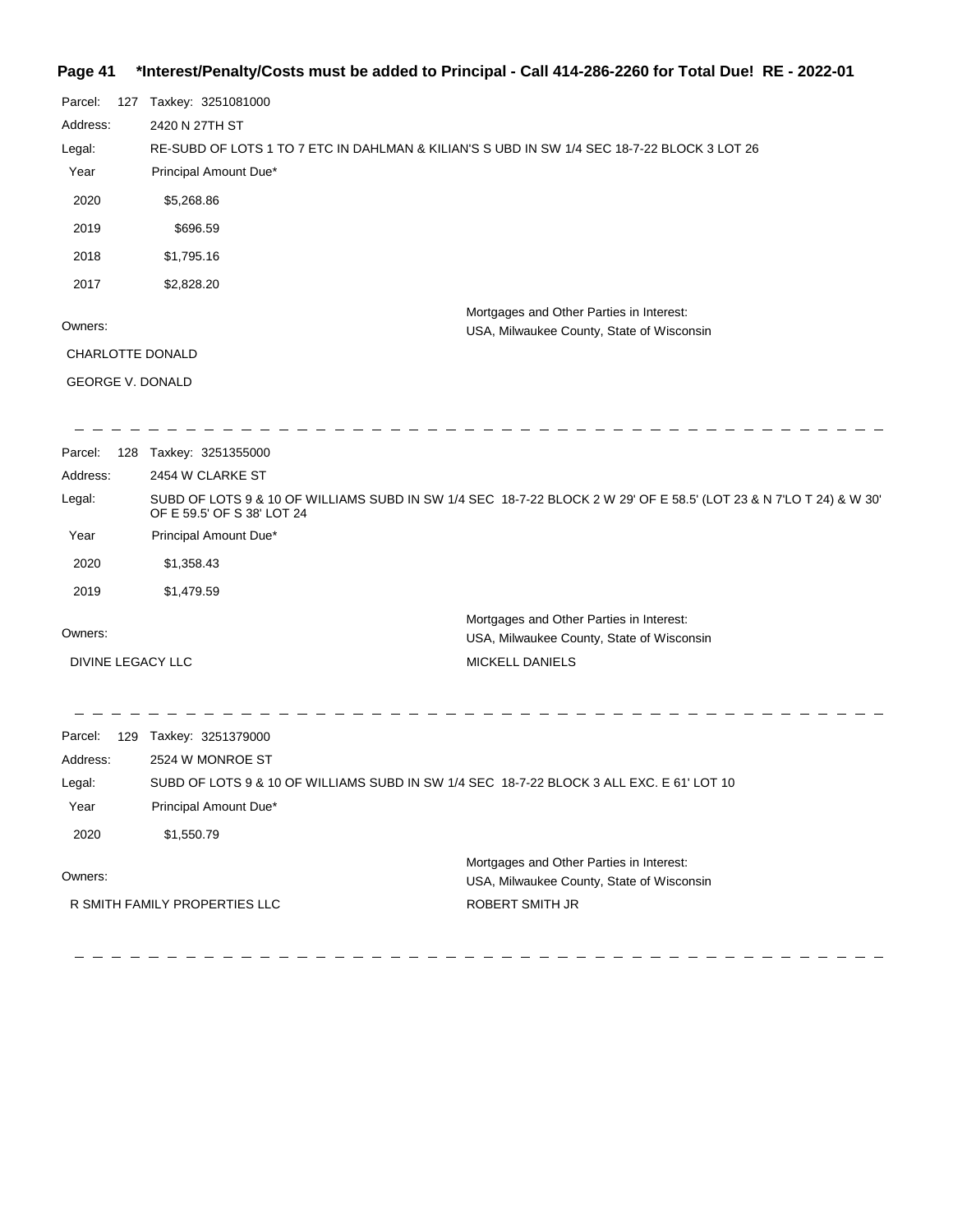## **Page 41 \*Interest/Penalty/Costs must be added to Principal - Call 414-286-2260 for Total Due! RE - 2022-01**

| Parcel:<br>Address:<br>Legal:<br>Year<br>2020<br>2019<br>2018 | 127 | Taxkey: 3251081000<br>2420 N 27TH ST<br>RE-SUBD OF LOTS 1 TO 7 ETC IN DAHLMAN & KILIAN'S S UBD IN SW 1/4 SEC 18-7-22 BLOCK 3 LOT 26<br>Principal Amount Due*<br>\$5,268.86<br>\$696.59<br>\$1,795.16 |                                                                                                                    |
|---------------------------------------------------------------|-----|------------------------------------------------------------------------------------------------------------------------------------------------------------------------------------------------------|--------------------------------------------------------------------------------------------------------------------|
| 2017                                                          |     | \$2,828.20                                                                                                                                                                                           |                                                                                                                    |
| Owners:                                                       |     |                                                                                                                                                                                                      | Mortgages and Other Parties in Interest:<br>USA, Milwaukee County, State of Wisconsin                              |
| CHARLOTTE DONALD                                              |     |                                                                                                                                                                                                      |                                                                                                                    |
| <b>GEORGE V. DONALD</b>                                       |     |                                                                                                                                                                                                      |                                                                                                                    |
| Parcel:                                                       |     | 128 Taxkey: 3251355000                                                                                                                                                                               |                                                                                                                    |
| Address:                                                      |     | 2454 W CLARKE ST                                                                                                                                                                                     |                                                                                                                    |
| Legal:                                                        |     | OF E 59.5' OF S 38' LOT 24                                                                                                                                                                           | SUBD OF LOTS 9 & 10 OF WILLIAMS SUBD IN SW 1/4 SEC 18-7-22 BLOCK 2 W 29' OF E 58.5' (LOT 23 & N 7'LO T 24) & W 30' |
| Year                                                          |     | Principal Amount Due*                                                                                                                                                                                |                                                                                                                    |
| 2020                                                          |     | \$1,358.43                                                                                                                                                                                           |                                                                                                                    |
| 2019                                                          |     | \$1,479.59                                                                                                                                                                                           |                                                                                                                    |
| Owners:                                                       |     |                                                                                                                                                                                                      | Mortgages and Other Parties in Interest:<br>USA, Milwaukee County, State of Wisconsin                              |
| DIVINE LEGACY LLC                                             |     |                                                                                                                                                                                                      | MICKELL DANIELS                                                                                                    |
| Parcel:                                                       |     | 129 Taxkey: 3251379000                                                                                                                                                                               |                                                                                                                    |
| Address:                                                      |     | 2524 W MONROE ST                                                                                                                                                                                     |                                                                                                                    |
| Legal:                                                        |     | SUBD OF LOTS 9 & 10 OF WILLIAMS SUBD IN SW 1/4 SEC 18-7-22 BLOCK 3 ALL EXC. E 61' LOT 10                                                                                                             |                                                                                                                    |
| Year                                                          |     | Principal Amount Due*                                                                                                                                                                                |                                                                                                                    |
| 2020                                                          |     | \$1,550.79                                                                                                                                                                                           |                                                                                                                    |
| Owners:                                                       |     |                                                                                                                                                                                                      | Mortgages and Other Parties in Interest:<br>USA, Milwaukee County, State of Wisconsin                              |
|                                                               |     | R SMITH FAMILY PROPERTIES LLC                                                                                                                                                                        | ROBERT SMITH JR                                                                                                    |
|                                                               |     |                                                                                                                                                                                                      |                                                                                                                    |

  $\equiv$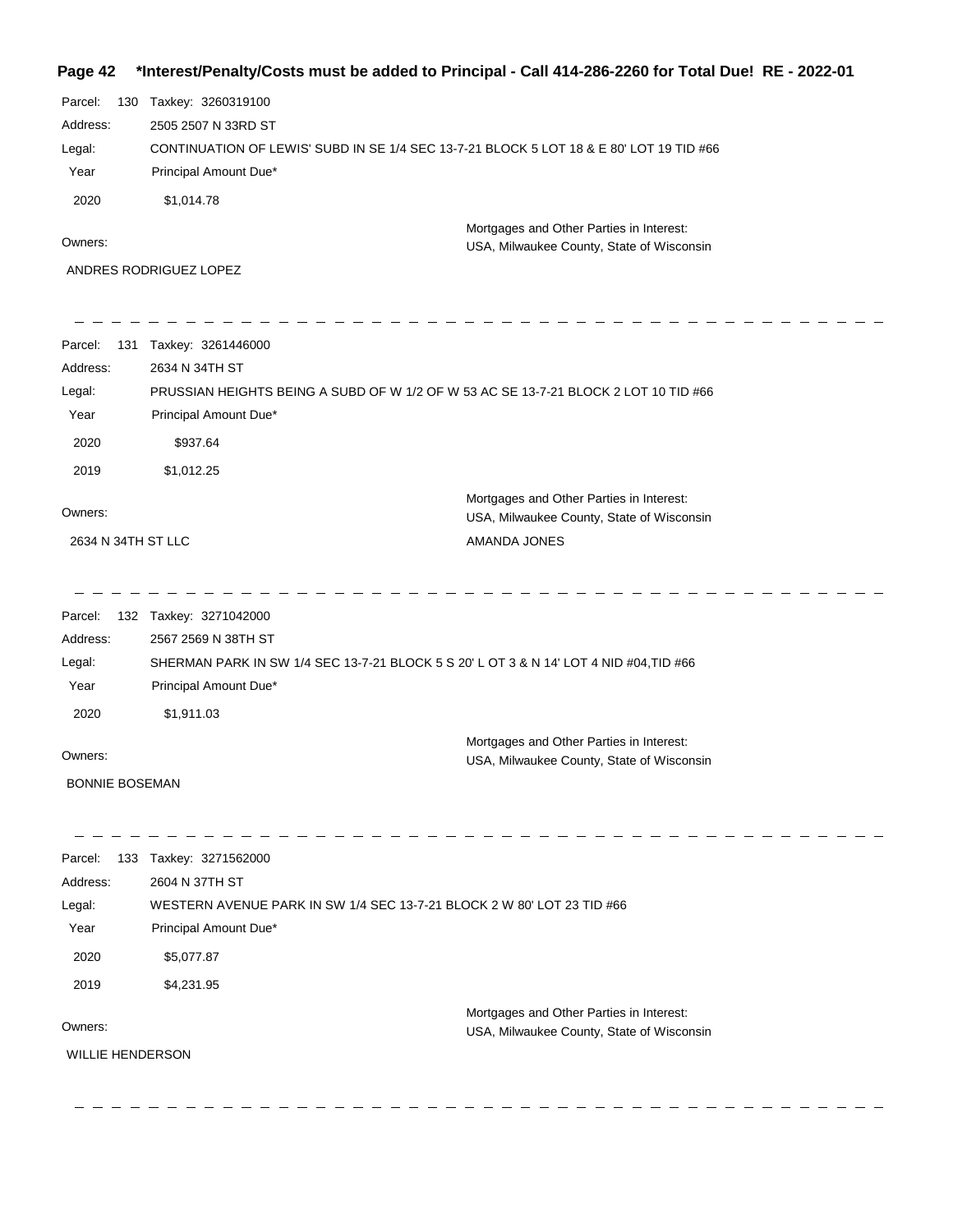## **Page 42 \*Interest/Penalty/Costs must be added to Principal - Call 414-286-2260 for Total Due! RE - 2022-01**

| Address:<br>Legal:<br>Year<br>2020            | 2505 2507 N 33RD ST<br>Principal Amount Due*<br>\$1,014.78                                                                                                | CONTINUATION OF LEWIS' SUBD IN SE 1/4 SEC 13-7-21 BLOCK 5 LOT 18 & E 80' LOT 19 TID #66 |
|-----------------------------------------------|-----------------------------------------------------------------------------------------------------------------------------------------------------------|-----------------------------------------------------------------------------------------|
| Owners:                                       |                                                                                                                                                           | Mortgages and Other Parties in Interest:<br>USA, Milwaukee County, State of Wisconsin   |
|                                               | ANDRES RODRIGUEZ LOPEZ                                                                                                                                    |                                                                                         |
| Parcel:<br>131<br>Address:                    | Taxkey: 3261446000<br>2634 N 34TH ST                                                                                                                      | PRUSSIAN HEIGHTS BEING A SUBD OF W 1/2 OF W 53 AC SE 13-7-21 BLOCK 2 LOT 10 TID #66     |
| Legal:<br>Year                                | Principal Amount Due*                                                                                                                                     |                                                                                         |
| 2020                                          | \$937.64                                                                                                                                                  |                                                                                         |
| 2019                                          | \$1,012.25                                                                                                                                                |                                                                                         |
| Owners:                                       |                                                                                                                                                           | Mortgages and Other Parties in Interest:<br>USA, Milwaukee County, State of Wisconsin   |
| 2634 N 34TH ST LLC                            |                                                                                                                                                           | AMANDA JONES                                                                            |
| Parcel:<br>Address:<br>Legal:<br>Year<br>2020 | 132 Taxkey: 3271042000<br>2567 2569 N 38TH ST<br>Principal Amount Due*<br>\$1,911.03                                                                      | SHERMAN PARK IN SW 1/4 SEC 13-7-21 BLOCK 5 S 20' L OT 3 & N 14' LOT 4 NID #04,TID #66   |
|                                               |                                                                                                                                                           | Mortgages and Other Parties in Interest:                                                |
| Owners:                                       |                                                                                                                                                           | USA, Milwaukee County, State of Wisconsin                                               |
| <b>BONNIE BOSEMAN</b>                         |                                                                                                                                                           |                                                                                         |
| Parcel:<br>Address:<br>Legal:<br>Year<br>2020 | 133 Taxkey: 3271562000<br>2604 N 37TH ST<br>WESTERN AVENUE PARK IN SW 1/4 SEC 13-7-21 BLOCK 2 W 80' LOT 23 TID #66<br>Principal Amount Due*<br>\$5,077.87 |                                                                                         |
| 2019                                          | \$4,231.95                                                                                                                                                |                                                                                         |
| Owners:<br><b>WILLIE HENDERSON</b>            |                                                                                                                                                           | Mortgages and Other Parties in Interest:<br>USA, Milwaukee County, State of Wisconsin   |

 $\frac{1}{2} \frac{1}{2} \frac{1}{2} \frac{1}{2} \frac{1}{2} \frac{1}{2} \frac{1}{2}$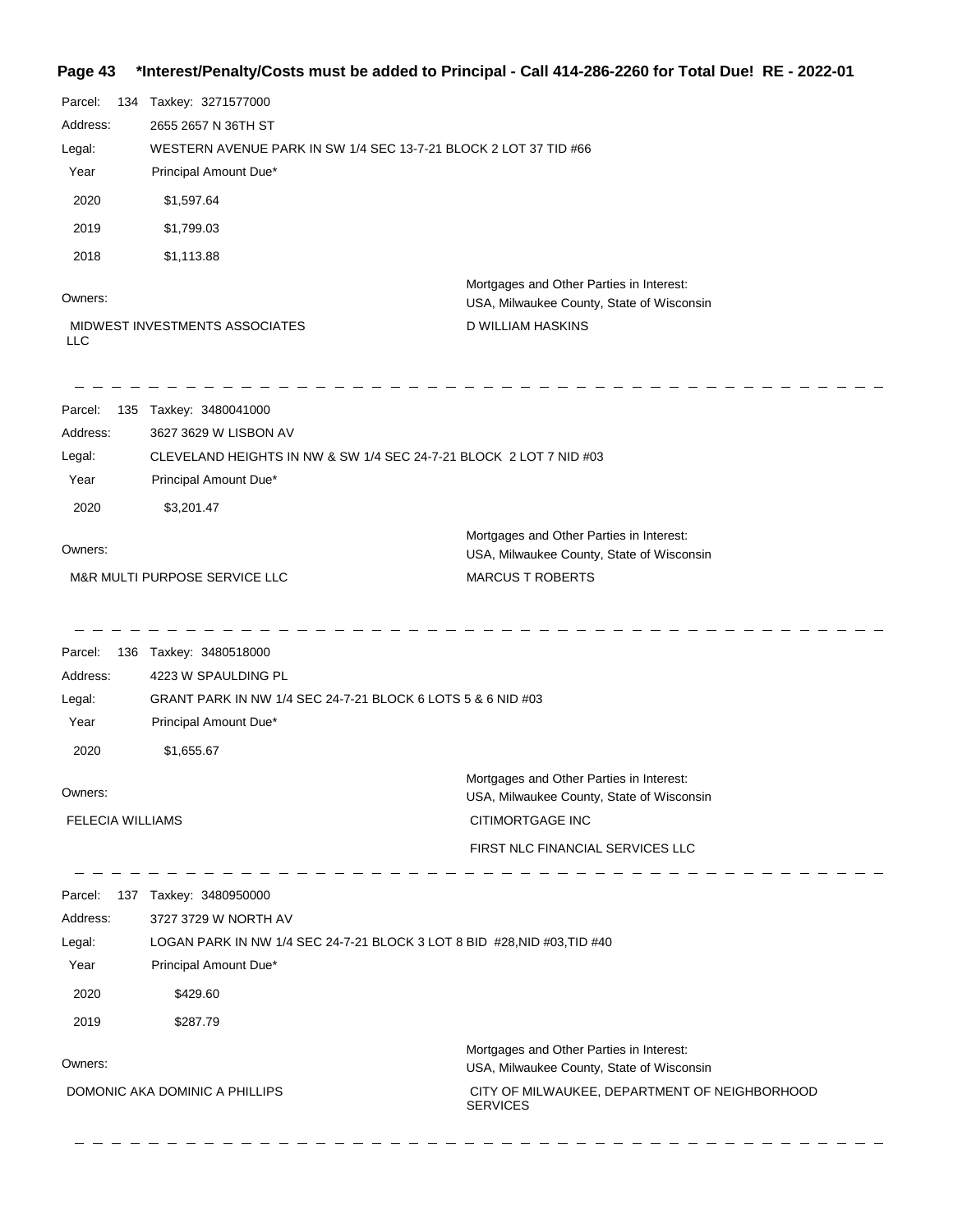# **Page 43 \*Interest/Penalty/Costs must be added to Principal - Call 414-286-2260 for Total Due! RE - 2022-01**

| Parcel:<br>Address:<br>Legal:<br>Year<br>2020<br>2019<br>2018<br>Owners: | 134 Taxkey: 3271577000<br>2655 2657 N 36TH ST<br>Principal Amount Due*<br>\$1,597.64<br>\$1,799.03<br>\$1,113.88<br>MIDWEST INVESTMENTS ASSOCIATES  | WESTERN AVENUE PARK IN SW 1/4 SEC 13-7-21 BLOCK 2 LOT 37 TID #66<br>Mortgages and Other Parties in Interest:<br>USA, Milwaukee County, State of Wisconsin<br>D WILLIAM HASKINS |
|--------------------------------------------------------------------------|-----------------------------------------------------------------------------------------------------------------------------------------------------|--------------------------------------------------------------------------------------------------------------------------------------------------------------------------------|
| <b>LLC</b>                                                               |                                                                                                                                                     |                                                                                                                                                                                |
| Parcel:<br>Address:<br>Legal:<br>Year<br>2020                            | 135 Taxkey: 3480041000<br>3627 3629 W LISBON AV<br>Principal Amount Due*<br>\$3,201.47                                                              | CLEVELAND HEIGHTS IN NW & SW 1/4 SEC 24-7-21 BLOCK 2 LOT 7 NID #03                                                                                                             |
| Owners:                                                                  | M&R MULTI PURPOSE SERVICE LLC                                                                                                                       | Mortgages and Other Parties in Interest:<br>USA, Milwaukee County, State of Wisconsin<br><b>MARCUS T ROBERTS</b>                                                               |
| Parcel:<br>Address:<br>Legal:<br>Year<br>2020                            | 136 Taxkey: 3480518000<br>4223 W SPAULDING PL<br>GRANT PARK IN NW 1/4 SEC 24-7-21 BLOCK 6 LOTS 5 & 6 NID #03<br>Principal Amount Due*<br>\$1,655.67 |                                                                                                                                                                                |
| Owners:<br><b>FELECIA WILLIAMS</b>                                       |                                                                                                                                                     | Mortgages and Other Parties in Interest:<br>USA, Milwaukee County, State of Wisconsin<br>CITIMORTGAGE INC<br>FIRST NLC FINANCIAL SERVICES LLC                                  |
| Address:<br>Legal:<br>Year<br>2020<br>2019                               | Parcel: 137 Taxkey: 3480950000<br>3727 3729 W NORTH AV<br>Principal Amount Due*<br>\$429.60<br>\$287.79                                             | LOGAN PARK IN NW 1/4 SEC 24-7-21 BLOCK 3 LOT 8 BID #28, NID #03, TID #40                                                                                                       |
| Owners:                                                                  | DOMONIC AKA DOMINIC A PHILLIPS                                                                                                                      | Mortgages and Other Parties in Interest:<br>USA, Milwaukee County, State of Wisconsin<br>CITY OF MILWAUKEE, DEPARTMENT OF NEIGHBORHOOD<br><b>SERVICES</b>                      |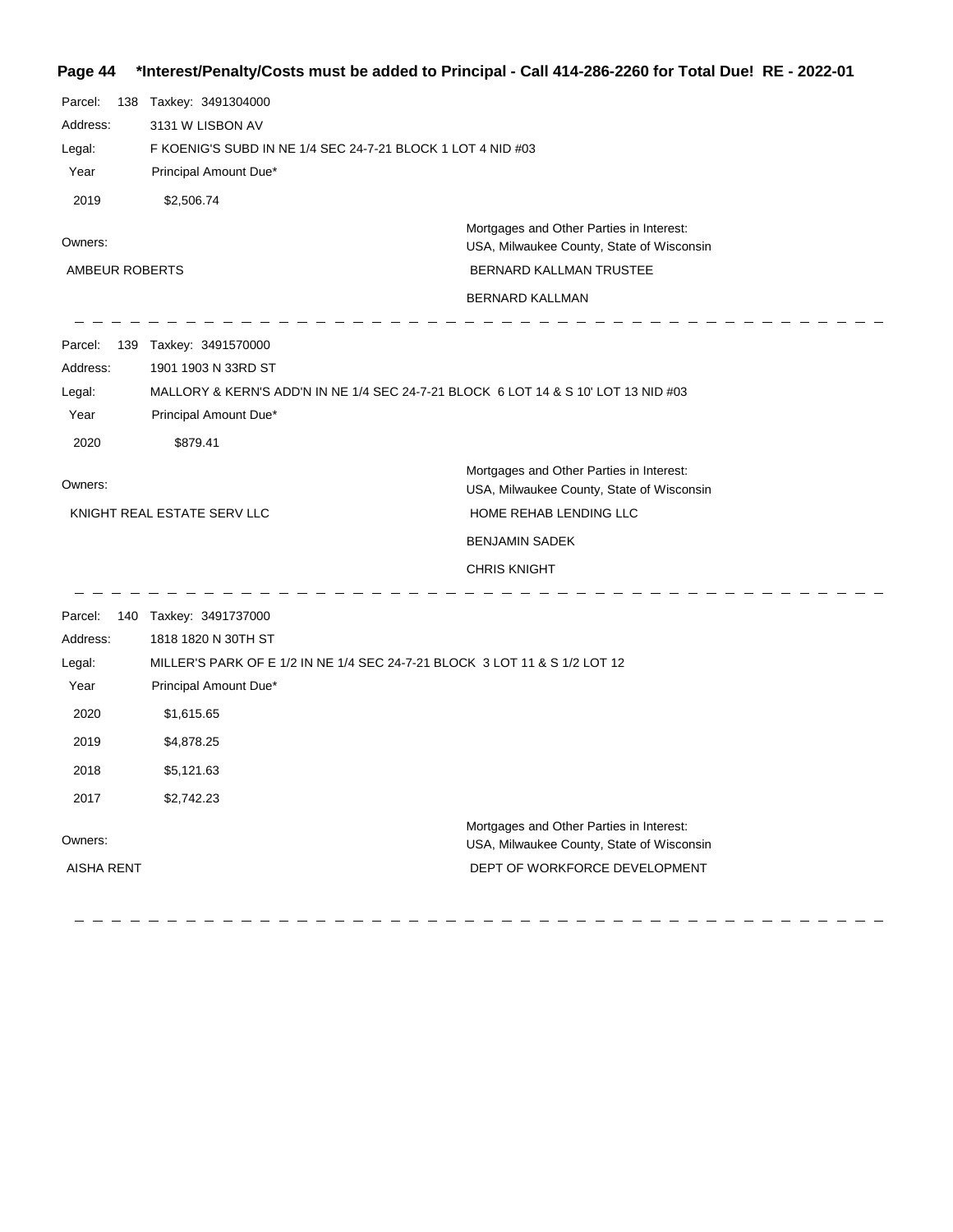## **Page 44 \*Interest/Penalty/Costs must be added to Principal - Call 414-286-2260 for Total Due! RE - 2022-01**

| Parcel:           | 138 Taxkey: 3491304000                                      |                                                                                       |
|-------------------|-------------------------------------------------------------|---------------------------------------------------------------------------------------|
| Address:          | 3131 W LISBON AV                                            |                                                                                       |
| Legal:            | F KOENIG'S SUBD IN NE 1/4 SEC 24-7-21 BLOCK 1 LOT 4 NID #03 |                                                                                       |
| Year              | Principal Amount Due*                                       |                                                                                       |
| 2019              | \$2,506.74                                                  |                                                                                       |
| Owners:           |                                                             | Mortgages and Other Parties in Interest:<br>USA, Milwaukee County, State of Wisconsin |
| AMBEUR ROBERTS    |                                                             | BERNARD KALLMAN TRUSTEE                                                               |
|                   |                                                             | <b>BERNARD KALLMAN</b>                                                                |
| Parcel:           | 139 Taxkey: 3491570000                                      |                                                                                       |
| Address:          | 1901 1903 N 33RD ST                                         |                                                                                       |
| Legal:            |                                                             | MALLORY & KERN'S ADD'N IN NE 1/4 SEC 24-7-21 BLOCK 6 LOT 14 & S 10' LOT 13 NID #03    |
| Year              | Principal Amount Due*                                       |                                                                                       |
| 2020              | \$879.41                                                    |                                                                                       |
| Owners:           |                                                             | Mortgages and Other Parties in Interest:<br>USA, Milwaukee County, State of Wisconsin |
|                   | KNIGHT REAL ESTATE SERV LLC                                 | HOME REHAB LENDING LLC                                                                |
|                   |                                                             | <b>BENJAMIN SADEK</b>                                                                 |
|                   |                                                             | <b>CHRIS KNIGHT</b>                                                                   |
| Parcel:           | 140 Taxkey: 3491737000                                      |                                                                                       |
| Address:          | 1818 1820 N 30TH ST                                         |                                                                                       |
| Legal:            |                                                             | MILLER'S PARK OF E 1/2 IN NE 1/4 SEC 24-7-21 BLOCK 3 LOT 11 & S 1/2 LOT 12            |
| Year              | Principal Amount Due*                                       |                                                                                       |
| 2020              | \$1,615.65                                                  |                                                                                       |
| 2019              | \$4,878.25                                                  |                                                                                       |
| 2018              | \$5,121.63                                                  |                                                                                       |
| 2017              | \$2,742.23                                                  |                                                                                       |
| Owners:           |                                                             | Mortgages and Other Parties in Interest:<br>USA, Milwaukee County, State of Wisconsin |
| <b>AISHA RENT</b> |                                                             | DEPT OF WORKFORCE DEVELOPMENT                                                         |

DEPT OF WORKFORCE DEVELOPMENT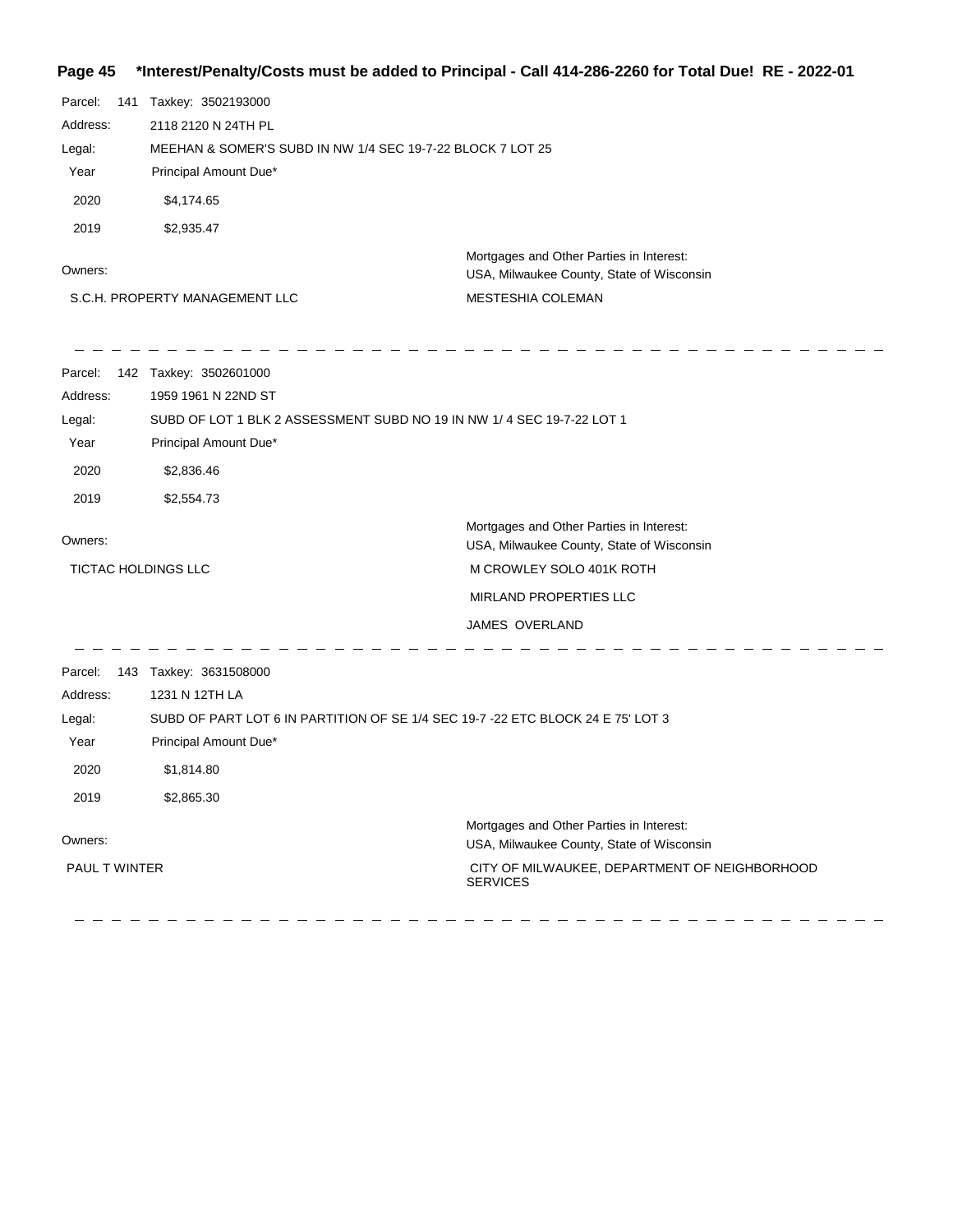## **Page 45 \*Interest/Penalty/Costs must be added to Principal - Call 414-286-2260 for Total Due! RE - 2022-01**

| Parcel:<br>Address:<br>Legal:<br>Year<br>2020<br>2019 | 141 Taxkey: 3502193000<br>2118 2120 N 24TH PL<br>MEEHAN & SOMER'S SUBD IN NW 1/4 SEC 19-7-22 BLOCK 7 LOT 25<br>Principal Amount Due*<br>\$4,174.65<br>\$2,935.47                 |                                                                                                                                                               |
|-------------------------------------------------------|----------------------------------------------------------------------------------------------------------------------------------------------------------------------------------|---------------------------------------------------------------------------------------------------------------------------------------------------------------|
| Owners:                                               | S.C.H. PROPERTY MANAGEMENT LLC                                                                                                                                                   | Mortgages and Other Parties in Interest:<br>USA, Milwaukee County, State of Wisconsin<br>MESTESHIA COLEMAN                                                    |
| Parcel:<br>Address:<br>Legal:<br>Year<br>2020<br>2019 | 142 Taxkey: 3502601000<br>1959 1961 N 22ND ST<br>SUBD OF LOT 1 BLK 2 ASSESSMENT SUBD NO 19 IN NW 1/4 SEC 19-7-22 LOT 1<br>Principal Amount Due*<br>\$2,836.46<br>\$2,554.73      |                                                                                                                                                               |
| Owners:<br>TICTAC HOLDINGS LLC                        |                                                                                                                                                                                  | Mortgages and Other Parties in Interest:<br>USA, Milwaukee County, State of Wisconsin<br>M CROWLEY SOLO 401K ROTH<br>MIRLAND PROPERTIES LLC<br>JAMES OVERLAND |
| Parcel:<br>Address:<br>Legal:<br>Year<br>2020<br>2019 | 143 Taxkey: 3631508000<br>1231 N 12TH LA<br>SUBD OF PART LOT 6 IN PARTITION OF SE 1/4 SEC 19-7 -22 ETC BLOCK 24 E 75' LOT 3<br>Principal Amount Due*<br>\$1,814.80<br>\$2,865.30 |                                                                                                                                                               |
| Owners:<br>PAUL T WINTER                              |                                                                                                                                                                                  | Mortgages and Other Parties in Interest:<br>USA, Milwaukee County, State of Wisconsin<br>CITY OF MILWAUKEE, DEPARTMENT OF NEIGHBORHOOD<br><b>SERVICES</b>     |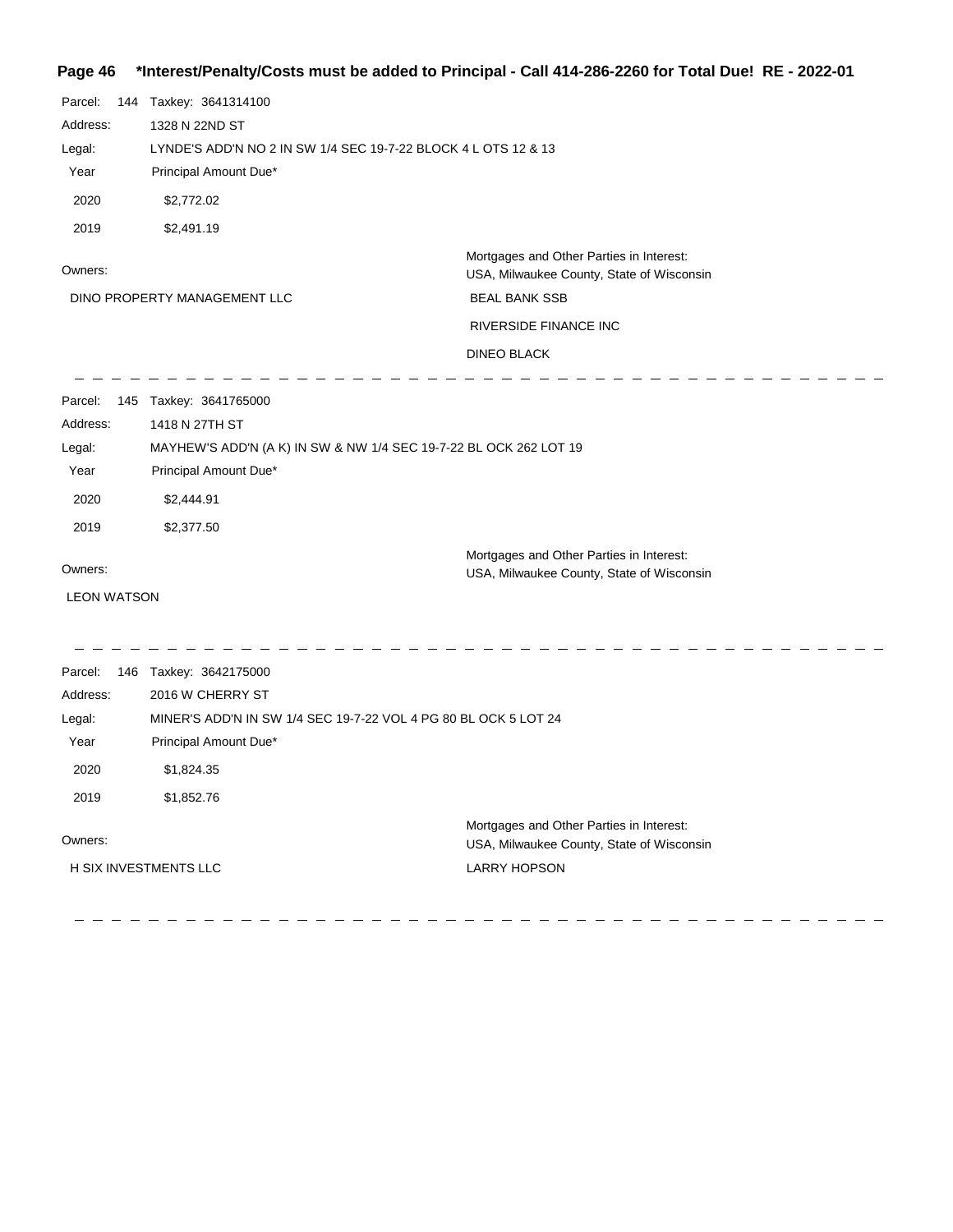## **Page 46 \*Interest/Penalty/Costs must be added to Principal - Call 414-286-2260 for Total Due! RE - 2022-01**

| Parcel:<br>Address:<br>Legal:<br>Year<br>2020<br>2019                                     | 144 Taxkey: 3641314100<br>1328 N 22ND ST<br>LYNDE'S ADD'N NO 2 IN SW 1/4 SEC 19-7-22 BLOCK 4 L OTS 12 & 13<br>Principal Amount Due*<br>\$2,772.02<br>\$2,491.19    |                                                                                                                                                              |
|-------------------------------------------------------------------------------------------|--------------------------------------------------------------------------------------------------------------------------------------------------------------------|--------------------------------------------------------------------------------------------------------------------------------------------------------------|
| Owners:                                                                                   | DINO PROPERTY MANAGEMENT LLC                                                                                                                                       | Mortgages and Other Parties in Interest:<br>USA, Milwaukee County, State of Wisconsin<br><b>BEAL BANK SSB</b><br>RIVERSIDE FINANCE INC<br><b>DINEO BLACK</b> |
| Parcel:<br>Address:<br>Legal:<br>Year<br>2020<br>2019                                     | 145 Taxkey: 3641765000<br>1418 N 27TH ST<br>MAYHEW'S ADD'N (A K) IN SW & NW 1/4 SEC 19-7-22 BL OCK 262 LOT 19<br>Principal Amount Due*<br>\$2,444.91<br>\$2,377.50 |                                                                                                                                                              |
| Owners:<br><b>LEON WATSON</b>                                                             |                                                                                                                                                                    | Mortgages and Other Parties in Interest:<br>USA, Milwaukee County, State of Wisconsin                                                                        |
| Parcel:<br>Address:<br>Legal:<br>Year<br>2020<br>2019<br>Owners:<br>H SIX INVESTMENTS LLC | 146 Taxkey: 3642175000<br>2016 W CHERRY ST<br>MINER'S ADD'N IN SW 1/4 SEC 19-7-22 VOL 4 PG 80 BL OCK 5 LOT 24<br>Principal Amount Due*<br>\$1,824.35<br>\$1,852.76 | Mortgages and Other Parties in Interest:<br>USA, Milwaukee County, State of Wisconsin<br><b>LARRY HOPSON</b>                                                 |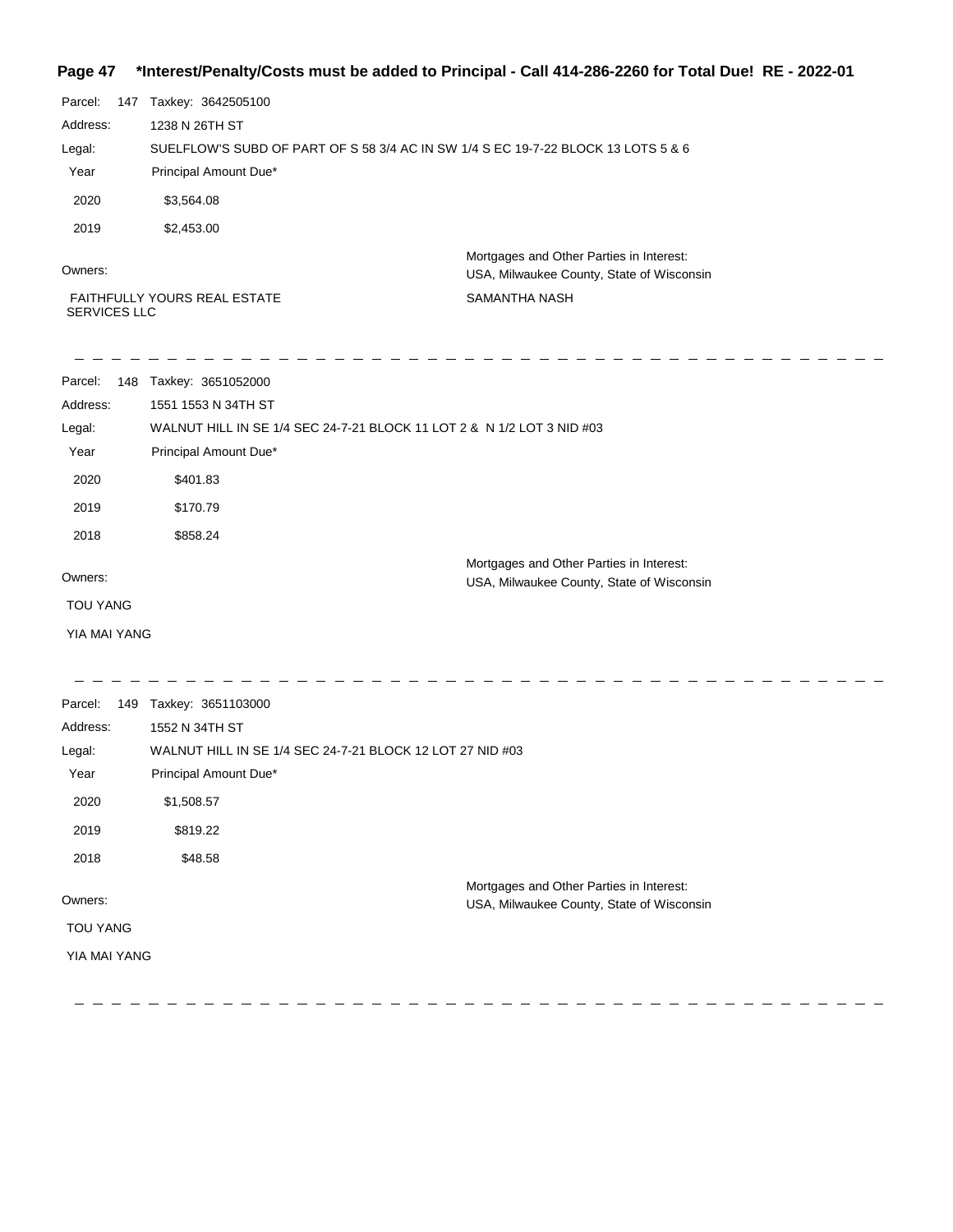## **Page 47 \*Interest/Penalty/Costs must be added to Principal - Call 414-286-2260 for Total Due! RE - 2022-01**

| Parcel:  | 147 | Taxkey: 3642505100                                                                |                                                                                       |
|----------|-----|-----------------------------------------------------------------------------------|---------------------------------------------------------------------------------------|
|          |     |                                                                                   |                                                                                       |
| Address: |     | 1238 N 26TH ST                                                                    |                                                                                       |
| Legal:   |     | SUELFLOW'S SUBD OF PART OF S 58 3/4 AC IN SW 1/4 S EC 19-7-22 BLOCK 13 LOTS 5 & 6 |                                                                                       |
| Year     |     | Principal Amount Due*                                                             |                                                                                       |
| 2020     |     | \$3.564.08                                                                        |                                                                                       |
| 2019     |     | \$2,453.00                                                                        |                                                                                       |
| Owners:  |     |                                                                                   | Mortgages and Other Parties in Interest:<br>USA, Milwaukee County, State of Wisconsin |
|          |     | <b>FAITHFULLY YOURS REAL ESTATE</b>                                               | SAMANTHA NASH                                                                         |

SERVICES LLC

SAMANTHA NASH

| Parcel:<br>148  | Taxkey: 3651052000                                                     |  |
|-----------------|------------------------------------------------------------------------|--|
| Address:        | 1551 1553 N 34TH ST                                                    |  |
| Legal:          | WALNUT HILL IN SE 1/4 SEC 24-7-21 BLOCK 11 LOT 2 & N 1/2 LOT 3 NID #03 |  |
| Year            | Principal Amount Due*                                                  |  |
| 2020            | \$401.83                                                               |  |
| 2019            | \$170.79                                                               |  |
| 2018            | \$858.24                                                               |  |
|                 | Mortgages and Other Parties in Interest:                               |  |
| Owners:         | USA, Milwaukee County, State of Wisconsin                              |  |
| <b>TOU YANG</b> |                                                                        |  |
| YIA MAI YANG    |                                                                        |  |

| Parcel:<br>149  | Taxkey: 3651103000                                        |
|-----------------|-----------------------------------------------------------|
| Address:        | 1552 N 34TH ST                                            |
| Legal:          | WALNUT HILL IN SE 1/4 SEC 24-7-21 BLOCK 12 LOT 27 NID #03 |
| Year            | Principal Amount Due*                                     |
| 2020            | \$1,508.57                                                |
| 2019            | \$819.22                                                  |
| 2018            | \$48.58                                                   |
|                 | Mortgages and Other Parties in Interest:                  |
| Owners:         | USA, Milwaukee County, State of Wisconsin                 |
| <b>TOU YANG</b> |                                                           |
| YIA MAI YANG    |                                                           |
|                 |                                                           |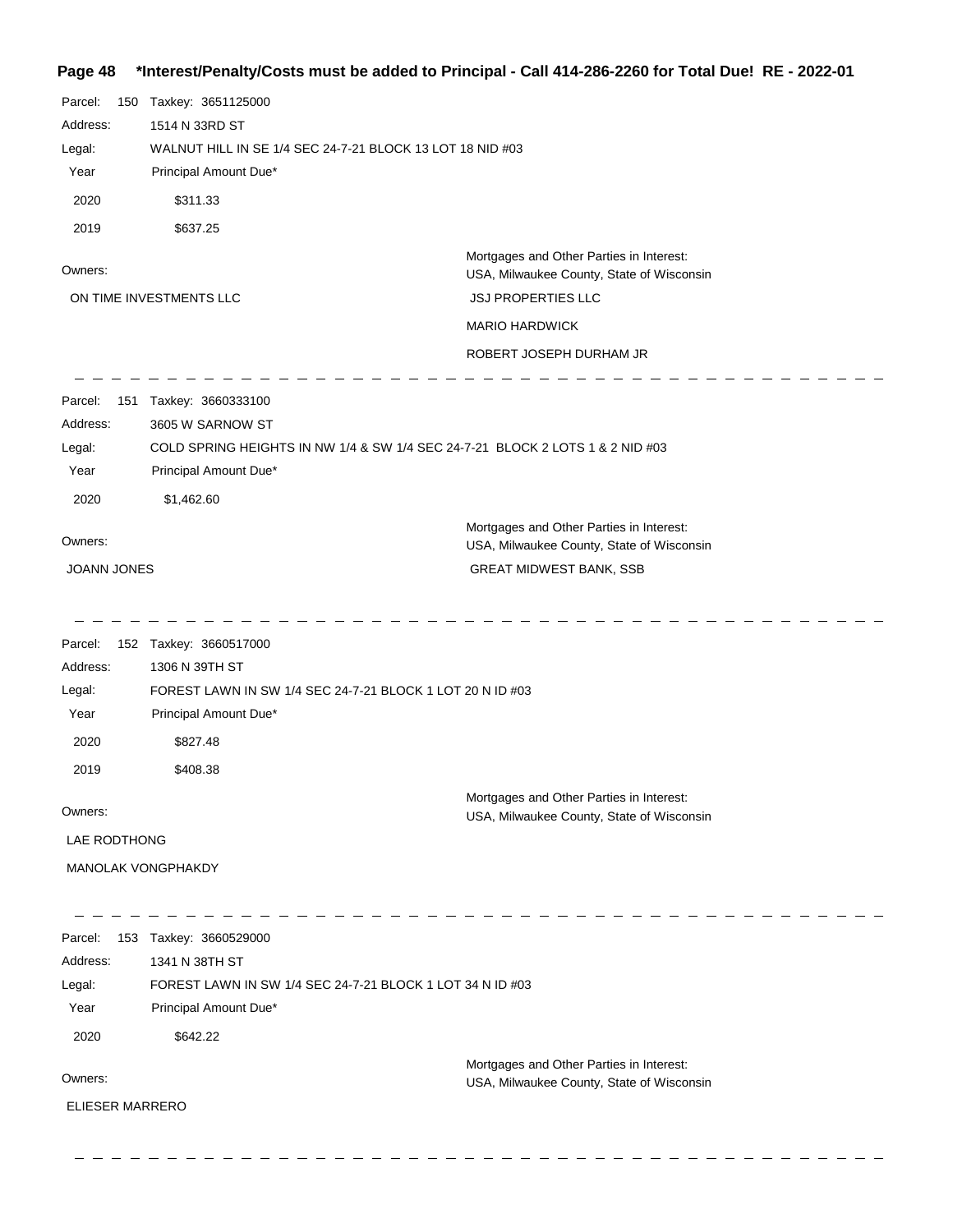## **Page 48 \*Interest/Penalty/Costs must be added to Principal - Call 414-286-2260 for Total Due! RE - 2022-01**

| Parcel:<br>150<br>Address:<br>Legal:         | Taxkey: 3651125000<br>1514 N 33RD ST<br>WALNUT HILL IN SE 1/4 SEC 24-7-21 BLOCK 13 LOT 18 NID #03                                                |                                                                                       |
|----------------------------------------------|--------------------------------------------------------------------------------------------------------------------------------------------------|---------------------------------------------------------------------------------------|
| Year                                         | Principal Amount Due*                                                                                                                            |                                                                                       |
| 2020                                         | \$311.33                                                                                                                                         |                                                                                       |
| 2019                                         | \$637.25                                                                                                                                         |                                                                                       |
| Owners:                                      |                                                                                                                                                  | Mortgages and Other Parties in Interest:<br>USA, Milwaukee County, State of Wisconsin |
|                                              | ON TIME INVESTMENTS LLC                                                                                                                          | <b>JSJ PROPERTIES LLC</b>                                                             |
|                                              |                                                                                                                                                  | <b>MARIO HARDWICK</b>                                                                 |
|                                              |                                                                                                                                                  | ROBERT JOSEPH DURHAM JR                                                               |
| Parcel:<br>151<br>Address:<br>Legal:<br>Year | Taxkey: 3660333100<br>3605 W SARNOW ST<br>COLD SPRING HEIGHTS IN NW 1/4 & SW 1/4 SEC 24-7-21 BLOCK 2 LOTS 1 & 2 NID #03<br>Principal Amount Due* |                                                                                       |
| 2020                                         | \$1,462.60                                                                                                                                       |                                                                                       |
|                                              |                                                                                                                                                  | Mortgages and Other Parties in Interest:                                              |
| Owners:                                      |                                                                                                                                                  | USA, Milwaukee County, State of Wisconsin                                             |
| JOANN JONES                                  |                                                                                                                                                  | <b>GREAT MIDWEST BANK, SSB</b>                                                        |
| Parcel:                                      | 152 Taxkey: 3660517000                                                                                                                           |                                                                                       |
| Address:                                     | 1306 N 39TH ST                                                                                                                                   |                                                                                       |
| Legal:<br>Year                               | FOREST LAWN IN SW 1/4 SEC 24-7-21 BLOCK 1 LOT 20 N ID #03<br>Principal Amount Due*                                                               |                                                                                       |
| 2020                                         | \$827.48                                                                                                                                         |                                                                                       |
| 2019                                         | \$408.38                                                                                                                                         |                                                                                       |
|                                              |                                                                                                                                                  |                                                                                       |
| Owners:                                      |                                                                                                                                                  | Mortgages and Other Parties in Interest:<br>USA, Milwaukee County, State of Wisconsin |
| LAE RODTHONG                                 |                                                                                                                                                  |                                                                                       |
| MANOLAK VONGPHAKDY                           |                                                                                                                                                  |                                                                                       |
| Parcel:                                      | 153 Taxkey: 3660529000                                                                                                                           |                                                                                       |
| Address:                                     | 1341 N 38TH ST                                                                                                                                   |                                                                                       |
| Legal:                                       | FOREST LAWN IN SW 1/4 SEC 24-7-21 BLOCK 1 LOT 34 N ID #03                                                                                        |                                                                                       |
| Year                                         | Principal Amount Due*                                                                                                                            |                                                                                       |
| 2020                                         | \$642.22                                                                                                                                         |                                                                                       |
| Owners:                                      |                                                                                                                                                  | Mortgages and Other Parties in Interest:                                              |
|                                              |                                                                                                                                                  | USA, Milwaukee County, State of Wisconsin                                             |
| <b>ELIESER MARRERO</b>                       |                                                                                                                                                  |                                                                                       |
|                                              |                                                                                                                                                  |                                                                                       |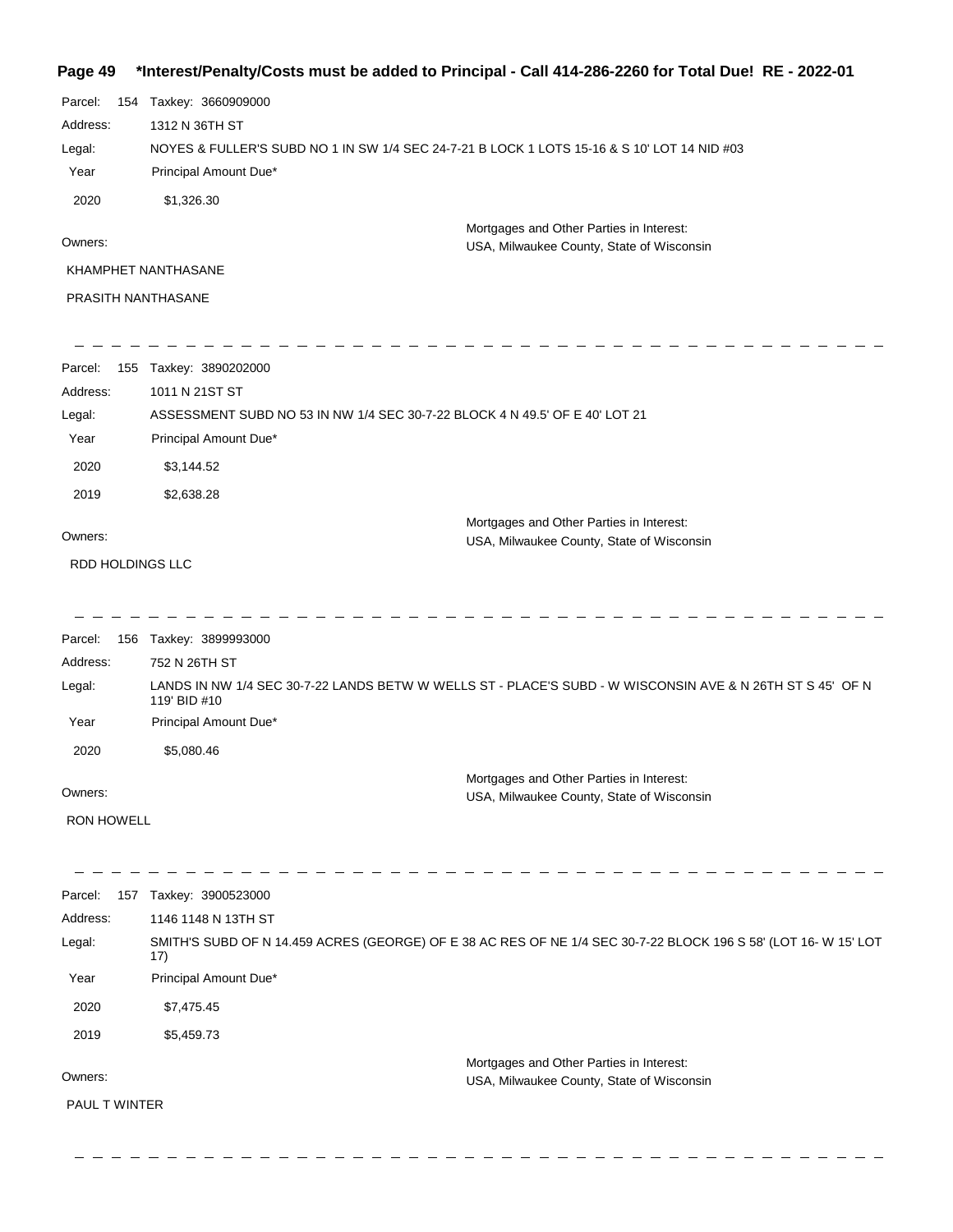#### **Page 49 \*Interest/Penalty/Costs must be added to Principal - Call 414-286-2260 for Total Due! RE - 2022-01**

| Parcel:  | 154 | Taxkey: 3660909000                                                                          |
|----------|-----|---------------------------------------------------------------------------------------------|
| Address: |     | 1312 N 36TH ST                                                                              |
| Legal:   |     | NOYES & FULLER'S SUBD NO 1 IN SW 1/4 SEC 24-7-21 B LOCK 1 LOTS 15-16 & S 10' LOT 14 NID #03 |
| Year     |     | Principal Amount Due*                                                                       |
| 2020     |     | \$1,326,30                                                                                  |
| Owners:  |     | Mortgages and Other Parties in Interest:<br>USA, Milwaukee County, State of Wisconsin       |
|          |     | KHAMPHET NANTHASANE                                                                         |
|          |     | <b>PRASITH NANTHASANE</b>                                                                   |

| Parcel:  | 155 | Taxkey: 3890202000                                                          |                                                                                       |
|----------|-----|-----------------------------------------------------------------------------|---------------------------------------------------------------------------------------|
| Address: |     | 1011 N 21ST ST                                                              |                                                                                       |
| Legal:   |     | ASSESSMENT SUBD NO 53 IN NW 1/4 SEC 30-7-22 BLOCK 4 N 49.5' OF E 40' LOT 21 |                                                                                       |
| Year     |     | Principal Amount Due*                                                       |                                                                                       |
| 2020     |     | \$3,144.52                                                                  |                                                                                       |
| 2019     |     | \$2,638.28                                                                  |                                                                                       |
| Owners:  |     |                                                                             | Mortgages and Other Parties in Interest:<br>USA, Milwaukee County, State of Wisconsin |

RDD HOLDINGS LLC

Parcel: 156 Taxkey: 3899993000 Owners: Mortgages and Other Parties in Interest: Year Principal Amount Due\* USA, Milwaukee County, State of Wisconsin LANDS IN NW 1/4 SEC 30-7-22 LANDS BETW W WELLS ST - PLACE'S SUBD - W WISCONSIN AVE & N 26TH ST S 45' OF N 119' BID #10 752 N 26TH ST Address: Legal: 2020 \$5,080.46

---------------

-------------------------------

RON HOWELL

| 157<br>Parcel:       | Taxkey: 3900523000                                                                                                     |
|----------------------|------------------------------------------------------------------------------------------------------------------------|
| Address:             | 1146 1148 N 13TH ST                                                                                                    |
| Legal:               | SMITH'S SUBD OF N 14.459 ACRES (GEORGE) OF E 38 AC RES OF NE 1/4 SEC 30-7-22 BLOCK 196 S 58' (LOT 16- W 15' LOT<br>17) |
| Year                 | Principal Amount Due*                                                                                                  |
| 2020                 | \$7,475.45                                                                                                             |
| 2019                 | \$5,459.73                                                                                                             |
|                      | Mortgages and Other Parties in Interest:                                                                               |
| Owners:              | USA, Milwaukee County, State of Wisconsin                                                                              |
| <b>PAUL T WINTER</b> |                                                                                                                        |
|                      |                                                                                                                        |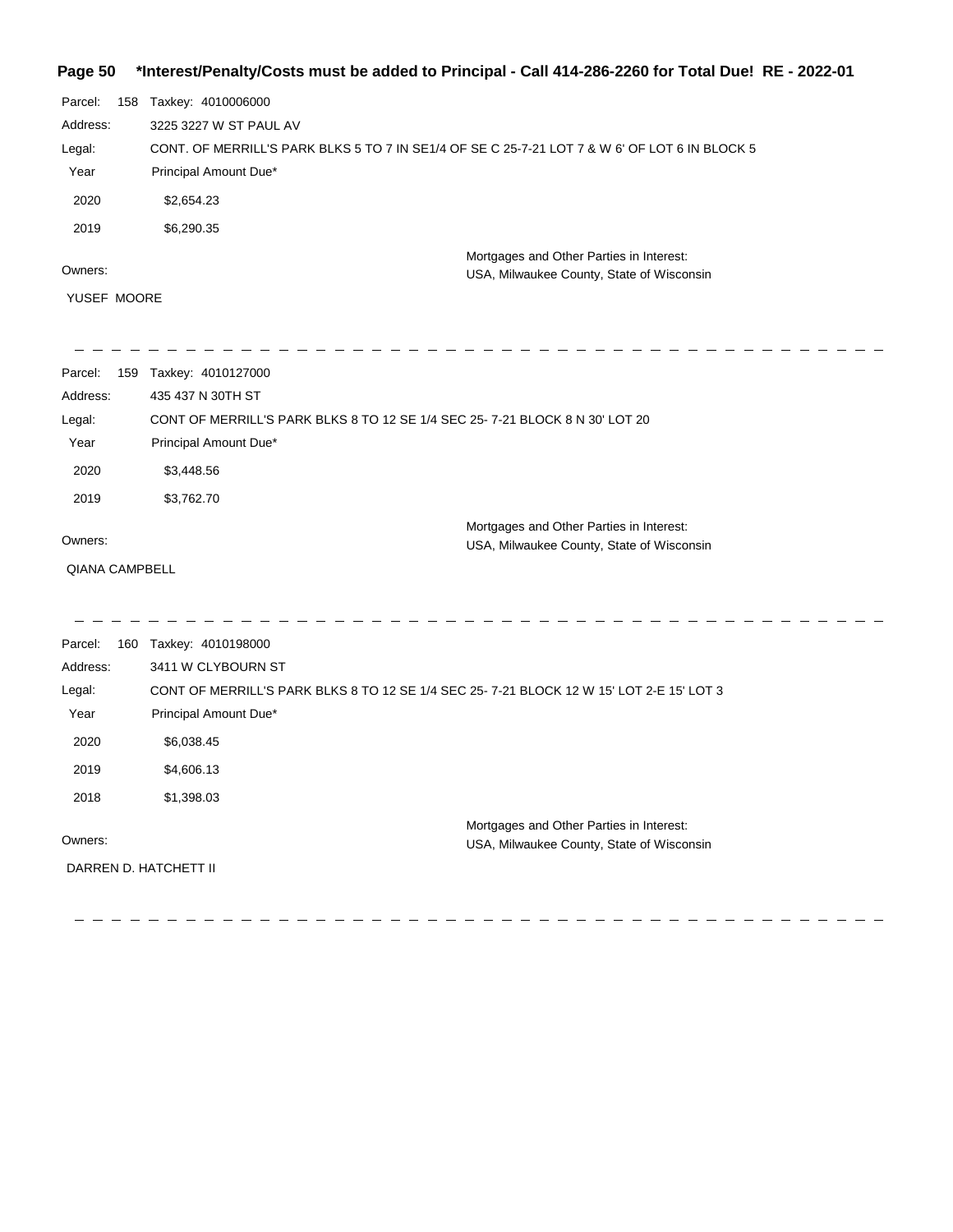## **Page 50 \*Interest/Penalty/Costs must be added to Principal - Call 414-286-2260 for Total Due! RE - 2022-01**

| Parcel:  | 158 | Taxkey: 4010006000                                                                            |                                                                                       |
|----------|-----|-----------------------------------------------------------------------------------------------|---------------------------------------------------------------------------------------|
| Address: |     | 3225 3227 W ST PAUL AV                                                                        |                                                                                       |
| Legal:   |     | CONT. OF MERRILL'S PARK BLKS 5 TO 7 IN SE1/4 OF SE C 25-7-21 LOT 7 & W 6' OF LOT 6 IN BLOCK 5 |                                                                                       |
| Year     |     | Principal Amount Due*                                                                         |                                                                                       |
| 2020     |     | \$2,654.23                                                                                    |                                                                                       |
| 2019     |     | \$6,290,35                                                                                    |                                                                                       |
| Owners:  |     |                                                                                               | Mortgages and Other Parties in Interest:<br>USA, Milwaukee County, State of Wisconsin |

YUSEF MOORE

| 159<br>Parcel:        | Taxkey: 4010127000                                                                      |                                           |
|-----------------------|-----------------------------------------------------------------------------------------|-------------------------------------------|
| Address:              | 435 437 N 30TH ST                                                                       |                                           |
| Legal:                | CONT OF MERRILL'S PARK BLKS 8 TO 12 SE 1/4 SEC 25-7-21 BLOCK 8 N 30' LOT 20             |                                           |
| Year                  | Principal Amount Due*                                                                   |                                           |
| 2020                  | \$3,448.56                                                                              |                                           |
| 2019                  | \$3,762.70                                                                              |                                           |
|                       |                                                                                         | Mortgages and Other Parties in Interest:  |
| Owners:               |                                                                                         | USA, Milwaukee County, State of Wisconsin |
| <b>QIANA CAMPBELL</b> |                                                                                         |                                           |
|                       |                                                                                         |                                           |
|                       |                                                                                         |                                           |
| Parcel:               | 160 Taxkey: 4010198000                                                                  |                                           |
| Address:              | 3411 W CLYBOURN ST                                                                      |                                           |
| Legal:                | CONT OF MERRILL'S PARK BLKS 8 TO 12 SE 1/4 SEC 25-7-21 BLOCK 12 W 15' LOT 2-E 15' LOT 3 |                                           |
| Year                  | Principal Amount Due*                                                                   |                                           |
| 2020                  | \$6,038.45                                                                              |                                           |
|                       |                                                                                         |                                           |
| 2019                  | \$4,606.13                                                                              |                                           |
| 2018                  | \$1,398.03                                                                              |                                           |
|                       |                                                                                         | Mortgages and Other Parties in Interest:  |
| Owners:               |                                                                                         | USA, Milwaukee County, State of Wisconsin |
| DARREN D. HATCHETT II |                                                                                         |                                           |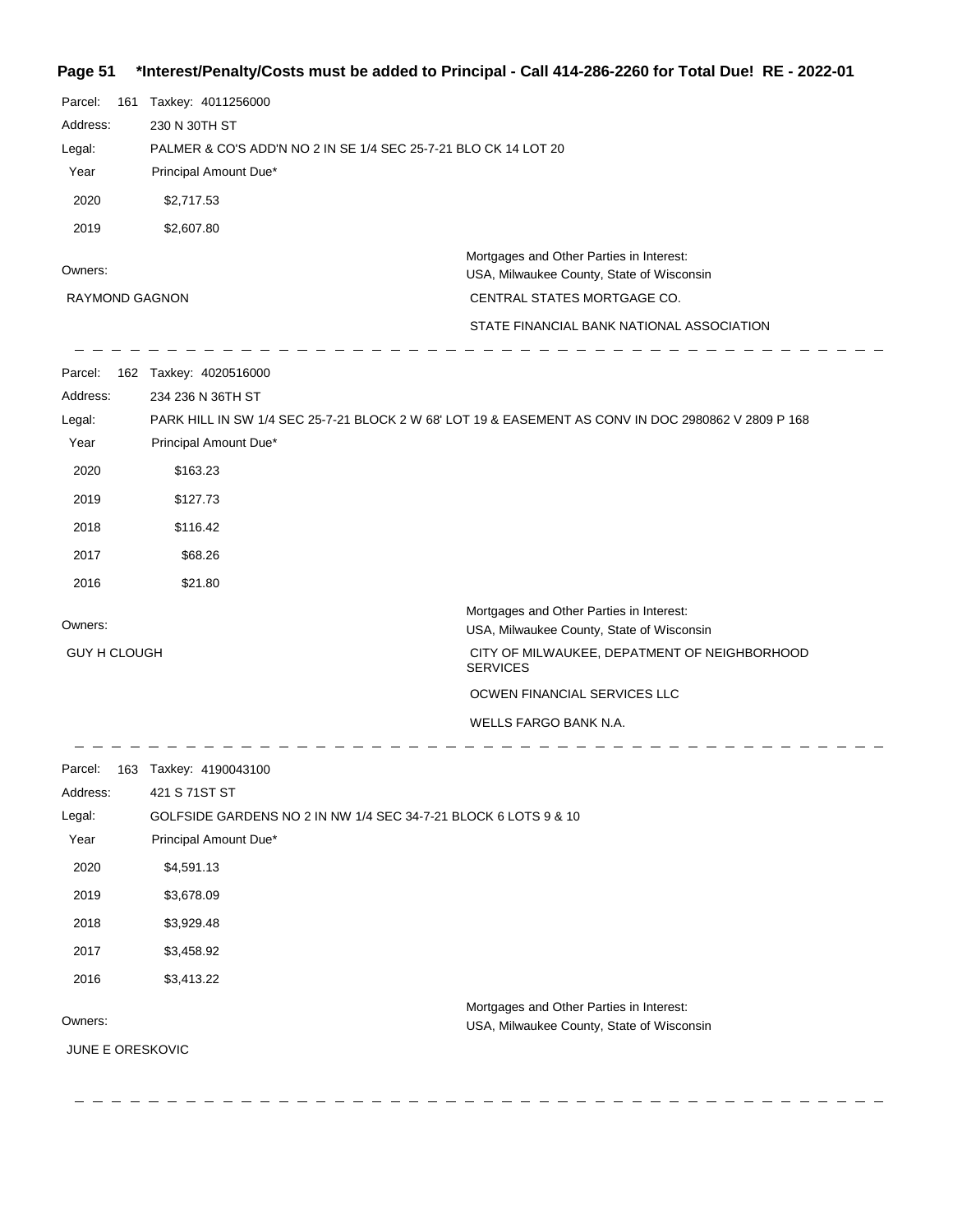# **Page 51 \*Interest/Penalty/Costs must be added to Principal - Call 414-286-2260 for Total Due! RE - 2022-01**

| \$2,717.53                                                                                                    |                                                                                                                                                                   |
|---------------------------------------------------------------------------------------------------------------|-------------------------------------------------------------------------------------------------------------------------------------------------------------------|
| 2019<br>\$2,607.80                                                                                            |                                                                                                                                                                   |
| Owners:<br>RAYMOND GAGNON                                                                                     | Mortgages and Other Parties in Interest:<br>USA, Milwaukee County, State of Wisconsin<br>CENTRAL STATES MORTGAGE CO.<br>STATE FINANCIAL BANK NATIONAL ASSOCIATION |
| 162 Taxkey: 4020516000<br>Parcel:<br>Address:<br>234 236 N 36TH ST<br>Legal:<br>Year<br>Principal Amount Due* | PARK HILL IN SW 1/4 SEC 25-7-21 BLOCK 2 W 68' LOT 19 & EASEMENT AS CONV IN DOC 2980862 V 2809 P 168                                                               |
| 2020<br>\$163.23                                                                                              |                                                                                                                                                                   |
| 2019<br>\$127.73                                                                                              |                                                                                                                                                                   |
| 2018<br>\$116.42                                                                                              |                                                                                                                                                                   |
| 2017<br>\$68.26                                                                                               |                                                                                                                                                                   |
| 2016<br>\$21.80                                                                                               |                                                                                                                                                                   |
| Owners:                                                                                                       | Mortgages and Other Parties in Interest:<br>USA, Milwaukee County, State of Wisconsin                                                                             |
| <b>GUY H CLOUGH</b>                                                                                           | CITY OF MILWAUKEE, DEPATMENT OF NEIGHBORHOOD<br><b>SERVICES</b>                                                                                                   |
|                                                                                                               | OCWEN FINANCIAL SERVICES LLC                                                                                                                                      |
|                                                                                                               | WELLS FARGO BANK N.A.                                                                                                                                             |
| 163 Taxkey: 4190043100<br>Parcel:<br>421 S 71ST ST<br>Address:                                                |                                                                                                                                                                   |
| GOLFSIDE GARDENS NO 2 IN NW 1/4 SEC 34-7-21 BLOCK 6 LOTS 9 & 10<br>Legal:                                     |                                                                                                                                                                   |
| Year<br>Principal Amount Due*                                                                                 |                                                                                                                                                                   |
| 2020<br>\$4,591.13                                                                                            |                                                                                                                                                                   |
| 2019<br>\$3,678.09                                                                                            |                                                                                                                                                                   |
| 2018<br>\$3,929.48<br>2017<br>\$3,458.92                                                                      |                                                                                                                                                                   |
| 2016                                                                                                          |                                                                                                                                                                   |
| \$3,413.22<br>Owners:<br>JUNE E ORESKOVIC                                                                     | Mortgages and Other Parties in Interest:<br>USA, Milwaukee County, State of Wisconsin                                                                             |

 $-$ 

 $\equiv$ 

---------------------------------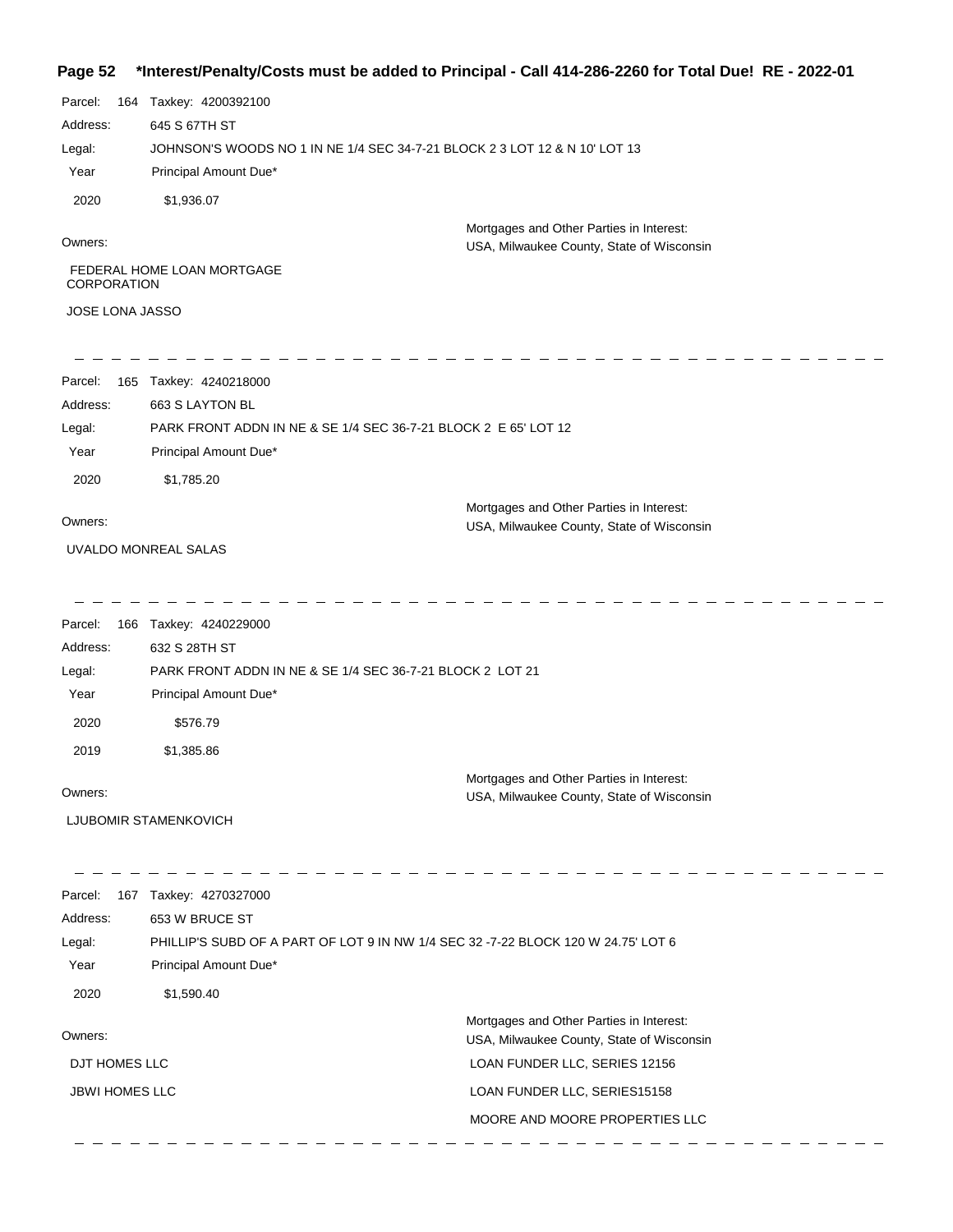## **Page 52 \*Interest/Penalty/Costs must be added to Principal - Call 414-286-2260 for Total Due! RE - 2022-01**

| Parcel:<br>164         | Taxkey: 4200392100                                                         |                                                                                       |
|------------------------|----------------------------------------------------------------------------|---------------------------------------------------------------------------------------|
| Address:               | 645 S 67TH ST                                                              |                                                                                       |
| Legal:                 | JOHNSON'S WOODS NO 1 IN NE 1/4 SEC 34-7-21 BLOCK 2 3 LOT 12 & N 10' LOT 13 |                                                                                       |
| Year                   | Principal Amount Due*                                                      |                                                                                       |
| 2020                   | \$1,936.07                                                                 |                                                                                       |
| Owners:                |                                                                            | Mortgages and Other Parties in Interest:<br>USA, Milwaukee County, State of Wisconsin |
| <b>CORPORATION</b>     | FEDERAL HOME LOAN MORTGAGE                                                 |                                                                                       |
| <b>JOSE LONA JASSO</b> |                                                                            |                                                                                       |
|                        |                                                                            |                                                                                       |
|                        |                                                                            |                                                                                       |

| Parcel:  | 165 Taxkey: 4240218000                                          |
|----------|-----------------------------------------------------------------|
| Address: | 663 S LAYTON BL                                                 |
| Legal:   | PARK FRONT ADDN IN NE & SE 1/4 SEC 36-7-21 BLOCK 2 E 65' LOT 12 |
| Year     | Principal Amount Due*                                           |
| 2020     | \$1.785.20                                                      |
|          | Mortgages and Other Parties in Interest:                        |
| Owners:  | USA, Milwaukee County, State of Wisconsin                       |

UVALDO MONREAL SALAS

| Parcel:  | 166 | Taxkey: 4240229000                                        |                                                                                       |
|----------|-----|-----------------------------------------------------------|---------------------------------------------------------------------------------------|
| Address: |     | 632 S 28TH ST                                             |                                                                                       |
| Legal:   |     | PARK FRONT ADDN IN NE & SE 1/4 SEC 36-7-21 BLOCK 2 LOT 21 |                                                                                       |
| Year     |     | Principal Amount Due*                                     |                                                                                       |
| 2020     |     | \$576.79                                                  |                                                                                       |
| 2019     |     | \$1,385.86                                                |                                                                                       |
| Owners:  |     |                                                           | Mortgages and Other Parties in Interest:<br>USA, Milwaukee County, State of Wisconsin |

LJUBOMIR STAMENKOVICH

| Parcel:<br>167        | Taxkey: 4270327000                                                                |                                           |
|-----------------------|-----------------------------------------------------------------------------------|-------------------------------------------|
| Address:              | 653 W BRUCE ST                                                                    |                                           |
| Legal:                | PHILLIP'S SUBD OF A PART OF LOT 9 IN NW 1/4 SEC 32 -7-22 BLOCK 120 W 24.75' LOT 6 |                                           |
| Year                  | Principal Amount Due*                                                             |                                           |
| 2020                  | \$1,590.40                                                                        |                                           |
|                       |                                                                                   | Mortgages and Other Parties in Interest:  |
| Owners:               |                                                                                   | USA, Milwaukee County, State of Wisconsin |
| DJT HOMES LLC         |                                                                                   | LOAN FUNDER LLC, SERIES 12156             |
| <b>JBWI HOMES LLC</b> |                                                                                   | LOAN FUNDER LLC, SERIES15158              |
|                       |                                                                                   | MOORE AND MOORE PROPERTIES LLC            |
|                       |                                                                                   |                                           |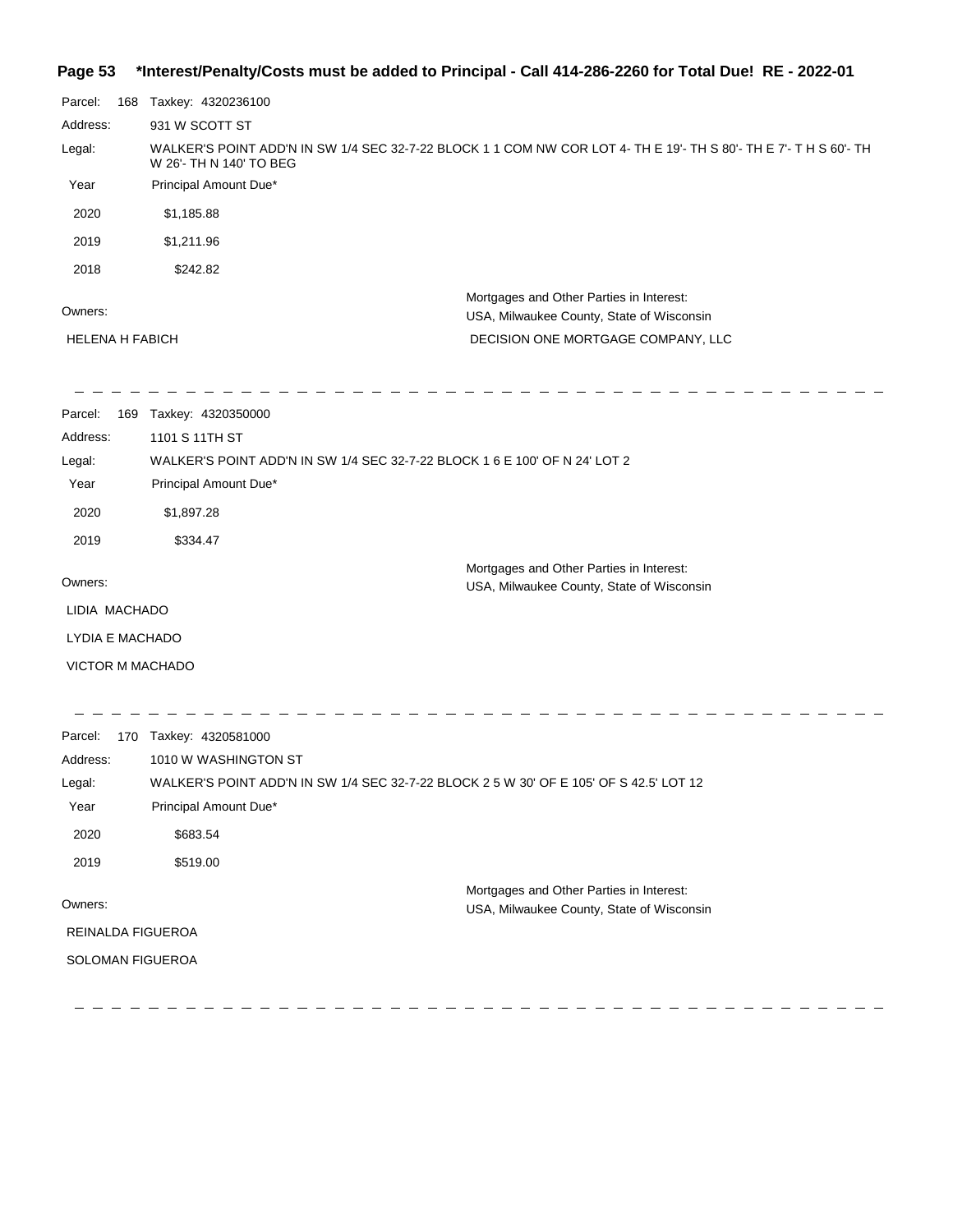#### **Page 53 \*Interest/Penalty/Costs must be added to Principal - Call 414-286-2260 for Total Due! RE - 2022-01**

| Parcel:       | 168 | Taxkey: 4320236100                                                                                                                          |                                                                                       |
|---------------|-----|---------------------------------------------------------------------------------------------------------------------------------------------|---------------------------------------------------------------------------------------|
| Address:      |     | 931 W SCOTT ST                                                                                                                              |                                                                                       |
| Legal:        |     | WALKER'S POINT ADD'N IN SW 1/4 SEC 32-7-22 BLOCK 1 1 COM NW COR LOT 4- TH E 19'- TH S 80'- TH E 7'- TH S 60'- TH<br>W 26'- TH N 140' TO BEG |                                                                                       |
| Year          |     | Principal Amount Due*                                                                                                                       |                                                                                       |
| 2020          |     | \$1,185.88                                                                                                                                  |                                                                                       |
| 2019          |     | \$1,211.96                                                                                                                                  |                                                                                       |
| 2018          |     | \$242.82                                                                                                                                    |                                                                                       |
| Owners:       |     |                                                                                                                                             | Mortgages and Other Parties in Interest:<br>USA, Milwaukee County, State of Wisconsin |
|               |     | <b>HELENA H FABICH</b>                                                                                                                      | DECISION ONE MORTGAGE COMPANY, LLC                                                    |
| Parcel:       |     | 169 Taxkey: 4320350000                                                                                                                      |                                                                                       |
| Address:      |     | 1101 S 11TH ST                                                                                                                              |                                                                                       |
| Legal:        |     | WALKER'S POINT ADD'N IN SW 1/4 SEC 32-7-22 BLOCK 1 6 E 100' OF N 24' LOT 2                                                                  |                                                                                       |
| Year          |     | Principal Amount Due*                                                                                                                       |                                                                                       |
| 2020          |     | \$1,897.28                                                                                                                                  |                                                                                       |
| 2019          |     | \$334.47                                                                                                                                    |                                                                                       |
| Owners:       |     |                                                                                                                                             | Mortgages and Other Parties in Interest:<br>USA, Milwaukee County, State of Wisconsin |
| LIDIA MACHADO |     |                                                                                                                                             |                                                                                       |
|               |     | LYDIA E MACHADO                                                                                                                             |                                                                                       |
|               |     | <b>VICTOR M MACHADO</b>                                                                                                                     |                                                                                       |
| Parcel:       |     | 170 Taxkey: 4320581000                                                                                                                      |                                                                                       |
| Address:      |     | 1010 W WASHINGTON ST                                                                                                                        |                                                                                       |
| Legal:        |     | WALKER'S POINT ADD'N IN SW 1/4 SEC 32-7-22 BLOCK 2 5 W 30' OF E 105' OF S 42.5' LOT 12                                                      |                                                                                       |
| Year          |     | Principal Amount Due*                                                                                                                       |                                                                                       |
| 2020          |     | \$683.54                                                                                                                                    |                                                                                       |

Owners:

Mortgages and Other Parties in Interest: USA, Milwaukee County, State of Wisconsin

REINALDA FIGUEROA

2019 \$519.00

SOLOMAN FIGUEROA

 $=$  = = = =  $-$  - - - - - - - - $\frac{1}{2} \frac{1}{2} \frac{1}{2} \frac{1}{2} \frac{1}{2} \frac{1}{2} \frac{1}{2} \frac{1}{2} \frac{1}{2} \frac{1}{2} \frac{1}{2} \frac{1}{2} \frac{1}{2} \frac{1}{2} \frac{1}{2} \frac{1}{2} \frac{1}{2} \frac{1}{2} \frac{1}{2} \frac{1}{2} \frac{1}{2} \frac{1}{2} \frac{1}{2} \frac{1}{2} \frac{1}{2} \frac{1}{2} \frac{1}{2} \frac{1}{2} \frac{1}{2} \frac{1}{2} \frac{1}{2} \frac{$  $\equiv$  $\equiv$  $\equiv$   $\equiv$  $\equiv$  $\equiv$  $\equiv$  $\equiv$  $\equiv$  $\equiv$   $\equiv$   $\equiv$  $\equiv$  $\frac{1}{2}$  $\equiv$   $\equiv$ ο.  $\sim$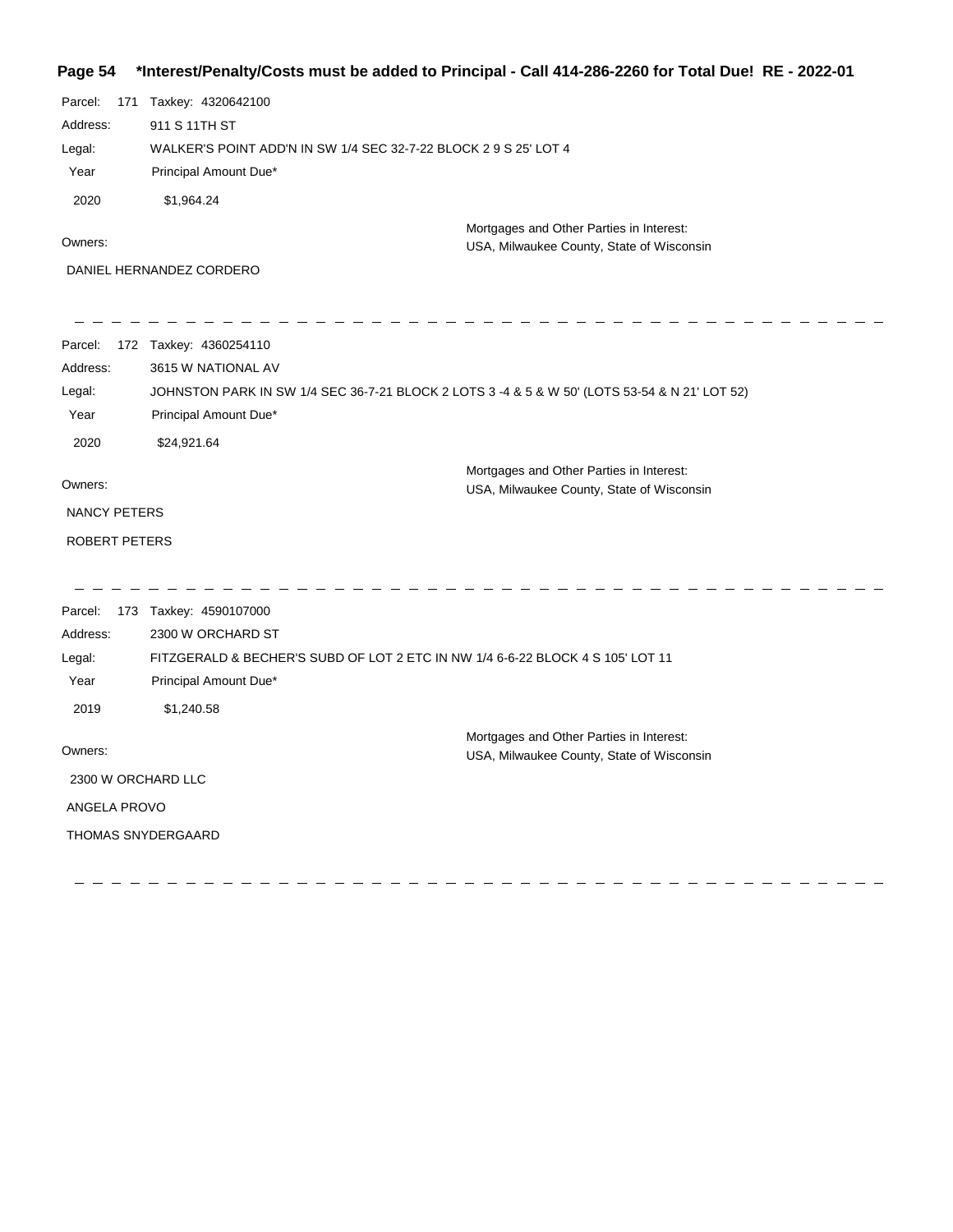## **Page 54 \*Interest/Penalty/Costs must be added to Principal - Call 414-286-2260 for Total Due! RE - 2022-01**

| Parcel:<br>Address:<br>Legal:<br>Year<br>2020 | 171 Taxkey: 4320642100<br>911 S 11TH ST<br>WALKER'S POINT ADD'N IN SW 1/4 SEC 32-7-22 BLOCK 2 9 S 25' LOT 4<br>Principal Amount Due*<br>\$1,964.24 | Mortgages and Other Parties in Interest:                                                      |
|-----------------------------------------------|----------------------------------------------------------------------------------------------------------------------------------------------------|-----------------------------------------------------------------------------------------------|
| Owners:                                       |                                                                                                                                                    | USA, Milwaukee County, State of Wisconsin                                                     |
|                                               | DANIEL HERNANDEZ CORDERO                                                                                                                           |                                                                                               |
| Parcel:                                       | 172 Taxkey: 4360254110                                                                                                                             |                                                                                               |
| Address:                                      | 3615 W NATIONAL AV                                                                                                                                 |                                                                                               |
| Legal:<br>Year                                | Principal Amount Due*                                                                                                                              | JOHNSTON PARK IN SW 1/4 SEC 36-7-21 BLOCK 2 LOTS 3 -4 & 5 & W 50' (LOTS 53-54 & N 21' LOT 52) |
| 2020                                          | \$24,921.64                                                                                                                                        |                                                                                               |
| Owners:                                       |                                                                                                                                                    | Mortgages and Other Parties in Interest:<br>USA, Milwaukee County, State of Wisconsin         |
| NANCY PETERS                                  |                                                                                                                                                    |                                                                                               |
| ROBERT PETERS                                 |                                                                                                                                                    |                                                                                               |
| Parcel:                                       | 173 Taxkey: 4590107000                                                                                                                             |                                                                                               |
| Address:                                      | 2300 W ORCHARD ST                                                                                                                                  |                                                                                               |
| Legal:                                        | FITZGERALD & BECHER'S SUBD OF LOT 2 ETC IN NW 1/4 6-6-22 BLOCK 4 S 105' LOT 11                                                                     |                                                                                               |
| Year                                          | Principal Amount Due*                                                                                                                              |                                                                                               |
| 2019                                          | \$1,240.58                                                                                                                                         |                                                                                               |
| Owners:                                       |                                                                                                                                                    | Mortgages and Other Parties in Interest:<br>USA, Milwaukee County, State of Wisconsin         |
| 2300 W ORCHARD LLC                            |                                                                                                                                                    |                                                                                               |
| ANGELA PROVO                                  |                                                                                                                                                    |                                                                                               |
|                                               | <b>THOMAS SNYDERGAARD</b>                                                                                                                          |                                                                                               |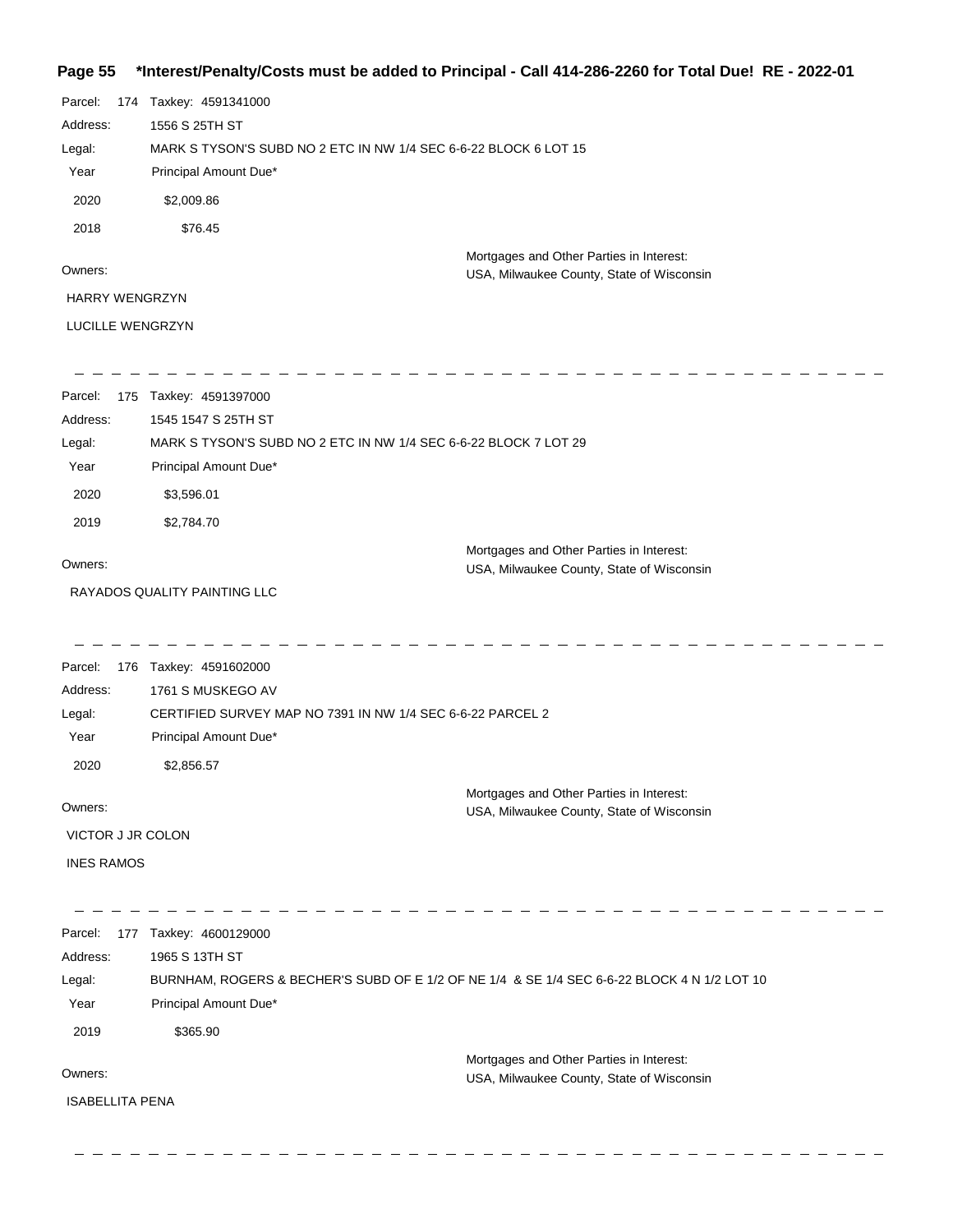# **Page 55 \*Interest/Penalty/Costs must be added to Principal - Call 414-286-2260 for Total Due! RE - 2022-01**

| Parcel:                | 174 Taxkey: 4591341000                                     |                                                                                             |
|------------------------|------------------------------------------------------------|---------------------------------------------------------------------------------------------|
| Address:               | 1556 S 25TH ST                                             |                                                                                             |
| Legal:                 |                                                            | MARK S TYSON'S SUBD NO 2 ETC IN NW 1/4 SEC 6-6-22 BLOCK 6 LOT 15                            |
| Year                   | Principal Amount Due*                                      |                                                                                             |
| 2020                   | \$2,009.86                                                 |                                                                                             |
| 2018                   | \$76.45                                                    |                                                                                             |
|                        |                                                            | Mortgages and Other Parties in Interest:                                                    |
| Owners:                |                                                            | USA, Milwaukee County, State of Wisconsin                                                   |
| HARRY WENGRZYN         |                                                            |                                                                                             |
| LUCILLE WENGRZYN       |                                                            |                                                                                             |
| 175<br>Parcel:         | Taxkey: 4591397000                                         |                                                                                             |
| Address:               | 1545 1547 S 25TH ST                                        |                                                                                             |
| Legal:                 |                                                            | MARK S TYSON'S SUBD NO 2 ETC IN NW 1/4 SEC 6-6-22 BLOCK 7 LOT 29                            |
| Year                   | Principal Amount Due*                                      |                                                                                             |
| 2020                   | \$3,596.01                                                 |                                                                                             |
| 2019                   | \$2,784.70                                                 |                                                                                             |
| Owners:                |                                                            | Mortgages and Other Parties in Interest:                                                    |
|                        | RAYADOS QUALITY PAINTING LLC                               | USA, Milwaukee County, State of Wisconsin                                                   |
|                        |                                                            |                                                                                             |
| Parcel:<br>176         | Taxkey: 4591602000                                         |                                                                                             |
| Address:               | 1761 S MUSKEGO AV                                          |                                                                                             |
| Legal:                 | CERTIFIED SURVEY MAP NO 7391 IN NW 1/4 SEC 6-6-22 PARCEL 2 |                                                                                             |
| Year                   | Principal Amount Due*                                      |                                                                                             |
| 2020                   | \$2,856.57                                                 |                                                                                             |
| Owners:                |                                                            | Mortgages and Other Parties in Interest:<br>USA, Milwaukee County, State of Wisconsin       |
| VICTOR J JR COLON      |                                                            |                                                                                             |
| <b>INES RAMOS</b>      |                                                            |                                                                                             |
| Parcel:                | 177 Taxkey: 4600129000                                     |                                                                                             |
| Address:               | 1965 S 13TH ST                                             |                                                                                             |
| Legal:                 |                                                            | BURNHAM, ROGERS & BECHER'S SUBD OF E 1/2 OF NE 1/4 & SE 1/4 SEC 6-6-22 BLOCK 4 N 1/2 LOT 10 |
| Year                   | Principal Amount Due*                                      |                                                                                             |
| 2019                   | \$365.90                                                   |                                                                                             |
|                        |                                                            | Mortgages and Other Parties in Interest:                                                    |
| Owners:                |                                                            | USA, Milwaukee County, State of Wisconsin                                                   |
| <b>ISABELLITA PENA</b> |                                                            |                                                                                             |
|                        |                                                            |                                                                                             |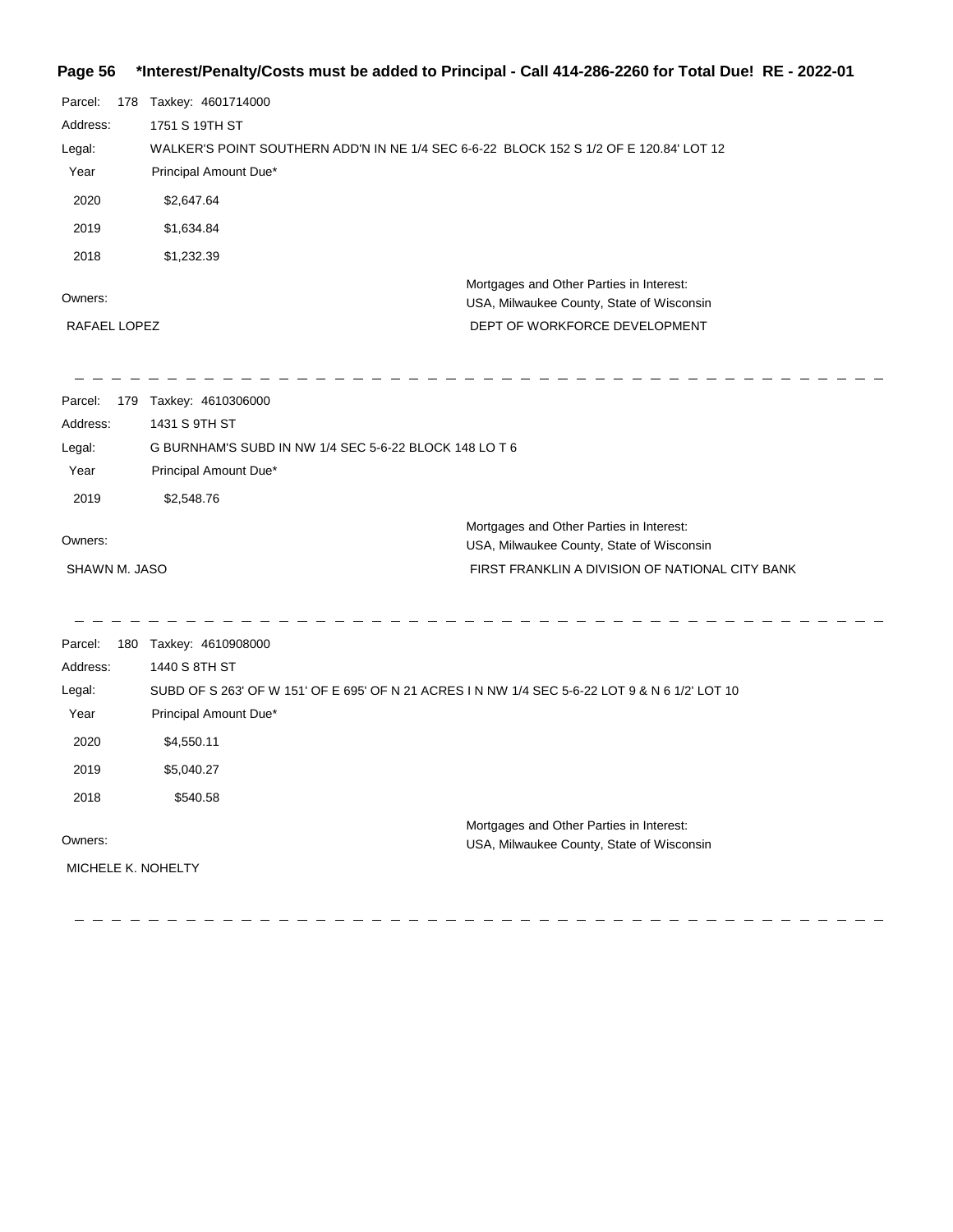## **Page 56 \*Interest/Penalty/Costs must be added to Principal - Call 414-286-2260 for Total Due! RE - 2022-01**

| Parcel:<br>Address:<br>Legal:<br>Year<br>2020<br>2019<br>2018 | 178 Taxkey: 4601714000<br>1751 S 19TH ST<br>WALKER'S POINT SOUTHERN ADD'N IN NE 1/4 SEC 6-6-22 BLOCK 152 S 1/2 OF E 120.84' LOT 12<br>Principal Amount Due*<br>\$2,647.64<br>\$1,634.84<br>\$1,232.39      |                                                                                                                                          |
|---------------------------------------------------------------|------------------------------------------------------------------------------------------------------------------------------------------------------------------------------------------------------------|------------------------------------------------------------------------------------------------------------------------------------------|
| Owners:<br>RAFAEL LOPEZ                                       |                                                                                                                                                                                                            | Mortgages and Other Parties in Interest:<br>USA, Milwaukee County, State of Wisconsin<br>DEPT OF WORKFORCE DEVELOPMENT                   |
| Parcel:<br>Address:<br>Legal:<br>Year<br>2019                 | 179 Taxkey: 4610306000<br>1431 S 9TH ST<br>G BURNHAM'S SUBD IN NW 1/4 SEC 5-6-22 BLOCK 148 LO T 6<br>Principal Amount Due*<br>\$2,548.76                                                                   |                                                                                                                                          |
| Owners:<br>SHAWN M. JASO                                      |                                                                                                                                                                                                            | Mortgages and Other Parties in Interest:<br>USA, Milwaukee County, State of Wisconsin<br>FIRST FRANKLIN A DIVISION OF NATIONAL CITY BANK |
| Parcel:<br>Address:<br>Legal:<br>Year<br>2020<br>2019<br>2018 | 180 Taxkey: 4610908000<br>1440 S 8TH ST<br>SUBD OF S 263' OF W 151' OF E 695' OF N 21 ACRES I N NW 1/4 SEC 5-6-22 LOT 9 & N 6 1/2' LOT 10<br>Principal Amount Due*<br>\$4,550.11<br>\$5,040.27<br>\$540.58 |                                                                                                                                          |
| Owners:<br>MICHELE K. NOHELTY                                 |                                                                                                                                                                                                            | Mortgages and Other Parties in Interest:<br>USA, Milwaukee County, State of Wisconsin                                                    |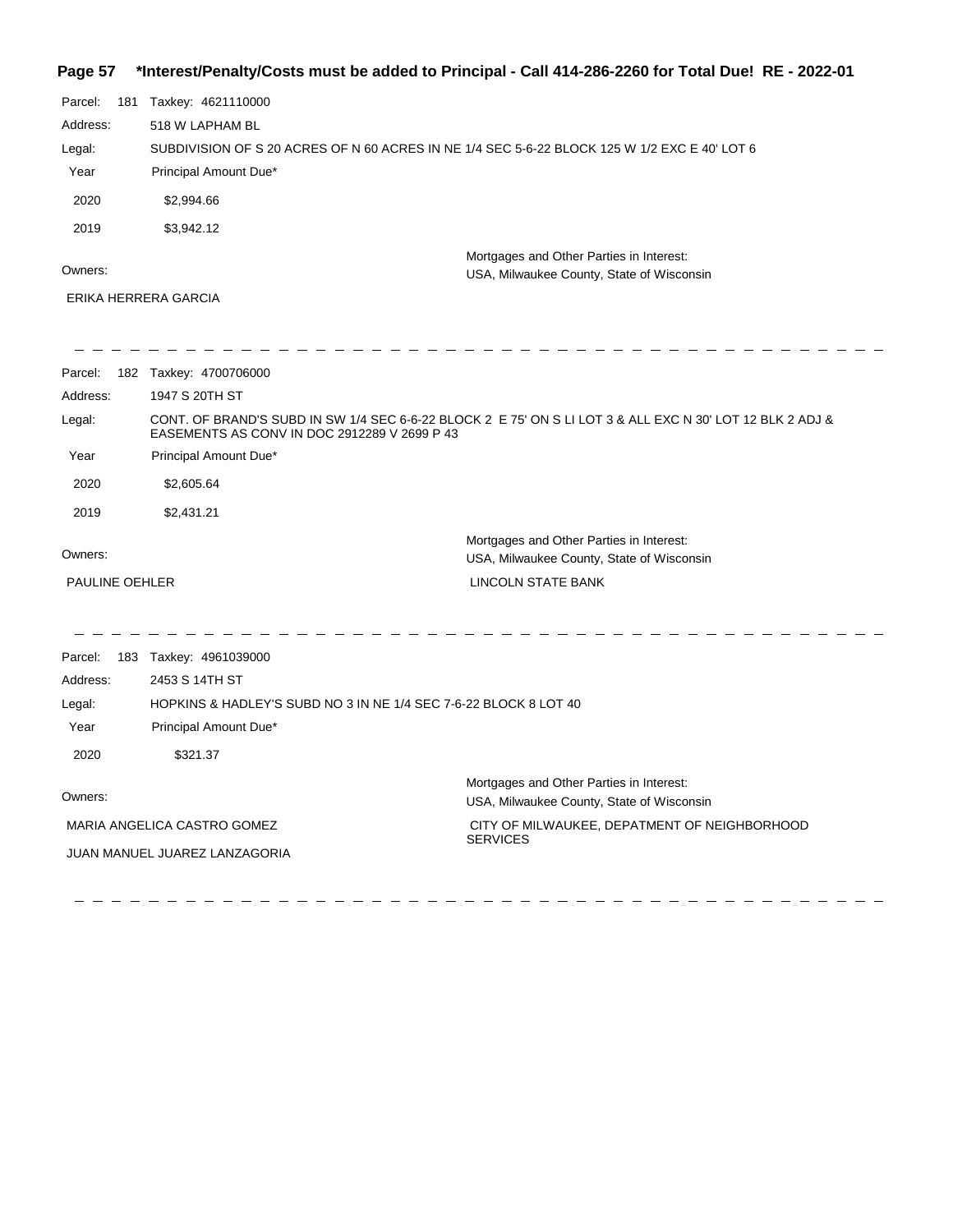## **Page 57 \*Interest/Penalty/Costs must be added to Principal - Call 414-286-2260 for Total Due! RE - 2022-01**

| Parcel:  | 181 | Taxkey: 4621110000                                                                           |                                                                                       |
|----------|-----|----------------------------------------------------------------------------------------------|---------------------------------------------------------------------------------------|
| Address: |     | 518 W LAPHAM BL                                                                              |                                                                                       |
| Legal:   |     | SUBDIVISION OF S 20 ACRES OF N 60 ACRES IN NE 1/4 SEC 5-6-22 BLOCK 125 W 1/2 EXC E 40' LOT 6 |                                                                                       |
| Year     |     | Principal Amount Due*                                                                        |                                                                                       |
| 2020     |     | \$2,994.66                                                                                   |                                                                                       |
| 2019     |     | \$3,942.12                                                                                   |                                                                                       |
| Owners:  |     |                                                                                              | Mortgages and Other Parties in Interest:<br>USA, Milwaukee County, State of Wisconsin |

ERIKA HERRERA GARCIA

| Parcel:                                          | 182 Taxkey: 4700706000                                                                                                                                    |                                                                                       |
|--------------------------------------------------|-----------------------------------------------------------------------------------------------------------------------------------------------------------|---------------------------------------------------------------------------------------|
| Address:                                         | 1947 S 20TH ST                                                                                                                                            |                                                                                       |
| Legal:                                           | CONT. OF BRAND'S SUBD IN SW 1/4 SEC 6-6-22 BLOCK 2 E 75' ON S LI LOT 3 & ALL EXC N 30' LOT 12 BLK 2 ADJ &<br>EASEMENTS AS CONV IN DOC 2912289 V 2699 P 43 |                                                                                       |
| Year                                             | Principal Amount Due*                                                                                                                                     |                                                                                       |
| 2020                                             | \$2,605.64                                                                                                                                                |                                                                                       |
| 2019                                             | \$2,431.21                                                                                                                                                |                                                                                       |
| Owners:                                          |                                                                                                                                                           | Mortgages and Other Parties in Interest:<br>USA, Milwaukee County, State of Wisconsin |
| PAULINE OEHLER                                   |                                                                                                                                                           | LINCOLN STATE BANK                                                                    |
|                                                  |                                                                                                                                                           |                                                                                       |
| Parcel:                                          | 183 Taxkey: 4961039000                                                                                                                                    |                                                                                       |
| Address:                                         | 2453 S 14TH ST                                                                                                                                            |                                                                                       |
| Legal:                                           | HOPKINS & HADLEY'S SUBD NO 3 IN NE 1/4 SEC 7-6-22 BLOCK 8 LOT 40                                                                                          |                                                                                       |
| Year                                             | Principal Amount Due*                                                                                                                                     |                                                                                       |
| 2020                                             | \$321.37                                                                                                                                                  |                                                                                       |
| Owners:                                          |                                                                                                                                                           | Mortgages and Other Parties in Interest:<br>USA, Milwaukee County, State of Wisconsin |
| MARIA ANGELICA CASTRO GOMEZ                      |                                                                                                                                                           | CITY OF MILWAUKEE, DEPATMENT OF NEIGHBORHOOD                                          |
| <b>SERVICES</b><br>JUAN MANUEL JUAREZ LANZAGORIA |                                                                                                                                                           |                                                                                       |
|                                                  |                                                                                                                                                           |                                                                                       |
|                                                  |                                                                                                                                                           |                                                                                       |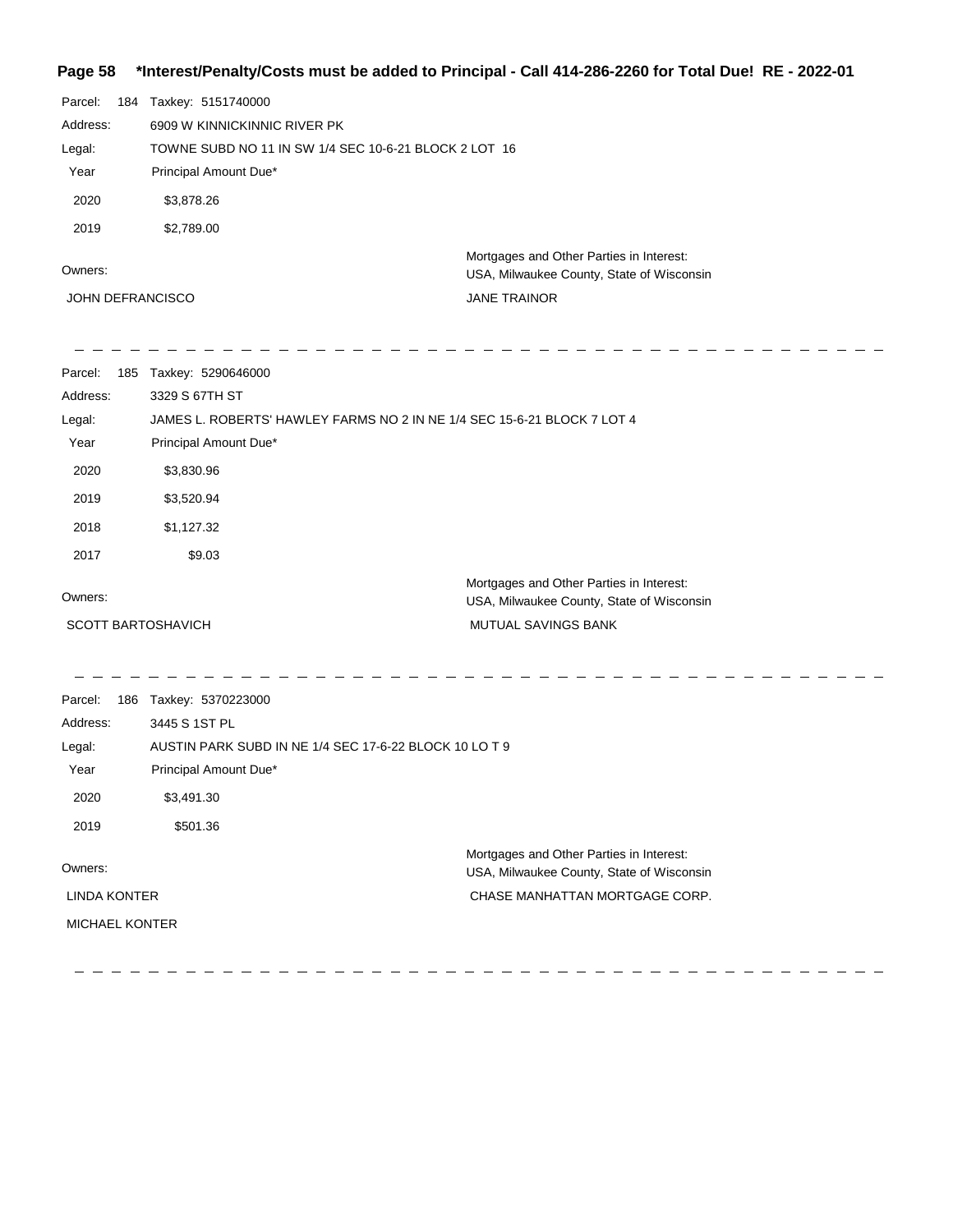### **Page 58 \*Interest/Penalty/Costs must be added to Principal - Call 414-286-2260 for Total Due! RE - 2022-01**

| Parcel:  | 184 | Taxkey: 5151740000                                    |                                                                                       |
|----------|-----|-------------------------------------------------------|---------------------------------------------------------------------------------------|
| Address: |     | 6909 W KINNICKINNIC RIVER PK                          |                                                                                       |
| Legal:   |     | TOWNE SUBD NO 11 IN SW 1/4 SEC 10-6-21 BLOCK 2 LOT 16 |                                                                                       |
| Year     |     | Principal Amount Due*                                 |                                                                                       |
| 2020     |     | \$3,878.26                                            |                                                                                       |
| 2019     |     | \$2,789.00                                            |                                                                                       |
| Owners:  |     |                                                       | Mortgages and Other Parties in Interest:<br>USA, Milwaukee County, State of Wisconsin |

JOHN DEFRANCISCO

JANE TRAINOR

| Parcel:<br>Address:<br>Legal:<br>Year | 185 Taxkey: 5290646000<br>3329 S 67TH ST<br>Principal Amount Due* | JAMES L. ROBERTS' HAWLEY FARMS NO 2 IN NE 1/4 SEC 15-6-21 BLOCK 7 LOT 4               |  |
|---------------------------------------|-------------------------------------------------------------------|---------------------------------------------------------------------------------------|--|
| 2020                                  | \$3,830.96                                                        |                                                                                       |  |
| 2019                                  | \$3,520.94                                                        |                                                                                       |  |
| 2018                                  | \$1,127.32                                                        |                                                                                       |  |
| 2017                                  | \$9.03                                                            |                                                                                       |  |
| Owners:                               |                                                                   | Mortgages and Other Parties in Interest:<br>USA, Milwaukee County, State of Wisconsin |  |
| <b>SCOTT BARTOSHAVICH</b>             |                                                                   | MUTUAL SAVINGS BANK                                                                   |  |
| Parcel:<br>Address:                   | 186 Taxkey: 5370223000<br>3445 S 1ST PL                           |                                                                                       |  |
| Legal:                                | AUSTIN PARK SUBD IN NE 1/4 SEC 17-6-22 BLOCK 10 LO T 9            |                                                                                       |  |
| Year                                  | Principal Amount Due*                                             |                                                                                       |  |
| 2020                                  | \$3,491.30                                                        |                                                                                       |  |
| 2019                                  | \$501.36                                                          |                                                                                       |  |
| Owners:                               |                                                                   | Mortgages and Other Parties in Interest:<br>USA, Milwaukee County, State of Wisconsin |  |
| <b>LINDA KONTER</b>                   |                                                                   | CHASE MANHATTAN MORTGAGE CORP.                                                        |  |
| <b>MICHAEL KONTER</b>                 |                                                                   |                                                                                       |  |
|                                       |                                                                   |                                                                                       |  |